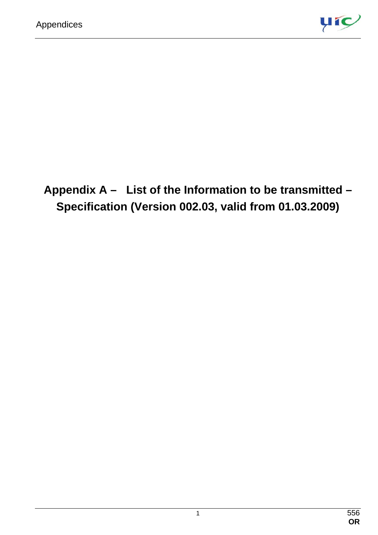

**Appendix A – List of the Information to be transmitted – Specification (Version 002.03, valid from 01.03.2009)**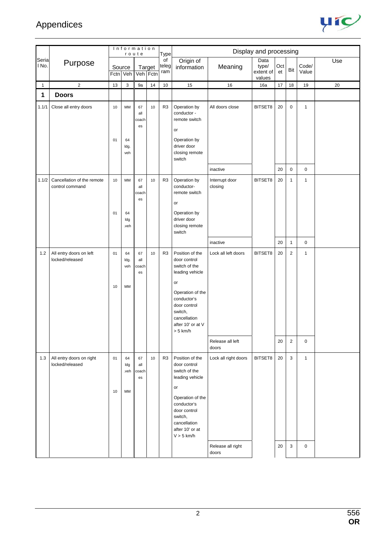

|                |                                               |          | Information             | route                    |                    | <b>Type</b>        |                                                                                                                                                                                                 |                            | Display and processing               |           |                |                |     |
|----------------|-----------------------------------------------|----------|-------------------------|--------------------------|--------------------|--------------------|-------------------------------------------------------------------------------------------------------------------------------------------------------------------------------------------------|----------------------------|--------------------------------------|-----------|----------------|----------------|-----|
| Seria<br>I No. | Purpose                                       |          | Source<br>Fctn Veh      |                          | Target<br>Veh Fctn | of<br>teleg<br>ram | Origin of<br>information                                                                                                                                                                        | Meaning                    | Data<br>type/<br>extent of<br>values | Oct<br>et | Bit            | Code/<br>Value | Use |
| 1              | $\overline{2}$                                | 13       | 3                       | 9a                       | 14                 | $10$               | 15                                                                                                                                                                                              | 16                         | 16a                                  | 17        | 18             | 19             | 20  |
| 1              | <b>Doors</b>                                  |          |                         |                          |                    |                    |                                                                                                                                                                                                 |                            |                                      |           |                |                |     |
| 1.1/1          | Close all entry doors                         | 10<br>01 | MM<br>64<br>ldg.<br>veh | 67<br>all<br>coach<br>es | 10                 | R <sub>3</sub>     | Operation by<br>conductor -<br>remote switch<br>or<br>Operation by<br>driver door<br>closing remote<br>switch                                                                                   | All doors close            | BITSET8                              | 20        | 0              | $\mathbf{1}$   |     |
|                |                                               |          |                         |                          |                    |                    |                                                                                                                                                                                                 | inactive                   |                                      | 20        | 0              | $\pmb{0}$      |     |
| 1.1/2          | Cancellation of the remote<br>control command | 10<br>01 | MM<br>64<br>Idg<br>.veh | 67<br>all<br>coach<br>es | 10                 | R <sub>3</sub>     | Operation by<br>conductor-<br>remote switch<br>or<br>Operation by<br>driver door<br>closing remote<br>switch                                                                                    | Interrupt door<br>closing  | BITSET8                              | 20        | $\mathbf{1}$   | $\mathbf{1}$   |     |
|                |                                               |          |                         |                          |                    |                    |                                                                                                                                                                                                 | inactive                   |                                      | 20        | $\mathbf{1}$   | $\pmb{0}$      |     |
| 1.2            | All entry doors on left<br>locked/released    | 01<br>10 | 64<br>ldg.<br>veh<br>MM | 67<br>all<br>coach<br>es | 10                 | R <sub>3</sub>     | Position of the<br>door control<br>switch of the<br>leading vehicle<br>or<br>Operation of the<br>conductor's<br>door control<br>switch,<br>cancellation<br>after 10' or at V<br>$> 5$ km/h $\,$ | Lock all left doors        | BITSET8                              | 20        | $\mathbf{2}$   | $\mathbf{1}$   |     |
|                |                                               |          |                         |                          |                    |                    |                                                                                                                                                                                                 | Release all left<br>doors  |                                      | 20        | $\overline{c}$ | $\mathbf 0$    |     |
| 1.3            | All entry doors on right<br>locked/released   | 01<br>10 | 64<br>Idg<br>.veh<br>MM | 67<br>all<br>coach<br>es | 10                 | R <sub>3</sub>     | Position of the<br>door control<br>switch of the<br>leading vehicle<br>or<br>Operation of the<br>conductor's<br>door control<br>switch,<br>cancellation<br>after 10' or at<br>$V > 5$ km/h      | Lock all right doors       | BITSET8                              | 20        | 3              | $\mathbf{1}$   |     |
|                |                                               |          |                         |                          |                    |                    |                                                                                                                                                                                                 | Release all right<br>doors |                                      | 20        | 3              | $\mathbf 0$    |     |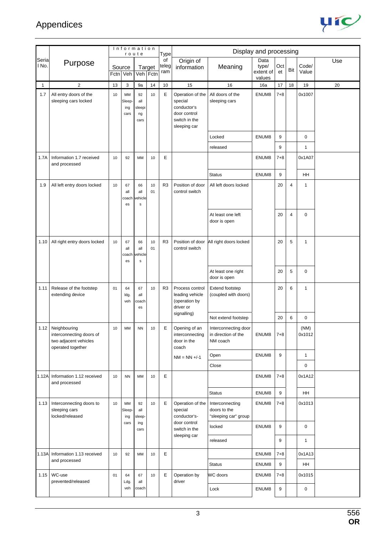

|                |                                                                                             |                |                             | Information<br>route                |                    | Type               |                                                                                             |                                                         | Display and processing               |           |                |                |     |
|----------------|---------------------------------------------------------------------------------------------|----------------|-----------------------------|-------------------------------------|--------------------|--------------------|---------------------------------------------------------------------------------------------|---------------------------------------------------------|--------------------------------------|-----------|----------------|----------------|-----|
| Seria<br>l No. | Purpose                                                                                     | Source<br>Fctn | Veh                         |                                     | Target<br>Veh Fctn | of<br>teleg<br>ram | Origin of<br>information                                                                    | Meaning                                                 | Data<br>type/<br>extent of<br>values | Oct<br>et | Bit            | Code/<br>Value | Use |
| $\mathbf{1}$   | $\overline{2}$                                                                              | 13             | 3                           | 9a                                  | 14                 | 10                 | 15                                                                                          | 16                                                      | 16a                                  | 17        | 18             | 19             | 20  |
| 1.7            | All entry doors of the<br>sleeping cars locked                                              | 10             | MM<br>Sleep-<br>ing<br>cars | 92<br>all<br>sleepi<br>ng<br>cars   | 10                 | E                  | Operation of the<br>special<br>conductor's<br>door control<br>switch in the<br>sleeping car | All doors of the<br>sleeping cars                       | ENUM8                                | $7 + 8$   |                | 0x1007         |     |
|                |                                                                                             |                |                             |                                     |                    |                    |                                                                                             | Locked                                                  | ENUM8                                | 9         |                | $\mathbf 0$    |     |
|                |                                                                                             |                |                             |                                     |                    |                    |                                                                                             | released                                                |                                      | 9         |                | $\mathbf{1}$   |     |
| 1.7A           | Information 1.7 received<br>and processed                                                   | 10             | 92                          | <b>MM</b>                           | 10                 | E                  |                                                                                             |                                                         | ENUM8                                | $7 + 8$   |                | 0x1A07         |     |
|                |                                                                                             |                |                             |                                     |                    |                    |                                                                                             | <b>Status</b>                                           | ENUM8                                | 9         |                | HH             |     |
| 1.9            | All left entry doors locked                                                                 | 10             | 67<br>all<br>coach<br>es    | 66<br>all<br>ehicle<br>$\mathsf{s}$ | 10<br>01           | R <sub>3</sub>     | Position of door<br>control switch                                                          | All left doors locked                                   |                                      | 20        | $\overline{4}$ | 1              |     |
|                |                                                                                             |                |                             |                                     |                    |                    |                                                                                             | At least one left<br>door is open                       |                                      | 20        | $\overline{4}$ | $\mathbf 0$    |     |
| 1.10           | All right entry doors locked                                                                | 10             | 67<br>all<br>coach<br>es    | 66<br>all<br>ehicle<br>$\mathsf{s}$ | 10<br>01           | R <sub>3</sub>     | Position of door<br>control switch                                                          | All right doors locked                                  |                                      | 20        | 5              | 1              |     |
|                |                                                                                             |                |                             |                                     |                    |                    |                                                                                             | At least one right<br>door is open                      |                                      | 20        | 5              | $\mathbf 0$    |     |
| 1.11           | Release of the footstep<br>extending device                                                 | 01             | 64<br>ldg.<br>veh           | 67<br>all<br>coach<br>es            | 10                 | R <sub>3</sub>     | Process control<br>leading vehicle<br>(operation by<br>driver or                            | Extend footstep<br>(coupled with doors)                 |                                      | 20        | 6              | $\mathbf{1}$   |     |
|                |                                                                                             |                |                             |                                     |                    |                    | signalling)                                                                                 | Not extend footstep                                     |                                      | 20        | 6              | 0              |     |
|                | 1.12 Neighbouring<br>interconnecting doors of<br>two adjacent vehicles<br>operated together | 10             | MM                          | <b>NN</b>                           | 10                 | E                  | Opening of an<br>interconnecting<br>door in the<br>coach                                    | Interconnecting door<br>in direction of the<br>NM coach | ENUM8                                | $7 + 8$   |                | (NM)<br>0x1012 |     |
|                |                                                                                             |                |                             |                                     |                    |                    | $NM = NN +/-1$                                                                              | Open                                                    | ENUM8                                | 9         |                | $\mathbf{1}$   |     |
|                |                                                                                             |                |                             |                                     |                    |                    |                                                                                             | Close                                                   |                                      |           |                | $\pmb{0}$      |     |
| 1.12A          | Information 1.12 received<br>and processed                                                  | 10             | <b>NN</b>                   | MM                                  | 10                 | Е                  |                                                                                             |                                                         | ENUM8                                | $7 + 8$   |                | 0x1A12         |     |
|                |                                                                                             |                |                             |                                     |                    |                    |                                                                                             | <b>Status</b>                                           | ENUM8                                | 9         |                | HH             |     |
| 1.13           | Interconnecting doors to<br>sleeping cars<br>locked/released                                | 10             | MM<br>Sleep-<br>ing         | 92<br>all<br>sleep-                 | 10                 | E                  | Operation of the<br>special<br>conductor's-                                                 | Interconnecting<br>doors to the<br>"sleeping car" group | ENUM8                                | $7 + 8$   |                | 0x1013         |     |
|                |                                                                                             |                | cars                        | ing<br>cars                         |                    |                    | door control<br>switch in the                                                               | locked                                                  | ENUM8                                | 9         |                | $\mathbf 0$    |     |
|                |                                                                                             |                |                             |                                     |                    |                    | sleeping car                                                                                | released                                                |                                      | 9         |                | $\mathbf{1}$   |     |
|                | 1.13A Information 1.13 received                                                             | 10             | 92                          | MМ                                  | 10                 | E                  |                                                                                             |                                                         | ENUM8                                | $7 + 8$   |                | 0x1A13         |     |
|                | and processed                                                                               |                |                             |                                     |                    |                    |                                                                                             | <b>Status</b>                                           | ENUM8                                | 9         |                | HH             |     |
| 1.15           | WC-use<br>prevented/released                                                                | 01             | 64<br>Ldg.                  | 67<br>all                           | 10                 | Е                  | Operation by<br>driver                                                                      | WC doors                                                | ENUM8                                | $7 + 8$   |                | 0x1015         |     |
|                |                                                                                             |                | veh                         | coach                               |                    |                    |                                                                                             | Lock                                                    | ENUM8                                | 9         |                | $\pmb{0}$      |     |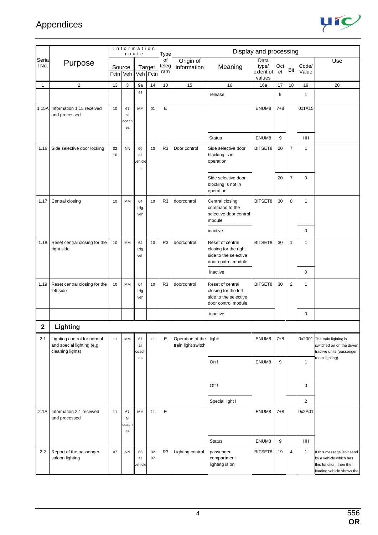

|                |                                                                               |          |                          | Information<br>route                |          | <b>Type</b>        |                                        |                                                                                           | Display and processing               |           |                |                |                                                                                                            |
|----------------|-------------------------------------------------------------------------------|----------|--------------------------|-------------------------------------|----------|--------------------|----------------------------------------|-------------------------------------------------------------------------------------------|--------------------------------------|-----------|----------------|----------------|------------------------------------------------------------------------------------------------------------|
| Seria<br>I No. | Purpose                                                                       |          | Source<br>Fctn Veh       | Veh Fctn                            | Target   | of<br>teleg<br>ram | Origin of<br>information               | Meaning                                                                                   | Data<br>type/<br>extent of<br>values | Oct<br>et | Bit            | Code/<br>Value | Use                                                                                                        |
| 1              | $\overline{2}$                                                                | 13       | 3                        | 9a                                  | 14       | 10                 | 15                                     | 16                                                                                        | 16a                                  | 17        | 18             | 19             | 20                                                                                                         |
|                |                                                                               |          |                          | es                                  |          |                    |                                        | release                                                                                   |                                      | 9         |                | 1              |                                                                                                            |
| 1.15A          | Information 1.15 received<br>and processed                                    | 10       | 67<br>all<br>coach<br>es | MM                                  | 01       | E                  |                                        |                                                                                           | ENUM8                                | $7 + 8$   |                | 0x1A15         |                                                                                                            |
|                |                                                                               |          |                          |                                     |          |                    |                                        | <b>Status</b>                                                                             | ENUM8                                | 9         |                | HH             |                                                                                                            |
| 1.16           | Side selective door locking                                                   | 02<br>10 | <b>NN</b>                | 66<br>all<br>ehicle<br>$\mathsf{s}$ | 10       | R <sub>3</sub>     | Door control                           | Side selective door<br>blocking is in<br>operation                                        | BITSET8                              | 20        | $\overline{7}$ | 1              |                                                                                                            |
|                |                                                                               |          |                          |                                     |          |                    |                                        | Side selective door<br>blocking is not in<br>operation                                    |                                      | 20        | $\overline{7}$ | 0              |                                                                                                            |
| 1.17           | Central closing                                                               | 10       | MM                       | 64<br>Ldg.<br>veh                   | 10       | R <sub>3</sub>     | doorcontrol                            | Central closing<br>command to the<br>selective door control<br>module                     | BITSET8                              | 30        | 0              | 1              |                                                                                                            |
|                |                                                                               |          |                          |                                     |          |                    |                                        | inactive                                                                                  |                                      |           |                | $\mathbf 0$    |                                                                                                            |
| 1.18           | Reset central closing for the<br>right side                                   | 10       | MM                       | 64<br>Ldg.<br>veh                   | 10       | R <sub>3</sub>     | doorcontrol                            | Reset of central<br>closing for the right<br>side to the selective<br>door control module | BITSET8                              | 30        | $\mathbf{1}$   | 1              |                                                                                                            |
|                |                                                                               |          |                          |                                     |          |                    |                                        | inactive                                                                                  |                                      |           |                | $\mathbf 0$    |                                                                                                            |
| 1.19           | Reset central closing for the<br>left side                                    | 10       | MM                       | 64<br>Ldg.<br>veh                   | 10       | R <sub>3</sub>     | doorcontrol                            | Reset of central<br>closing for the left<br>side to the selective<br>door control module  | BITSET8                              | 30        | 2              | 1              |                                                                                                            |
|                |                                                                               |          |                          |                                     |          |                    |                                        | inactive                                                                                  |                                      |           |                | $\mathbf 0$    |                                                                                                            |
| $\overline{2}$ | Lighting                                                                      |          |                          |                                     |          |                    |                                        |                                                                                           |                                      |           |                |                |                                                                                                            |
| 2.1            | Lighting control for normal<br>and special lighting (e.g.<br>cleaning lights) | 11       | MM                       | 67<br>all<br>coach                  | 11       | E                  | Operation of the<br>train light switch | light:                                                                                    | ENUM8                                | $7 + 8$   |                | 0x2001         | The train lighting is<br>switched on on the driven<br>ractive units (passenger                             |
|                |                                                                               |          |                          | es                                  |          |                    |                                        | On!                                                                                       | ENUM8                                | 9         |                | $\mathbf{1}$   | room lighting)                                                                                             |
|                |                                                                               |          |                          |                                     |          |                    |                                        | Off!                                                                                      |                                      |           |                | $\mathbf 0$    |                                                                                                            |
|                |                                                                               |          |                          |                                     |          |                    |                                        | Special light!                                                                            |                                      |           |                | $\overline{2}$ |                                                                                                            |
| 2.1A           | Information 2.1 received<br>and processed                                     | 11       | 67<br>all<br>coach<br>es | MM                                  | 11       | E                  |                                        |                                                                                           | ENUM8                                | $7 + 8$   |                | 0x2A01         |                                                                                                            |
|                |                                                                               |          |                          |                                     |          |                    |                                        | <b>Status</b>                                                                             | ENUM8                                | 9         |                | HH             |                                                                                                            |
| 2.2            | Report of the passenger<br>saloon lighting                                    | 07       | <b>NN</b>                | 66<br>all<br>ehicle                 | 02<br>07 | R <sub>3</sub>     | Lighting control                       | passenger<br>compartment<br>lighting is on                                                | BITSET8                              | 19        | $\overline{4}$ | $\mathbf{1}$   | f this message isn't send<br>by a vehicle which has<br>this function, then the<br>eading vehicle shows the |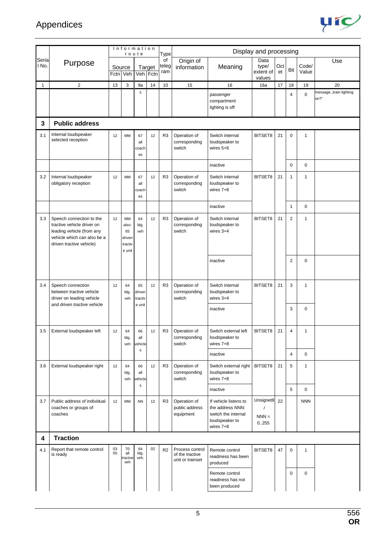

|                |                                                                                                                                                |                | Information<br>route                             |                          |                    | <b>Type</b>        |                                                        |                                                                                                 | Display and processing               |           |                |                |                                 |
|----------------|------------------------------------------------------------------------------------------------------------------------------------------------|----------------|--------------------------------------------------|--------------------------|--------------------|--------------------|--------------------------------------------------------|-------------------------------------------------------------------------------------------------|--------------------------------------|-----------|----------------|----------------|---------------------------------|
| Seria<br>I No. | Purpose                                                                                                                                        | Source<br>Fctn | Veh                                              |                          | Target<br>Veh Fctn | of<br>teleg<br>ram | Origin of<br>information                               | Meaning                                                                                         | Data<br>type/<br>extent of<br>values | Oct<br>et | Bit            | Code/<br>Value | Use                             |
| $\mathbf{1}$   | $\overline{c}$                                                                                                                                 | 13             | 3                                                | 9a                       | 14                 | 10                 | 15                                                     | 16                                                                                              | 16a                                  | 17        | 18             | 19             | 20                              |
|                |                                                                                                                                                |                |                                                  | $\mathsf{s}$             |                    |                    |                                                        | passenger<br>compartment<br>lighting is off                                                     |                                      |           | $\overline{4}$ | $\mathbf 0$    | message "train lighting<br>on?" |
| 3              | <b>Public address</b>                                                                                                                          |                |                                                  |                          |                    |                    |                                                        |                                                                                                 |                                      |           |                |                |                                 |
| 3.1            | Internal loudspeaker<br>selected reception                                                                                                     | 12             | MM                                               | 67<br>all<br>coach<br>es | 12                 | R <sub>3</sub>     | Operation of<br>corresponding<br>switch                | Switch internal<br>loudspeaker to<br>wires $5+6$                                                | BITSET8                              | 21        | 0              | $\mathbf{1}$   |                                 |
|                |                                                                                                                                                |                |                                                  |                          |                    |                    |                                                        | inactive                                                                                        |                                      |           | 0              | $\mathbf 0$    |                                 |
| 3.2            | Internal loudspeaker<br>obligatory reception                                                                                                   | 12             | <b>MM</b>                                        | 67<br>all<br>coach<br>es | 12                 | R3                 | Operation of<br>corresponding<br>switch                | Switch internal<br>loudspeaker to<br>wires 7+8                                                  | BITSET8                              | 21        | 1              | $\mathbf{1}$   |                                 |
|                |                                                                                                                                                |                |                                                  |                          |                    |                    |                                                        | inactive                                                                                        |                                      |           | $\mathbf{1}$   | $\mathbf 0$    |                                 |
| 3.3            | Speech connection to the<br>tractive vehicle driver on<br>leading vehicle (from any<br>vehicle which can also be a<br>driven tractive vehicle) | 12             | MM<br>also:<br>65<br>driven<br>tractiv<br>e unit | 64<br>ldg.<br>veh        | 12                 | R <sub>3</sub>     | Operation of<br>corresponding<br>switch                | Switch internal<br>loudspeaker to<br>wires $3+4$                                                | BITSET8                              | 21        | $\overline{2}$ | $\mathbf{1}$   |                                 |
|                |                                                                                                                                                |                |                                                  |                          |                    |                    |                                                        | inactive                                                                                        |                                      |           | $\overline{2}$ | $\mathbf 0$    |                                 |
| 3.4            | Speech connection<br>between tractive vehicle<br>driver on leading vehicle<br>and driven tractive vehicle                                      | 12             | 64<br>ldg.<br>veh                                | 65<br>driven<br>tractiv  | 12                 | R <sub>3</sub>     | Operation of<br>corresponding<br>switch                | Switch internal<br>loudspeaker to<br>wires $3+4$                                                | BITSET8                              | 21        | 3              | $\mathbf{1}$   |                                 |
|                |                                                                                                                                                |                |                                                  | e unit                   |                    |                    |                                                        | inactive                                                                                        |                                      |           | 3              | $\mathbf 0$    |                                 |
| 3.5            | External loudspeaker left                                                                                                                      | 12             | 64<br>ldg.<br>veh                                | 66<br>all<br>vehicle     | 12                 | R3                 | Operation of<br>corresponding<br>switch                | Switch external left<br>loudspeaker to<br>wires 7+8                                             | BITSET8                              | 21        | 4              | $\mathbf{1}$   |                                 |
|                |                                                                                                                                                |                |                                                  | $\mathbf s$              |                    |                    |                                                        | inactive                                                                                        |                                      |           | 4              | $\pmb{0}$      |                                 |
| 3.6            | External loudspeaker right                                                                                                                     | 12             | 64<br>ldg.<br>veh                                | 66<br>all<br>vehicle     | 12                 | R3                 | Operation of<br>corresponding<br>switch                | Switch external right<br>loudspeaker to<br>wires 7+8                                            | BITSET8                              | 21        | 5              | $\mathbf{1}$   |                                 |
|                |                                                                                                                                                |                |                                                  | $\mathbf s$              |                    |                    |                                                        | inactive                                                                                        |                                      |           | 5              | $\mathbf 0$    |                                 |
| 3.7            | Public address of individual<br>coaches or groups of<br>coaches                                                                                | 12             | MM                                               | <b>NN</b>                | 12                 | R3                 | Operation of<br>public address<br>equipment            | If vehicle listens to<br>the address NNN:<br>switch the internal<br>loudspeaker to<br>wires 7+8 | Unsignet8<br>$NNN =$<br>0.255        | 22        |                | <b>NNN</b>     |                                 |
| 4              | <b>Traction</b>                                                                                                                                |                |                                                  |                          |                    |                    |                                                        |                                                                                                 |                                      |           |                |                |                                 |
| 4.1            | Report that remote control<br>is ready                                                                                                         | 03<br>05       | 70<br>all<br>ractve<br>veh                       | 64<br>ldg.<br>veh.       | 02                 | R <sub>2</sub>     | Process control<br>of the tractive<br>unit or trainset | Remote control<br>readiness has been<br>produced                                                | BITSET8                              | 47        | $\mathbf 0$    | 1              |                                 |
|                |                                                                                                                                                |                |                                                  |                          |                    |                    |                                                        | Remote control<br>readiness has not<br>been produced                                            |                                      |           | 0              | 0              |                                 |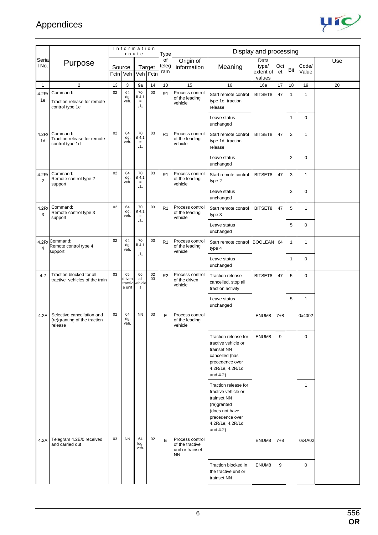

|                         |                                                                       |      | Information                       | route                              |          | <b>Type</b>        |                                                                     |                                                                                                                                                   | Display and processing               |           |              |                |     |
|-------------------------|-----------------------------------------------------------------------|------|-----------------------------------|------------------------------------|----------|--------------------|---------------------------------------------------------------------|---------------------------------------------------------------------------------------------------------------------------------------------------|--------------------------------------|-----------|--------------|----------------|-----|
| Seria<br>I No.          | Purpose                                                               | Fctn | Source<br>Veh                     | Veh Fctn                           | Target   | of<br>teleg<br>ram | Origin of<br>information                                            | Meaning                                                                                                                                           | Data<br>type/<br>extent of<br>values | Oct<br>et | Bit          | Code/<br>Value | Use |
| 1                       | $\overline{2}$                                                        | 13   | 3                                 | 9a                                 | 14       | 10                 | 15                                                                  | 16                                                                                                                                                | 16a                                  | 17        | 18           | 19             | 20  |
| 4.2R<br>1e              | Command:<br>Traction release for remote<br>control type 1e            | 02   | 64<br>ldg.<br>veh.                | 70<br>if 4.1<br>$\, =$<br>"1"      | 03       | R <sub>1</sub>     | Process control<br>of the leading<br>vehicle                        | Start remote control<br>type 1e, traction<br>release                                                                                              | BITSET8                              | 47        | $\mathbf{1}$ | $\mathbf{1}$   |     |
|                         |                                                                       |      |                                   |                                    |          |                    |                                                                     | Leave status<br>unchanged                                                                                                                         |                                      |           | 1            | $\mathbf 0$    |     |
| 4.2R/<br>1 <sub>d</sub> | Command:<br>Traction release for remote<br>control type 1d            | 02   | 64<br>ldg.<br>veh.                | 70<br>if 4.1<br>$\equiv$<br>,, 1,, | 03       | R <sub>1</sub>     | Process control<br>of the leading<br>vehicle                        | Start remote control<br>type 1d, traction<br>release                                                                                              | BITSET8                              | 47        | 2            | $\mathbf{1}$   |     |
|                         |                                                                       |      |                                   |                                    |          |                    |                                                                     | Leave status<br>unchanged                                                                                                                         |                                      |           | 2            | $\mathbf 0$    |     |
| 4.2R/<br>2              | Command:<br>Remote control type 2<br>support                          | 02   | 64<br>ldg.<br>veh.                | 70<br>if 4.1<br>$\equiv$<br>,, 1,, | 03       | R1                 | Process control<br>of the leading<br>vehicle                        | Start remote control<br>type 2                                                                                                                    | BITSET8                              | 47        | 3            | 1              |     |
|                         |                                                                       |      |                                   |                                    |          |                    |                                                                     | Leave status<br>unchanged                                                                                                                         |                                      |           | 3            | $\mathbf 0$    |     |
| 4.2R/<br>3              | Command:<br>Remote control type 3<br>support                          | 02   | 64<br>ldg.<br>veh.                | 70<br>if 4.1<br>$\equiv$           | 03       | R1                 | Process control<br>of the leading<br>vehicle                        | Start remote control<br>type 3                                                                                                                    | BITSET8                              | 47        | 5            | $\mathbf{1}$   |     |
|                         |                                                                       |      |                                   | ,, 1,,                             |          |                    |                                                                     | Leave status<br>unchanged                                                                                                                         |                                      |           | 5            | $\mathbf 0$    |     |
| $\overline{4}$          | 4.2R/Command:<br>Remote control type 4<br>support                     | 02   | 64<br>ldg.<br>veh.                | 70<br>if 4.1<br>$\equiv$           | 03       | R <sub>1</sub>     | Process control<br>of the leading<br>vehicle                        | Start remote control<br>type 4                                                                                                                    | <b>BOOLEAN</b>                       | 64        | $\mathbf{1}$ | $\mathbf{1}$   |     |
|                         |                                                                       |      |                                   | "1"                                |          |                    |                                                                     | Leave status<br>unchanged                                                                                                                         |                                      |           | 1            | $\mathbf 0$    |     |
| 4.2                     | Traction blocked for all<br>tractive vehicles of the train            | 03   | 65<br>driven<br>tractiv<br>e unit | 66<br>all<br>ehicle<br>${\sf s}$   | 02<br>03 | R <sub>2</sub>     | Process control<br>of the driven<br>vehicle                         | <b>Traction release</b><br>cancelled, stop all<br>traction activity                                                                               | BITSET8                              | 47        | 5            | $\mathbf 0$    |     |
|                         |                                                                       |      |                                   |                                    |          |                    |                                                                     | Leave status<br>unchanged                                                                                                                         |                                      |           | 5            | $\mathbf{1}$   |     |
| 4.2E                    | Selective cancellation and<br>(re)granting of the traction<br>release | 02   | 64<br>ldg.<br>veh.                | <b>NN</b>                          | 03       | E                  | Process control<br>of the leading<br>vehicle                        |                                                                                                                                                   | ENUM8                                | $7 + 8$   |              | 0x4002         |     |
|                         |                                                                       |      |                                   |                                    |          |                    |                                                                     | Traction release for<br>tractive vehicle or<br>trainset NN<br>cancelled (has<br>precedence over<br>4.2R/1e, 4.2R/1d<br>and $4.2$ )                | ENUM8                                | 9         |              | $\mathbf 0$    |     |
|                         |                                                                       |      |                                   |                                    |          |                    |                                                                     | Traction release for<br>tractive vehicle or<br>trainset NN<br>(re)granted<br>(does not have<br>precedence over<br>4.2R/1e, 4.2R/1d<br>and $4.2$ ) |                                      |           |              | $\mathbf{1}$   |     |
| 4.2A                    | Telegram 4.2E/0 received<br>and carried out                           | 03   | <b>NN</b>                         | 64<br>ldg.<br>veh.                 | 02       | E                  | Process control<br>of the tractive<br>unit or trainset<br><b>NN</b> |                                                                                                                                                   | ENUM8                                | $7 + 8$   |              | 0x4A02         |     |
|                         |                                                                       |      |                                   |                                    |          |                    |                                                                     | Traction blocked in<br>the tractive unit or<br>trainset NN                                                                                        | ENUM8                                | 9         |              | $\mathbf 0$    |     |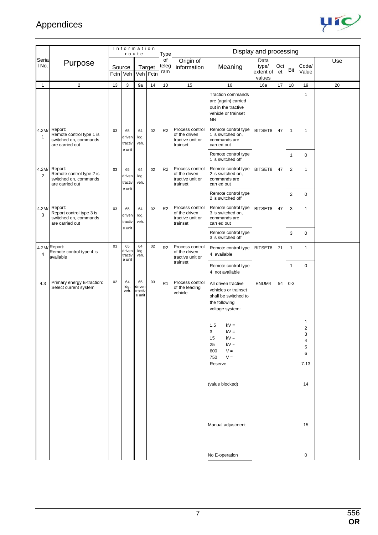

|                         |                                                                                 | Information<br>route |                                   |                                   |        | Type               |                                                                  |                                                                                                               | Display and processing               |           |                |                                        |     |
|-------------------------|---------------------------------------------------------------------------------|----------------------|-----------------------------------|-----------------------------------|--------|--------------------|------------------------------------------------------------------|---------------------------------------------------------------------------------------------------------------|--------------------------------------|-----------|----------------|----------------------------------------|-----|
| Seria<br>I No.          | Purpose                                                                         | Fctn                 | Source<br>Veh                     | Veh Fctn                          | Target | of<br>teleg<br>ram | Origin of<br>information                                         | Meaning                                                                                                       | Data<br>type/<br>extent of<br>values | Oct<br>et | Bit            | Code/<br>Value                         | Use |
| $\overline{1}$          | $\overline{2}$                                                                  | 13                   | 3                                 | 9a                                | 14     | 10                 | 15                                                               | 16                                                                                                            | 16a                                  | 17        | 18             | 19                                     | 20  |
|                         |                                                                                 |                      |                                   |                                   |        |                    |                                                                  | <b>Traction commands</b><br>are (again) carried<br>out in the tractive<br>vehicle or trainset<br><b>NN</b>    |                                      |           |                | $\mathbf{1}$                           |     |
| 4.2M/<br>1              | Report:<br>Remote control type 1 is<br>switched on, commands<br>are carried out | 03                   | 65<br>driven<br>tractiv<br>e unit | 64<br>ldg.<br>veh.                | 02     | R <sub>2</sub>     | Process control<br>of the driven<br>tractive unit or<br>trainset | Remote control type<br>1 is switched on,<br>commands are<br>carried out                                       | BITSET8                              | 47        | $\mathbf{1}$   | $\mathbf{1}$                           |     |
|                         |                                                                                 |                      |                                   |                                   |        |                    |                                                                  | Remote control type<br>1 is switched off                                                                      |                                      |           | $\mathbf{1}$   | $\mathbf 0$                            |     |
| 4.2M/<br>$\overline{2}$ | Report:<br>Remote control type 2 is<br>switched on, commands<br>are carried out | 03                   | 65<br>driven<br>tractiv<br>e unit | 64<br>ldg.<br>veh.                | 02     | R <sub>2</sub>     | Process control<br>of the driven<br>tractive unit or<br>trainset | Remote control type<br>2 is switched on,<br>commands are<br>carried out                                       | BITSET8                              | 47        | $\overline{2}$ | 1                                      |     |
|                         |                                                                                 |                      |                                   |                                   |        |                    |                                                                  | Remote control type<br>2 is switched off                                                                      |                                      |           | $\overline{2}$ | $\mathbf 0$                            |     |
| 4.2M/<br>3              | Report:<br>Report control type 3 is<br>switched on, commands<br>are carried out | 03                   | 65<br>driven<br>tractiv           | 64<br>ldg.<br>veh.                | 02     | R <sub>2</sub>     | Process control<br>of the driven<br>tractive unit or<br>trainset | Remote control type<br>3 is switched on,<br>commands are<br>carried out                                       | BITSET8                              | 47        | 3              | 1                                      |     |
|                         |                                                                                 |                      | e unit                            |                                   |        |                    |                                                                  | Remote control type<br>3 is switched off                                                                      |                                      |           | 3              | $\mathbf 0$                            |     |
| $\overline{4}$          | 4.2M/Report:<br>Remote control type 4 is<br>available                           | 03                   | 65<br>driven<br>tractiv           | 64<br>Idg.<br>veh.                | 02     | R <sub>2</sub>     | Process control<br>of the driven<br>tractive unit or             | Remote control type<br>4 available                                                                            | BITSET8                              | 71        | $\mathbf{1}$   | 1                                      |     |
|                         |                                                                                 |                      | e unit                            |                                   |        |                    | trainset                                                         | Remote control type<br>4 not available                                                                        |                                      |           | 1              | $\mathbf 0$                            |     |
| 4.3                     | Primary energy E-traction:<br>Select current system                             | 02                   | 64<br>ldg.<br>veh.                | 65<br>driven<br>tractiv<br>e unit | 03     | R1                 | Process control<br>of the leading<br>vehicle                     | All driven tractive<br>vehicles or trainset<br>shall be switched to<br>the following<br>voltage system:       | ENUM4                                | 54        | $0 - 3$        |                                        |     |
|                         |                                                                                 |                      |                                   |                                   |        |                    |                                                                  | 1,5<br>$kV =$<br>3<br>$kV =$<br>$kV \sim$<br>15<br>$kV \sim$<br>25<br>$V =$<br>600<br>750<br>$V =$<br>Reserve |                                      |           |                | 1<br>2<br>3<br>4<br>5<br>6<br>$7 - 13$ |     |
|                         |                                                                                 |                      |                                   |                                   |        |                    |                                                                  | (value blocked)                                                                                               |                                      |           |                | 14                                     |     |
|                         |                                                                                 |                      |                                   |                                   |        |                    |                                                                  | Manual adjustment                                                                                             |                                      |           |                | 15                                     |     |
|                         |                                                                                 |                      |                                   |                                   |        |                    |                                                                  | No E-operation                                                                                                |                                      |           |                | $\mathbf 0$                            |     |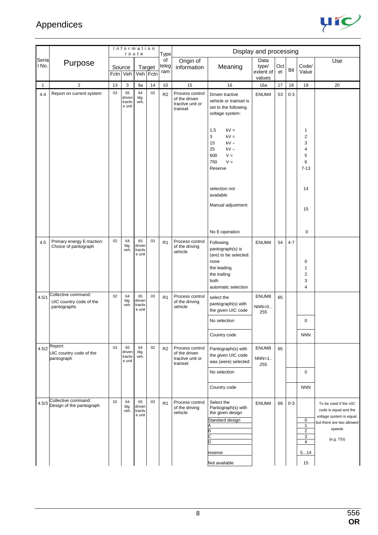

|               |                                                               |    | Information                       | route                             |        | Type               |                                                                  |                                                                                                                              | Display and processing               |           |         |                                                                    |                                                                                                                                 |
|---------------|---------------------------------------------------------------|----|-----------------------------------|-----------------------------------|--------|--------------------|------------------------------------------------------------------|------------------------------------------------------------------------------------------------------------------------------|--------------------------------------|-----------|---------|--------------------------------------------------------------------|---------------------------------------------------------------------------------------------------------------------------------|
| Seria<br>∣No. | Purpose                                                       |    | Source<br>Fctn Veh                | Veh Fctn                          | Target | of<br>teleg<br>ram | Origin of<br>information                                         | Meaning                                                                                                                      | Data<br>type/<br>extent of<br>values | Oct<br>et | Bit     | Code/<br>Value                                                     | Use                                                                                                                             |
| 1             | $\sqrt{2}$                                                    | 13 | 3                                 | 9a                                | 14     | 10                 | 15                                                               | 16                                                                                                                           | 16a                                  | 17        | 18      | 19                                                                 | 20                                                                                                                              |
| 4.4           | Report on current system                                      | 03 | 65<br>driven<br>tractiv<br>e unit | 64<br>Idg.<br>veh.                | 02     | R2                 | Process control<br>of the driven<br>tractive unit or<br>trainset | Driven tractive<br>vehicle or trainset is<br>set to the following<br>voltage system:<br>1,5<br>$kV =$                        | ENUM4                                | 53        | $0 - 3$ | 1                                                                  |                                                                                                                                 |
|               |                                                               |    |                                   |                                   |        |                    |                                                                  | $kV =$<br>3<br>$kV \sim$<br>15<br>25<br>$kV \sim$<br>$V =$<br>600<br>$V =$<br>750<br>Reserve                                 |                                      |           |         | 2<br>3<br>4<br>5<br>6<br>$7-13$                                    |                                                                                                                                 |
|               |                                                               |    |                                   |                                   |        |                    |                                                                  | selection not<br>available<br>Manual adjustment                                                                              |                                      |           |         | 14<br>15                                                           |                                                                                                                                 |
|               |                                                               |    |                                   |                                   |        |                    |                                                                  | No E-operation                                                                                                               |                                      |           |         | 0                                                                  |                                                                                                                                 |
| 4.5           | Primary energy E-traction:<br>Choice of pantograph            | 02 | 64<br>ldg.<br>veh.                | 65<br>driven<br>tractiv<br>e unit | 03     | R1                 | Process control<br>of the driving<br>vehicle                     | Following<br>pantograph(s) is<br>(are) to be selected:<br>none<br>the leading<br>the trailing<br>both<br>automatic selection | ENUM4                                | 54        | $4 - 7$ | 0<br>1<br>2<br>3<br>4                                              |                                                                                                                                 |
| 4.5/1         | Collective command:<br>UIC country code of the<br>pantographs | 02 | 64<br>ldg.<br>veh.                | 65<br>driven<br>tractiv<br>e unit | 03     | R <sub>1</sub>     | Process control<br>of the driving<br>vehicle                     | select the<br>pantograph(s) with<br>the given UIC code                                                                       | ENUM8<br>$NNN=0$<br>255              | 65        |         |                                                                    |                                                                                                                                 |
|               |                                                               |    |                                   |                                   |        |                    |                                                                  | No selection                                                                                                                 |                                      |           |         | $\mathbf 0$                                                        |                                                                                                                                 |
|               |                                                               |    |                                   |                                   |        |                    |                                                                  | Country code                                                                                                                 |                                      |           |         | <b>NNN</b>                                                         |                                                                                                                                 |
| 4.5/2         | Report:<br>UIC country code of the<br>pantograph              | 03 | 65<br>driven<br>tractiv<br>e unit | 64<br>ldg.<br>veh.                | 02     | R2                 | Process control<br>of the driven<br>tractive unit or<br>trainset | Pantograph(s) with<br>the given UIC code<br>was (were) selected                                                              | ENUM8<br>$NNN=1$<br>255              | 65        |         |                                                                    |                                                                                                                                 |
|               |                                                               |    |                                   |                                   |        |                    |                                                                  | No selection                                                                                                                 |                                      |           |         | $\mathbf 0$                                                        |                                                                                                                                 |
|               |                                                               |    |                                   |                                   |        |                    |                                                                  | Country code                                                                                                                 |                                      |           |         | <b>NNN</b>                                                         |                                                                                                                                 |
| 4.5/3         | Collective command:<br>Design of the pantograph               | 02 | 64<br>ldg.<br>veh.                | 65<br>driven<br>tractiv<br>e unit | 03     | R <sub>1</sub>     | Process control<br>of the driving<br>vehicle                     | Select the<br>Pantograph(s) with<br>the given design<br>Standard design<br>B                                                 | ENUM4                                | 66        | $0 - 3$ | $\pmb{0}$<br>$\mathbf{1}$<br>$\overline{2}$<br>3<br>$\overline{4}$ | To be used if the UIC<br>code is equal and the<br>voltage system is equal,<br>but there are two allowed<br>speeds<br>(e.g. TSI) |
|               |                                                               |    |                                   |                                   |        |                    |                                                                  | reserve<br>Not available                                                                                                     |                                      |           |         | 514<br>15                                                          |                                                                                                                                 |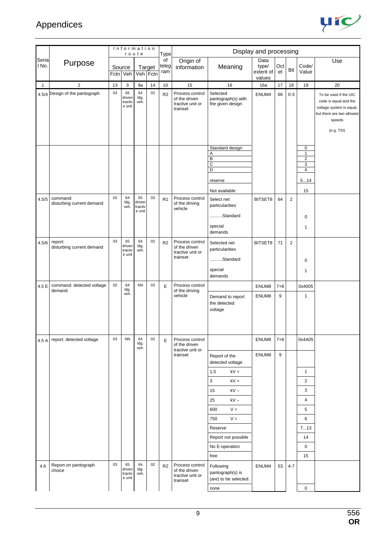

|                |                                       |    | Information                       | route                             |          | <b>Type</b>        |                                                                  |                                                                   | Display and processing     |           |                |                     |                                                                                                                                 |
|----------------|---------------------------------------|----|-----------------------------------|-----------------------------------|----------|--------------------|------------------------------------------------------------------|-------------------------------------------------------------------|----------------------------|-----------|----------------|---------------------|---------------------------------------------------------------------------------------------------------------------------------|
| Seria<br>I No. | Purpose                               |    | Source                            |                                   | Target   | of<br>teleg<br>ram | Origin of<br>information                                         | Meaning                                                           | Data<br>type/<br>extent of | Oct<br>et | Bit            | Code/<br>Value      | Use                                                                                                                             |
|                |                                       |    | Fctn Veh                          |                                   | Veh Fctn |                    |                                                                  |                                                                   | values                     |           |                |                     |                                                                                                                                 |
| $\mathbf{1}$   | $\overline{2}$                        | 13 | 3                                 | 9a                                | 14       | 10                 | 15                                                               | 16                                                                | 16a                        | 17        | 18             | 19                  | 20                                                                                                                              |
|                | 4.5/4 Design of the pantograph        | 03 | 65<br>driven<br>tractiv<br>e unit | 64<br>ldg.<br>veh.                | 02       | R <sub>2</sub>     | Process control<br>of the driven<br>tractive unit or<br>trainset | Selected<br>pantograph(s) with<br>the given design                | ENUM4                      | 66        | $0 - 3$        |                     | To be used if the UIC<br>code is equal and the<br>voltage system is equal,<br>but there are two allowed<br>speeds<br>(e.g. TSI) |
|                |                                       |    |                                   |                                   |          |                    |                                                                  | Standard design                                                   |                            |           |                | 0                   |                                                                                                                                 |
|                |                                       |    |                                   |                                   |          |                    |                                                                  | Α                                                                 |                            |           |                | $\mathbf{1}$        |                                                                                                                                 |
|                |                                       |    |                                   |                                   |          |                    |                                                                  | $\overline{B}$<br>$\overline{C}$                                  |                            |           |                | $\overline{c}$<br>3 |                                                                                                                                 |
|                |                                       |    |                                   |                                   |          |                    |                                                                  | D                                                                 |                            |           |                | $\overline{4}$      |                                                                                                                                 |
|                |                                       |    |                                   |                                   |          |                    |                                                                  | reserve                                                           |                            |           |                | 514                 |                                                                                                                                 |
|                |                                       |    |                                   |                                   |          |                    |                                                                  | Not available                                                     |                            |           |                | 15                  |                                                                                                                                 |
| 4.5/5          | command:<br>disturbing current demand | 02 | 64<br>ldg.<br>veh.                | 65<br>driven<br>tractiv<br>e unit | 03       | R <sub>1</sub>     | Process control<br>of the driving<br>vehicle                     | Select net<br>particularities<br>Standard<br>special<br>demands   | BITSET8                    | 64        | $\overline{2}$ | 0<br>1              |                                                                                                                                 |
| 4.5/6          | report:<br>disturbing current demand  | 03 | 65<br>driven<br>tractiv<br>e unit | 64<br>ldg.<br>veh.                | 02       | R <sub>2</sub>     | Process control<br>of the driven<br>tractive unit or<br>trainset | Selected net<br>particularities<br>Standard<br>special<br>demands | BITSET8                    | 71        | 2              | $\mathbf 0$<br>1    |                                                                                                                                 |
| 4.5 E          | command: detected voltage             | 02 | 64                                | <b>NN</b>                         | 03       | E                  | Process control                                                  |                                                                   | ENUM8                      | $7 + 8$   |                | 0x4005              |                                                                                                                                 |
|                | demand                                |    | ldg.<br>veh.                      |                                   |          |                    | of the driving<br>vehicle                                        | Demand to report<br>the detected<br>voltage                       | ENUM8                      | 9         |                | 1                   |                                                                                                                                 |
|                | 4.5 A report: detected voltage        | 03 | <b>NN</b>                         | 64<br>ldg.<br>veh.                | 02       | E                  | Process control<br>of the driven                                 |                                                                   | ENUM8                      | $7 + 8$   |                | 0x4A05              |                                                                                                                                 |
|                |                                       |    |                                   |                                   |          |                    | tractive unit or<br>trainset                                     | Report of the<br>detected voltage                                 | ENUM8                      | 9         |                |                     |                                                                                                                                 |
|                |                                       |    |                                   |                                   |          |                    |                                                                  | 1,5<br>$kV =$                                                     |                            |           |                | $\mathbf{1}$        |                                                                                                                                 |
|                |                                       |    |                                   |                                   |          |                    |                                                                  | 3<br>$kV =$                                                       |                            |           |                | 2                   |                                                                                                                                 |
|                |                                       |    |                                   |                                   |          |                    |                                                                  | kV $\sim$<br>15                                                   |                            |           |                | 3                   |                                                                                                                                 |
|                |                                       |    |                                   |                                   |          |                    |                                                                  | 25<br>$kV \sim$                                                   |                            |           |                | $\overline{4}$      |                                                                                                                                 |
|                |                                       |    |                                   |                                   |          |                    |                                                                  | $V =$<br>600                                                      |                            |           |                | 5                   |                                                                                                                                 |
|                |                                       |    |                                   |                                   |          |                    |                                                                  | 750<br>$V =$                                                      |                            |           |                | 6                   |                                                                                                                                 |
|                |                                       |    |                                   |                                   |          |                    |                                                                  | Reserve                                                           |                            |           |                | 713                 |                                                                                                                                 |
|                |                                       |    |                                   |                                   |          |                    |                                                                  | Report not possible                                               |                            |           |                | 14                  |                                                                                                                                 |
|                |                                       |    |                                   |                                   |          |                    |                                                                  |                                                                   |                            |           |                |                     |                                                                                                                                 |
|                |                                       |    |                                   |                                   |          |                    |                                                                  | No E-operation<br>free                                            |                            |           |                | 0<br>15             |                                                                                                                                 |
| 4.6            | Report on pantograph<br>choice        | 03 | 65<br>driven<br>tractiv<br>e unit | 64<br>ldg.<br>veh.                | 02       | R <sub>2</sub>     | Process control<br>of the driven<br>tractive unit or<br>trainset | Following<br>pantograph(s) is<br>(are) to be selected:<br>none    | ENUM4                      | 53        | $4 - 7$        | 0                   |                                                                                                                                 |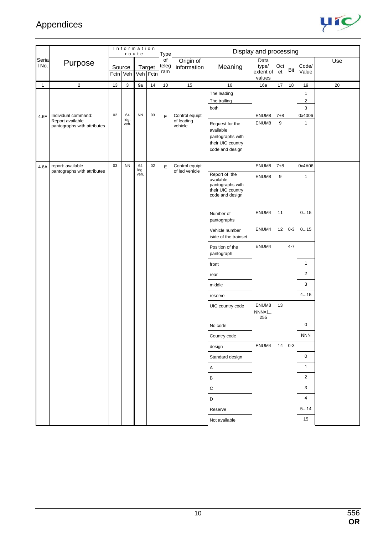

|                |                                                                        |    |                    | Information<br>route |                    | <b>Type</b>        |                                         |                                                                                          | Display and processing               |              |         |                                 |     |
|----------------|------------------------------------------------------------------------|----|--------------------|----------------------|--------------------|--------------------|-----------------------------------------|------------------------------------------------------------------------------------------|--------------------------------------|--------------|---------|---------------------------------|-----|
| Seria<br>I No. | Purpose                                                                |    | Source<br>Fctn Veh |                      | Target<br>Veh Fctn | of<br>teleg<br>ram | Origin of<br>information                | Meaning                                                                                  | Data<br>type/<br>extent of<br>values | Oct<br>et    | Bit     | Code/<br>Value                  | Use |
| $\mathbf{1}$   | $\mathbf{2}$                                                           | 13 | 3                  | 9a                   | 14                 | 10                 | 15                                      | 16                                                                                       | 16a                                  | 17           | 18      | 19                              | 20  |
|                |                                                                        |    |                    |                      |                    |                    |                                         | The leading<br>The trailing<br>both                                                      |                                      |              |         | $\mathbf{1}$<br>$\sqrt{2}$<br>3 |     |
| 4.6E           | Individual command:<br>Report available<br>pantographs with attributes | 02 | 64<br>ldg.<br>veh. | <b>NN</b>            | 03                 | E                  | Control equipt<br>of leading<br>vehicle | Request for the<br>available<br>pantographs with<br>their UIC country<br>code and design | ENUM8<br>ENUM8                       | $7 + 8$<br>9 |         | 0x4006<br>$\mathbf{1}$          |     |
| 4.6A           | report: available<br>pantographs with attributes                       | 03 | <b>NN</b>          | 64<br>ldg.<br>veh.   | 02                 | E                  | Control equipt<br>of led vehicle        | Report of the<br>available<br>pantographs with<br>their UIC country                      | ENUM8<br>ENUM8                       | $7 + 8$<br>9 |         | 0x4A06<br>$\mathbf{1}$          |     |
|                |                                                                        |    |                    |                      |                    |                    |                                         | code and design<br>Number of<br>pantographs                                              | ENUM4                                | 11           |         | 015                             |     |
|                |                                                                        |    |                    |                      |                    |                    |                                         | Vehicle number<br>iside of the trainset                                                  | ENUM4                                | 12           | $0 - 3$ | 015                             |     |
|                |                                                                        |    |                    |                      |                    |                    |                                         | Position of the<br>pantograph                                                            | ENUM4                                |              | $4 - 7$ |                                 |     |
|                |                                                                        |    |                    |                      |                    |                    |                                         | front                                                                                    |                                      |              |         | $\mathbf{1}$                    |     |
|                |                                                                        |    |                    |                      |                    |                    |                                         | rear                                                                                     |                                      |              |         | $\overline{2}$                  |     |
|                |                                                                        |    |                    |                      |                    |                    |                                         | middle                                                                                   |                                      |              |         | 3                               |     |
|                |                                                                        |    |                    |                      |                    |                    |                                         | reserve                                                                                  |                                      |              |         | 415                             |     |
|                |                                                                        |    |                    |                      |                    |                    |                                         | UIC country code                                                                         | ENUM8<br>$NNN=1$<br>255              | 13           |         |                                 |     |
|                |                                                                        |    |                    |                      |                    |                    |                                         | No code                                                                                  |                                      |              |         | $\mathbf 0$                     |     |
|                |                                                                        |    |                    |                      |                    |                    |                                         | Country code                                                                             |                                      |              |         | <b>NNN</b>                      |     |
|                |                                                                        |    |                    |                      |                    |                    |                                         | design                                                                                   | ENUM4                                | 14           | $0-3$   |                                 |     |
|                |                                                                        |    |                    |                      |                    |                    |                                         | Standard design                                                                          |                                      |              |         | $\mathbf 0$                     |     |
|                |                                                                        |    |                    |                      |                    |                    |                                         | А                                                                                        |                                      |              |         | $\mathbf{1}$                    |     |
|                |                                                                        |    |                    |                      |                    |                    |                                         | B                                                                                        |                                      |              |         | $\overline{2}$                  |     |
|                |                                                                        |    |                    |                      |                    |                    |                                         | ${\bf C}$                                                                                |                                      |              |         | 3                               |     |
|                |                                                                        |    |                    |                      |                    |                    |                                         | D                                                                                        |                                      |              |         | 4                               |     |
|                |                                                                        |    |                    |                      |                    |                    |                                         | Reserve                                                                                  |                                      |              |         | 514                             |     |
|                |                                                                        |    |                    |                      |                    |                    |                                         | Not available                                                                            |                                      |              |         | 15                              |     |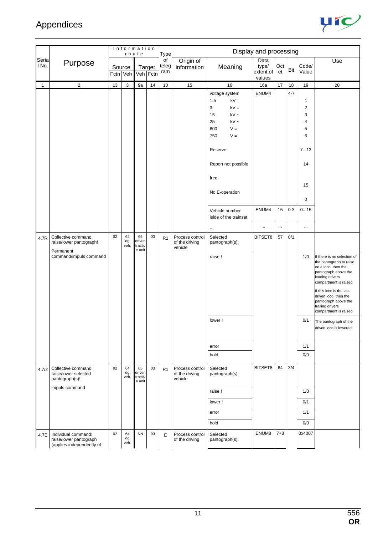

|                |                                                                                 |    |                    | Information<br>route              |                    | <b>Type</b>        |                                              |                                                                                                                              | Display and processing               |           |         |                                                         |                                                                                                                                                                                                                                                                             |
|----------------|---------------------------------------------------------------------------------|----|--------------------|-----------------------------------|--------------------|--------------------|----------------------------------------------|------------------------------------------------------------------------------------------------------------------------------|--------------------------------------|-----------|---------|---------------------------------------------------------|-----------------------------------------------------------------------------------------------------------------------------------------------------------------------------------------------------------------------------------------------------------------------------|
| Seria<br>I No. | Purpose                                                                         |    | Source<br>Fctn Veh |                                   | Target<br>Veh Fctn | of<br>teleg<br>ram | Origin of<br>information                     | Meaning                                                                                                                      | Data<br>type/<br>extent of<br>values | Oct<br>et | Bit     | Code/<br>Value                                          | Use                                                                                                                                                                                                                                                                         |
| $\mathbf{1}$   | $\overline{\mathbf{c}}$                                                         | 13 | 3                  | 9a                                | 14                 | 10                 | 15                                           | 16                                                                                                                           | 16a                                  | 17        | $18$    | 19                                                      | 20                                                                                                                                                                                                                                                                          |
|                |                                                                                 |    |                    |                                   |                    |                    |                                              | voltage system<br>1,5<br>$kV =$<br>3<br>$kV =$<br>$kV \sim$<br>15<br>25<br>$kV -$<br>600<br>$V =$<br>$V =$<br>750<br>Reserve | ENUM4                                |           | $4 - 7$ | 1<br>$\overline{\mathbf{c}}$<br>3<br>4<br>5<br>6<br>713 |                                                                                                                                                                                                                                                                             |
|                |                                                                                 |    |                    |                                   |                    |                    |                                              | Report not possible                                                                                                          |                                      |           |         | 14                                                      |                                                                                                                                                                                                                                                                             |
|                |                                                                                 |    |                    |                                   |                    |                    |                                              | free<br>No E-operation                                                                                                       |                                      |           |         | 15<br>$\pmb{0}$                                         |                                                                                                                                                                                                                                                                             |
|                |                                                                                 |    |                    |                                   |                    |                    |                                              | Vehicle number<br>iside of the trainset                                                                                      | ENUM4                                | 15        | $0 - 3$ | 015                                                     |                                                                                                                                                                                                                                                                             |
|                |                                                                                 |    |                    |                                   |                    |                    |                                              | $\ddotsc$                                                                                                                    | $\cdots$                             | $\cdots$  |         | $\ldots$                                                |                                                                                                                                                                                                                                                                             |
| 4.7R           | Collective command:<br>raise/lower pantograph!                                  | 02 | 64<br>ldg.<br>veh. | 65<br>driven<br>tractiv<br>e unit | 03                 | R <sub>1</sub>     | Process control<br>of the driving<br>vehicle | Selected<br>pantograph(s):                                                                                                   | BITSET8                              | 57        | 0/1     |                                                         |                                                                                                                                                                                                                                                                             |
|                | Permanent<br>command/impuls command                                             |    |                    |                                   |                    |                    |                                              | raise!                                                                                                                       |                                      |           |         | 1/0                                                     | If there is no selection of<br>the pantograph to raise<br>on a loco, then the<br>pantograph above the<br>leading drivers<br>compartment is raised<br>If this loco is the last<br>driven loco, then the<br>pantograph above the<br>trailing drivers<br>compartment is raised |
|                |                                                                                 |    |                    |                                   |                    |                    |                                              | lower!                                                                                                                       |                                      |           |         | 0/1                                                     | The pantograph of the<br>driven loco is lowered                                                                                                                                                                                                                             |
|                |                                                                                 |    |                    |                                   |                    |                    |                                              | error                                                                                                                        |                                      |           |         | 1/1                                                     |                                                                                                                                                                                                                                                                             |
|                |                                                                                 |    |                    |                                   |                    |                    |                                              | hold                                                                                                                         |                                      |           |         | 0/0                                                     |                                                                                                                                                                                                                                                                             |
| 4.7/2          | Collective command:<br>raise/lower selected<br>pantograph(s)!<br>impuls command | 02 | 64<br>ldg.<br>veh. | 65<br>driven<br>tractiv<br>e unit | 03                 | R1                 | Process control<br>of the driving<br>vehicle | Selected<br>pantograph(s):                                                                                                   | BITSET8                              | 64        | 3/4     |                                                         |                                                                                                                                                                                                                                                                             |
|                |                                                                                 |    |                    |                                   |                    |                    |                                              | raise!                                                                                                                       |                                      |           |         | 1/0                                                     |                                                                                                                                                                                                                                                                             |
|                |                                                                                 |    |                    |                                   |                    |                    |                                              | lower!                                                                                                                       |                                      |           |         | 0/1                                                     |                                                                                                                                                                                                                                                                             |
|                |                                                                                 |    |                    |                                   |                    |                    |                                              | error                                                                                                                        |                                      |           |         | 1/1                                                     |                                                                                                                                                                                                                                                                             |
|                |                                                                                 |    |                    |                                   |                    |                    |                                              | hold                                                                                                                         |                                      |           |         | 0/0                                                     |                                                                                                                                                                                                                                                                             |
| 4.7E           | Individual command:<br>raise/lower pantograph<br>(applies independently of      | 02 | 64<br>ldg.<br>veh. | <b>NN</b>                         | 03                 | E                  | Process control<br>of the driving            | Selected<br>pantograph(s):                                                                                                   | ENUM8                                | $7 + 8$   |         | 0x4007                                                  |                                                                                                                                                                                                                                                                             |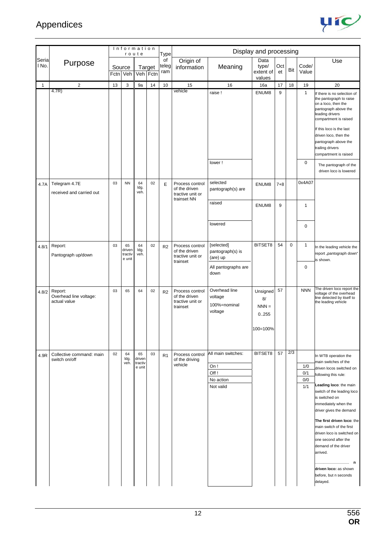

|                |                                                   |    | Information                       | route                             |                    | <b>Type</b>        |                                                                     |                                                             | Display and processing                         |           |             |                          |                                                                                                                                                                                                                                                                                                                                                                                                                                                 |
|----------------|---------------------------------------------------|----|-----------------------------------|-----------------------------------|--------------------|--------------------|---------------------------------------------------------------------|-------------------------------------------------------------|------------------------------------------------|-----------|-------------|--------------------------|-------------------------------------------------------------------------------------------------------------------------------------------------------------------------------------------------------------------------------------------------------------------------------------------------------------------------------------------------------------------------------------------------------------------------------------------------|
| Seria<br>I No. | Purpose                                           |    | Source<br>Fctn Veh                |                                   | Target<br>Veh Fctn | of<br>teleg<br>ram | Origin of<br>information                                            | Meaning                                                     | Data<br>type/<br>extent of<br>values           | Oct<br>et | Bit         | Code/<br>Value           | Use                                                                                                                                                                                                                                                                                                                                                                                                                                             |
| 1              | $\overline{2}$                                    | 13 | 3                                 | 9a                                | 14                 | 10                 | 15                                                                  | 16                                                          | 16a                                            | 17        | 18          | 19                       | 20                                                                                                                                                                                                                                                                                                                                                                                                                                              |
|                | 4.7R)                                             |    |                                   |                                   |                    |                    | vehicle                                                             | raise!                                                      | ENUM8                                          | 9         |             | $\mathbf{1}$             | If there is no selection of<br>the pantograph to raise<br>on a loco, then the<br>pantograph above the<br>leading drivers<br>compartment is raised<br>If this loco is the last<br>driven loco, then the<br>pantograph above the<br>trailing drivers<br>compartment is raised                                                                                                                                                                     |
|                |                                                   |    |                                   |                                   |                    |                    |                                                                     | lower!                                                      |                                                |           |             | $\mathbf 0$              | The pantograph of the<br>driven loco is lowered                                                                                                                                                                                                                                                                                                                                                                                                 |
| 4.7A           | Telegram 4.7E<br>received and carried out         | 03 | <b>NN</b>                         | 64<br>ldg.<br>veh.                | 02                 | E                  | Process control<br>of the driven<br>tractive unit or<br>trainset NN | selected<br>pantograph(s) are                               | ENUM8                                          | $7 + 8$   |             | 0x4A07                   |                                                                                                                                                                                                                                                                                                                                                                                                                                                 |
|                |                                                   |    |                                   |                                   |                    |                    |                                                                     | raised                                                      | ENUM8                                          | 9         |             | 1                        |                                                                                                                                                                                                                                                                                                                                                                                                                                                 |
|                |                                                   |    |                                   |                                   |                    |                    |                                                                     | lowered                                                     |                                                |           |             | 0                        |                                                                                                                                                                                                                                                                                                                                                                                                                                                 |
| 4.8/1          | Report:<br>Pantograph up/down                     | 03 | 65<br>driven<br>tractiv<br>e unit | 64<br>Idg.<br>veh.                | 02                 | R2                 | Process control<br>of the driven<br>tractive unit or<br>trainset    | [selected]<br>pantograph(s) is<br>(are) up                  | BITSET8                                        | 54        | $\mathbf 0$ | $\mathbf{1}$             | In the leading vehicle the<br>report "pantograph down"<br>is shown.                                                                                                                                                                                                                                                                                                                                                                             |
|                |                                                   |    |                                   |                                   |                    |                    |                                                                     | All pantographs are<br>down                                 |                                                |           |             | 0                        |                                                                                                                                                                                                                                                                                                                                                                                                                                                 |
| 4.8/2          | Report:<br>Overhead line voltage:<br>actual value | 03 | 65                                | 64                                | 02                 | R <sub>2</sub>     | Process control<br>of the driven<br>tractive unit or<br>trainset    | Overhead line<br>voltage<br>100%=nominal<br>voltage         | Unsigned<br>8/<br>$NNN =$<br>0.255<br>100=100% | 57        |             | <b>NNN</b>               | The driven loco report the<br>voltage of the overhead<br>line detected by itself to<br>the leading vehicle                                                                                                                                                                                                                                                                                                                                      |
| 4.9R           | Collective command: main<br>switch on/off         | 02 | 64<br>ldg.<br>veh.                | 65<br>driven<br>tractiv<br>e unit | 03                 | R <sub>1</sub>     | Process control<br>of the driving<br>vehicle                        | All main switches:<br>On!<br>Off!<br>No action<br>Not valid | BITSET8                                        | 57        | 2/3         | 1/0<br>0/1<br>0/0<br>1/1 | In WTB operation the<br>main switches of the<br>driven locos switched on<br>following this rule:<br>Leading loco: the main<br>switch of the leading loco<br>is switched on<br>immediately when the<br>driver gives the demand<br>The first driven loco: the<br>main switch of the first<br>driven loco is switched on<br>one second after the<br>demand of the driver<br>arrived.<br>driven loco: as shown<br>before, but n seconds<br>delayed. |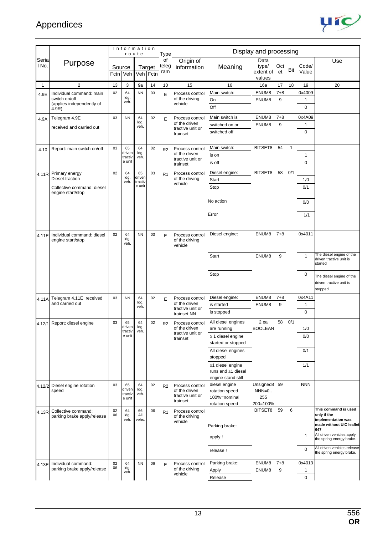

|                |                                                    |          | Information        | route              |                    | Type               |                                              |                                     | Display and processing               |           |              |                |                                                                                       |
|----------------|----------------------------------------------------|----------|--------------------|--------------------|--------------------|--------------------|----------------------------------------------|-------------------------------------|--------------------------------------|-----------|--------------|----------------|---------------------------------------------------------------------------------------|
| Seria<br>I No. | Purpose                                            |          | Source<br>Fctn Veh |                    | Target<br>Veh Fctn | of<br>teleg<br>ram | Origin of<br>information                     | Meaning                             | Data<br>type/<br>extent of<br>values | Oct<br>et | Bit          | Code/<br>Value | Use                                                                                   |
| $\mathbf{1}$   | $\sqrt{2}$                                         | 13       | 3                  | 9а                 | 14                 | 10                 | 15                                           | 16                                  | 16a                                  | 17        | 18           | 19             | 20                                                                                    |
| 4.9E           | Individual command: main                           | 02       | 64                 | <b>NN</b>          | 03                 | E                  | Process control                              | Main switch:                        | ENUM8                                | $7 + 8$   |              | 0x4009         |                                                                                       |
|                | switch on/off<br>(applies independently of         |          | ldg.<br>veh.       |                    |                    |                    | of the driving<br>vehicle                    | On                                  | ENUM8                                | 9         |              | 1              |                                                                                       |
|                | 4.9R)                                              |          |                    |                    |                    |                    |                                              | Off                                 |                                      |           |              | 0              |                                                                                       |
| 4.9A           | Telegram 4.9E                                      | 03       | <b>NN</b>          | 64                 | 02                 | E                  | Process control                              | Main switch is                      | ENUM8                                | $7 + 8$   |              | 0x4A09         |                                                                                       |
|                | received and carried out                           |          |                    | ldg.<br>veh.       |                    |                    | of the driven                                | switched on or                      | ENUM8                                | 9         |              | 1              |                                                                                       |
|                |                                                    |          |                    |                    |                    |                    | tractive unit or<br>trainset                 | switched off                        |                                      |           |              | $\mathbf 0$    |                                                                                       |
| 4.10           | Report: main switch on/off                         | 03       | 65<br>driven       | 64<br>ldg.         | 02                 | R <sub>2</sub>     | Process control<br>of the driven             | Main switch:                        | BITSET8                              | 54        | $\mathbf{1}$ | 1              |                                                                                       |
|                |                                                    |          | tractiv<br>e unit  | veh.               |                    |                    | tractive unit or                             | is on<br>is off                     |                                      |           |              | $\mathbf 0$    |                                                                                       |
|                |                                                    |          |                    |                    |                    |                    | trainset                                     |                                     |                                      |           |              |                |                                                                                       |
| 4.11R          | Primary energy<br>Diesel-traction                  | 02       | 64<br>ldg.         | 65<br>driven       | 03                 | R1                 | Process control<br>of the driving            | Diesel engine:                      | BITSET8                              | 58        | 0/1          |                |                                                                                       |
|                |                                                    |          | veh.               | tractiv<br>e unit  |                    |                    | vehicle                                      | Start                               |                                      |           |              | 1/0            |                                                                                       |
|                | Collective command: diesel<br>engine start/stop    |          |                    |                    |                    |                    |                                              | Stop                                |                                      |           |              | 0/1            |                                                                                       |
|                |                                                    |          |                    |                    |                    |                    |                                              | No action                           |                                      |           |              | 0/0            |                                                                                       |
|                |                                                    |          |                    |                    |                    |                    |                                              | Error                               |                                      |           |              | 1/1            |                                                                                       |
|                |                                                    |          |                    |                    |                    |                    |                                              |                                     |                                      |           |              |                |                                                                                       |
| 4.11E          | Individual command: diesel<br>engine start/stop    | 02       | 64<br>ldg.<br>veh. | <b>NN</b>          | 03                 | E                  | Process control<br>of the driving<br>vehicle | Diesel engine:                      | ENUM8                                | $7 + 8$   |              | 0x4011         |                                                                                       |
|                |                                                    |          |                    |                    |                    |                    |                                              | Start                               | ENUM8                                | 9         |              | 1              | The diesel engine of the<br>driven tractive unit is<br>started                        |
|                |                                                    |          |                    |                    |                    |                    |                                              | Stop                                |                                      |           |              | 0              | The diesel engine of the<br>driven tractive unit is<br>stopped                        |
| 4.11A          | Telegram 4.11E received                            | 03       | <b>NN</b>          | 64                 | 02                 | E                  | Process control                              | Diesel engine:                      | ENUM8                                | $7 + 8$   |              | 0x4A11         |                                                                                       |
|                | and carried out                                    |          |                    | ldg.<br>veh.       |                    |                    | of the driven                                | is started                          | ENUM8                                | 9         |              | 1              |                                                                                       |
|                |                                                    |          |                    |                    |                    |                    | tractive unit or<br>trainset NN              | is stopped                          |                                      |           |              | 0              |                                                                                       |
|                | 4.12/1 Report: diesel engine                       | 03       | 65<br>driven       | 64<br>ldg.         | 02                 | R <sub>2</sub>     | Process control<br>of the driven             | All diesel engines<br>are running   | 2 ea<br><b>BOOLEAN</b>               | 58        | 0/1          | 1/0            |                                                                                       |
|                |                                                    |          | tractiv<br>e unit  | veh.               |                    |                    | tractive unit or                             | $\geq$ 1 diesel engine              |                                      |           |              | 0/0            |                                                                                       |
|                |                                                    |          |                    |                    |                    |                    | trainset                                     | started or stopped                  |                                      |           |              |                |                                                                                       |
|                |                                                    |          |                    |                    |                    |                    |                                              | All diesel engines                  |                                      |           |              | 0/1            |                                                                                       |
|                |                                                    |          |                    |                    |                    |                    |                                              | stopped                             |                                      |           |              |                |                                                                                       |
|                |                                                    |          |                    |                    |                    |                    |                                              | $\geq$ 1 diesel engine              |                                      |           |              | 1/1            |                                                                                       |
|                |                                                    |          |                    |                    |                    |                    |                                              | runs and $\geq$ 1 diesel            |                                      |           |              |                |                                                                                       |
|                |                                                    | 03       | 65                 | 64                 | 02                 |                    |                                              | engine stand still<br>diesel engine | Unsigned8                            | 59        |              | <b>NNN</b>     |                                                                                       |
| 4.12/2         | Diesel engine rotation<br>speed                    |          | driven             | ldg.               |                    | R2                 | Process control<br>of the driven             | rotation speed                      | $NNN=0.$                             |           |              |                |                                                                                       |
|                |                                                    |          | tractiv<br>e unit  | veh.               |                    |                    | tractive unit or<br>trainset                 | 100%=nominal                        | 255                                  |           |              |                |                                                                                       |
|                |                                                    |          |                    |                    |                    |                    |                                              | rotation speed                      | 200=100%                             |           |              |                |                                                                                       |
| 4.13R          | Collective command:<br>parking brake apply/release | 02<br>06 | 64<br>ldg.<br>veh. | 66<br>All<br>vehs. | 06                 | R1                 | Process control<br>of the driving<br>vehicle | Parking brake:                      | BITSET8                              | 59        | 6            |                | This command is used<br>only if the<br>implementation was<br>made without UIC leaflet |
|                |                                                    |          |                    |                    |                    |                    |                                              | apply !                             |                                      |           |              | $\mathbf{1}$   | 647<br>All driven vehicles apply<br>the spring energy brake.                          |
|                |                                                    |          |                    |                    |                    |                    |                                              | release !                           |                                      |           |              | $\mathbf 0$    | All driven vehicles release<br>the spring energy brake.                               |
|                |                                                    | 02       | 64                 | <b>NN</b>          |                    |                    |                                              | Parking brake:                      | ENUM8                                | 7+8       |              | 0x4013         |                                                                                       |
| 4.13E          | Individual command:<br>parking brake apply/release | 06       | ldg.               |                    | 06                 | E                  | Process control<br>of the driving            | Apply                               | ENUM8                                | 9         |              | 1              |                                                                                       |
|                |                                                    |          | veh.               |                    |                    |                    | vehicle                                      | Release                             |                                      |           |              | $\mathbf 0$    |                                                                                       |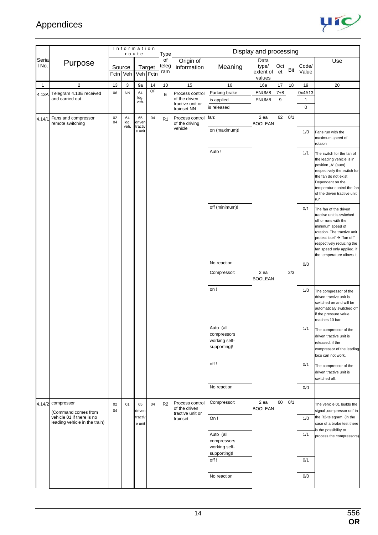

|                |                                                                |          | Information        | route                   |                    | Type               |                                                                     |                                                           | Display and processing               |              |     |                                       |                                                                                                                                                                                                                                                      |
|----------------|----------------------------------------------------------------|----------|--------------------|-------------------------|--------------------|--------------------|---------------------------------------------------------------------|-----------------------------------------------------------|--------------------------------------|--------------|-----|---------------------------------------|------------------------------------------------------------------------------------------------------------------------------------------------------------------------------------------------------------------------------------------------------|
| Seria<br>I No. | Purpose                                                        |          | Source<br>Fctn Veh |                         | Target<br>Veh Fctn | of<br>teleg<br>ram | Origin of<br>information                                            | Meaning                                                   | Data<br>type/<br>extent of<br>values | Oct<br>et    | Bit | Code/<br>Value                        | Use                                                                                                                                                                                                                                                  |
| $\mathbf{1}$   | $\overline{2}$                                                 | 13       | 3                  | 9a                      | 14                 | 10                 | 15                                                                  | 16                                                        | 16a                                  | 17           | 18  | 19                                    | 20                                                                                                                                                                                                                                                   |
| 4.13A          | Telegram 4.13E received<br>and carried out                     | 06       | <b>NN</b>          | 64<br>ldg.<br>veh.      | QF                 | E                  | Process control<br>of the driven<br>tractive unit or<br>trainset NN | Parking brake<br>is applied<br>is released                | ENUM8<br>ENUM8                       | $7 + 8$<br>9 |     | 0x4A13<br>$\mathbf{1}$<br>$\mathbf 0$ |                                                                                                                                                                                                                                                      |
| 4.14/1         | Fans and compressor<br>remote switching                        | 02<br>04 | 64<br>ldg.<br>veh. | 65<br>driven<br>tractiv | 04                 | R <sub>1</sub>     | Process control<br>of the driving                                   | fan:                                                      | 2 ea<br><b>BOOLEAN</b>               | 62           | 0/1 |                                       |                                                                                                                                                                                                                                                      |
|                |                                                                |          |                    | e unit                  |                    |                    | vehicle                                                             | on (maximum)!                                             |                                      |              |     | 1/0                                   | Fans run with the<br>maximum speed of<br>rotaion                                                                                                                                                                                                     |
|                |                                                                |          |                    |                         |                    |                    |                                                                     | Auto!                                                     |                                      |              |     | 1/1                                   | The switch for the fan of<br>the leading vehicle is in<br>position "A" (auto)<br>respectively the switch for<br>the fan do not exist.<br>Dependent on the<br>temperatur control the fan<br>of the driven tractive unit<br>run.                       |
|                |                                                                |          |                    |                         |                    |                    |                                                                     | off (minimum)!                                            |                                      |              |     | 0/1                                   | The fan of the driven<br>tractive unit is switched<br>off or runs with the<br>minimum speed of<br>rotation. The tractive unit<br>protect itself → "fan off"<br>respectively reducing the<br>fan speed only applied, if<br>the temperature allows it. |
|                |                                                                |          |                    |                         |                    |                    |                                                                     | No reaction                                               |                                      |              |     | 0/0                                   |                                                                                                                                                                                                                                                      |
|                |                                                                |          |                    |                         |                    |                    |                                                                     | Compressor:                                               | 2 ea<br><b>BOOLEAN</b>               |              | 2/3 |                                       |                                                                                                                                                                                                                                                      |
|                |                                                                |          |                    |                         |                    |                    |                                                                     | on !                                                      |                                      |              |     | 1/0                                   | The compressor of the<br>driven tractive unit is<br>switched on and will be<br>automaticaly switched off<br>if the pressure value<br>reaches 10 bar.                                                                                                 |
|                |                                                                |          |                    |                         |                    |                    |                                                                     | Auto (all<br>compressors<br>working self-<br>supporting)! |                                      |              |     | $1/1$                                 | The compressor of the<br>driven tractive unit is<br>released, if the<br>compressor of the leading<br>loco can not work.                                                                                                                              |
|                |                                                                |          |                    |                         |                    |                    |                                                                     | off!                                                      |                                      |              |     | 0/1                                   | The compressor of the<br>driven tractive unit is<br>switched off.                                                                                                                                                                                    |
|                |                                                                |          |                    |                         |                    |                    |                                                                     | No reaction                                               |                                      |              |     | 0/0                                   |                                                                                                                                                                                                                                                      |
| 4.14/2         | compressor<br>(Command comes from<br>vehicle 01 if there is no | 02<br>04 | 01                 | 65<br>driven<br>tractiv | 04                 | R <sub>2</sub>     | Process control<br>of the driven<br>tractive unit or                | Compressor:                                               | 2 ea<br><b>BOOLEAN</b>               | 60           | 0/1 |                                       | The vehicle 01 builds the<br>signal "compressor on" in<br>the R2-telegram. (in the                                                                                                                                                                   |
|                | leading vehicle in the train)                                  |          |                    | e unit                  |                    |                    | trainset                                                            | On!                                                       |                                      |              |     | 1/0                                   | case of a brake test there<br>is the possibility to                                                                                                                                                                                                  |
|                |                                                                |          |                    |                         |                    |                    |                                                                     | Auto (all<br>compressors<br>working self-<br>supporting)! |                                      |              |     | 1/1                                   | process the compressors)                                                                                                                                                                                                                             |
|                |                                                                |          |                    |                         |                    |                    |                                                                     | off!                                                      |                                      |              |     | 0/1                                   |                                                                                                                                                                                                                                                      |
|                |                                                                |          |                    |                         |                    |                    |                                                                     | No reaction                                               |                                      |              |     | 0/0                                   |                                                                                                                                                                                                                                                      |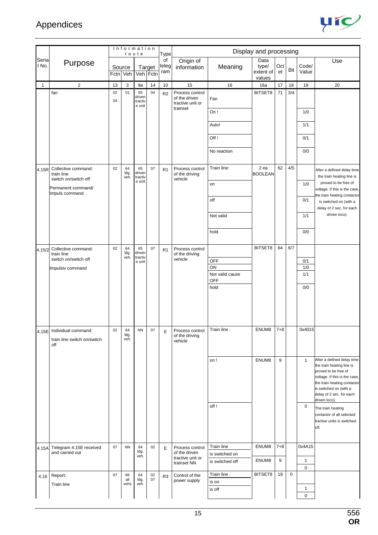

|                |                                            |          |                    | Information<br>route        |          | Type               |                                               |                       | Display and processing     |           |             |                             |                                                         |
|----------------|--------------------------------------------|----------|--------------------|-----------------------------|----------|--------------------|-----------------------------------------------|-----------------------|----------------------------|-----------|-------------|-----------------------------|---------------------------------------------------------|
| Seria<br>I No. | Purpose                                    | Source   | Fctn Veh           | Veh Fctn                    | Target   | of<br>teleg<br>ram | Origin of<br>information                      | Meaning               | Data<br>type/<br>extent of | Oct<br>et | Bit         | Code/<br>Value              | Use                                                     |
|                |                                            |          |                    |                             |          |                    |                                               |                       | values                     |           |             |                             |                                                         |
| 1              | $\overline{2}$<br>fan                      | 13<br>02 | 3<br>01            | 9a<br>65                    | 14<br>04 | 10                 | 15<br>Process control                         | 16                    | 16a<br>BITSET8             | 17<br>71  | 18<br>3/4   | 19                          | 20                                                      |
|                |                                            | 04       |                    | driven<br>tractiv<br>e unit |          | R <sub>2</sub>     | of the driven<br>tractive unit or<br>trainset | Fan                   |                            |           |             |                             |                                                         |
|                |                                            |          |                    |                             |          |                    |                                               | On!                   |                            |           |             | 1/0                         |                                                         |
|                |                                            |          |                    |                             |          |                    |                                               | Auto!                 |                            |           |             | 1/1                         |                                                         |
|                |                                            |          |                    |                             |          |                    |                                               | Off!                  |                            |           |             | 0/1                         |                                                         |
|                |                                            |          |                    |                             |          |                    |                                               | No reaction           |                            |           |             | 0/0                         |                                                         |
| 4.15R          | Collective command:<br>train line          | 02       | 64<br>ldg.<br>veh. | 65<br>driven<br>tractiv     | 07       | R1                 | Process control<br>of the driving             | Train line:           | 2 ea<br><b>BOOLEAN</b>     | 62        | 4/5         |                             | After a defined delay time<br>the train heating line is |
|                | switch on/switch off<br>Permanent command/ |          |                    | e unit                      |          |                    | vehicle                                       | on                    |                            |           |             | 1/0                         | proved to be free of<br>voltage. If this is the case,   |
|                | Impuls command                             |          |                    |                             |          |                    |                                               | off                   |                            |           |             | 0/1                         | the train heating contactor<br>is switched on (with a   |
|                |                                            |          |                    |                             |          |                    |                                               | Not valid             |                            |           |             | 1/1                         | delay of 2 sec. for each<br>driven loco).               |
|                |                                            |          |                    |                             |          |                    |                                               | hold                  |                            |           |             | 0/0                         |                                                         |
|                |                                            |          |                    |                             |          |                    |                                               |                       |                            |           |             |                             |                                                         |
| 4.15/2         | Collective command:<br>train line          | 02       | 64<br>ldg.<br>veh. | 65<br>driven<br>tractiv     | 07       | R <sub>1</sub>     | Process control<br>of the driving             |                       | BITSET8                    | 64        | 6/7         |                             |                                                         |
|                | switch on/switch off                       |          |                    | e unit                      |          |                    | vehicle                                       | OFF                   |                            |           |             | 0/1                         |                                                         |
|                | Impulsiv command                           |          |                    |                             |          |                    |                                               | ON<br>Not valid cause |                            |           |             | 1/0<br>1/1                  |                                                         |
|                |                                            |          |                    |                             |          |                    |                                               | <b>OFF</b>            |                            |           |             |                             |                                                         |
|                |                                            |          |                    |                             |          |                    |                                               | hold                  |                            |           |             | 0/0                         |                                                         |
|                |                                            |          |                    |                             |          |                    |                                               |                       |                            |           |             |                             |                                                         |
|                |                                            |          |                    |                             |          |                    |                                               |                       |                            |           |             |                             |                                                         |
|                |                                            |          |                    |                             |          |                    |                                               |                       |                            |           |             |                             |                                                         |
|                | 4.15E Individual command:                  | 02       | 64<br>ldg.         | <b>NN</b>                   | 07       | Ε                  | Process control                               | Train line :          | ENUM8                      | $7 + 8$   |             | 0x4015                      |                                                         |
|                | train line switch on/switch<br>off         |          | veh.               |                             |          |                    | of the driving<br>vehicle                     |                       |                            |           |             |                             |                                                         |
|                |                                            |          |                    |                             |          |                    |                                               | on !                  | ENUM8                      | 9         |             | $\mathbf{1}$                | After a defined delay time                              |
|                |                                            |          |                    |                             |          |                    |                                               |                       |                            |           |             |                             | the train heating line is                               |
|                |                                            |          |                    |                             |          |                    |                                               |                       |                            |           |             |                             | proved to be free of<br>voltage. If this is the case,   |
|                |                                            |          |                    |                             |          |                    |                                               |                       |                            |           |             |                             | the train heating contactor<br>is switched on (with a   |
|                |                                            |          |                    |                             |          |                    |                                               |                       |                            |           |             |                             | delay of 2 sec. for each<br>driven loco).               |
|                |                                            |          |                    |                             |          |                    |                                               | off!                  |                            |           |             | 0                           | The train heating                                       |
|                |                                            |          |                    |                             |          |                    |                                               |                       |                            |           |             |                             | contactor of all selected                               |
|                |                                            |          |                    |                             |          |                    |                                               |                       |                            |           |             |                             | tractive units is switched<br>off.                      |
|                |                                            |          |                    |                             |          |                    |                                               |                       |                            |           |             |                             |                                                         |
| 4.15A          | Telegram 4.15E received                    | 07       | <b>NN</b>          | 64                          | 02       | E                  | Process control                               | Train line            | ENUM8                      | $7 + 8$   |             | 0x4A15                      |                                                         |
|                | and carried out                            |          |                    | ldg.<br>veh.                |          |                    | of the driven<br>tractive unit or             | is switched on        |                            |           |             |                             |                                                         |
|                |                                            |          |                    |                             |          |                    | trainset NN                                   | is switched off       | ENUM8                      | 9         |             | $\mathbf{1}$<br>0           |                                                         |
| 4.16           | Report:                                    | 07       | 66                 | 64                          | 02       | R <sub>3</sub>     | Control of the                                | Train line:           | BITSET8                    | 19        | $\mathbf 0$ |                             |                                                         |
|                | Train line                                 |          | all<br>vehs        | ldg.<br>veh.                | 07       |                    | power supply                                  | is on                 |                            |           |             |                             |                                                         |
|                |                                            |          |                    |                             |          |                    |                                               | is off                |                            |           |             | $\mathbf{1}$<br>$\mathbf 0$ |                                                         |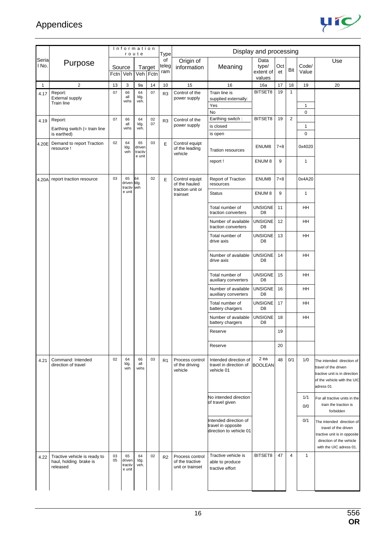

|                |                                                                    |          |                                   | Information<br>route              |                    | Type               |                                                        |                                                                        | Display and processing               |           |                |                   |                                                                                                                                          |
|----------------|--------------------------------------------------------------------|----------|-----------------------------------|-----------------------------------|--------------------|--------------------|--------------------------------------------------------|------------------------------------------------------------------------|--------------------------------------|-----------|----------------|-------------------|------------------------------------------------------------------------------------------------------------------------------------------|
| Seria<br>I No. | Purpose                                                            | Fctn     | Source<br>Veh                     |                                   | Target<br>Veh Fctn | of<br>teleg<br>ram | Origin of<br>information                               | Meaning                                                                | Data<br>type/<br>extent of<br>values | Oct<br>et | Bit            | Code/<br>Value    | Use                                                                                                                                      |
| $\mathbf{1}$   | $\overline{2}$                                                     | 13       | 3                                 | 9a                                | 14                 | 10                 | 15                                                     | 16                                                                     | 16a                                  | 17        | 18             | 19                | 20                                                                                                                                       |
| 4.17           | Report:<br><b>External supply</b><br>Train line                    | 07       | 66<br>all<br>vehs                 | 64<br>Idg.<br>veh.                | 07                 | R <sub>3</sub>     | Control of the<br>power supply                         | Train line is<br>supplied externally:<br>Yes<br>No                     | BITSET8                              | 19        | $\mathbf{1}$   | $\mathbf{1}$<br>0 |                                                                                                                                          |
|                | Report:                                                            | 07       | 66                                | 64                                | 02                 |                    | Control of the                                         | Earthing switch:                                                       | BITSET8                              | 19        | $\overline{2}$ |                   |                                                                                                                                          |
| 4.19           |                                                                    |          | all                               | Idg.                              | 07                 | R <sub>3</sub>     | power supply                                           | is closed                                                              |                                      |           |                | $\mathbf{1}$      |                                                                                                                                          |
|                | Earthing switch $($ = train line<br>is earthed)                    |          | vehs                              | veh.                              |                    |                    |                                                        | is open                                                                |                                      |           |                | $\pmb{0}$         |                                                                                                                                          |
| 4.20E          | Demand to report Traction<br>resource !                            | 02       | 64<br>ldg.<br>veh                 | 65<br>driven<br>tractiv<br>e unit | 03                 | E                  | Control equipt<br>of the leading<br>vehicle            | <b>Tration resources</b>                                               | ENUM8                                | $7 + 8$   |                | 0x4020            |                                                                                                                                          |
|                |                                                                    |          |                                   |                                   |                    |                    |                                                        | report!                                                                | ENUM <sub>8</sub>                    | 9         |                | $\mathbf{1}$      |                                                                                                                                          |
| 4.20A          | report traction resource                                           | 03       | 65<br>driven Idg.<br>tractiv      | 64<br>veh                         | 02                 | E                  | Control equipt<br>of the hauled<br>traction unit or    | Report of Traction<br>resources                                        | ENUM8                                | $7 + 8$   |                | 0x4A20            |                                                                                                                                          |
|                |                                                                    |          | e unit                            |                                   |                    |                    | trainset                                               | <b>Status</b>                                                          | ENUM <sub>8</sub>                    | 9         |                | $\mathbf{1}$      |                                                                                                                                          |
|                |                                                                    |          |                                   |                                   |                    |                    |                                                        | Total number of<br>traction converters                                 | <b>UNSIGNE</b><br>D <sub>8</sub>     | 11        |                | HH                |                                                                                                                                          |
|                |                                                                    |          |                                   |                                   |                    |                    |                                                        | Number of available<br>traction converters                             | <b>UNSIGNE</b><br>D <sub>8</sub>     | 12        |                | HH                |                                                                                                                                          |
|                |                                                                    |          |                                   |                                   |                    |                    |                                                        | Total number of<br>drive axis                                          | <b>UNSIGNE</b><br>D <sub>8</sub>     | 13        |                | <b>HH</b>         |                                                                                                                                          |
|                |                                                                    |          |                                   |                                   |                    |                    |                                                        | Number of available<br>drive axis                                      | <b>UNSIGNE</b><br>D <sub>8</sub>     | 14        |                | HH                |                                                                                                                                          |
|                |                                                                    |          |                                   |                                   |                    |                    |                                                        | Total number of<br>auxiliary converters                                | <b>UNSIGNE</b><br>D <sub>8</sub>     | 15        |                | HH                |                                                                                                                                          |
|                |                                                                    |          |                                   |                                   |                    |                    |                                                        | Number of available<br>auxiliary converters                            | <b>UNSIGNE</b><br>D <sub>8</sub>     | 16        |                | HH                |                                                                                                                                          |
|                |                                                                    |          |                                   |                                   |                    |                    |                                                        | Total number of<br>battery chargers                                    | <b>UNSIGNE</b><br>D <sub>8</sub>     | 17        |                | HH                |                                                                                                                                          |
|                |                                                                    |          |                                   |                                   |                    |                    |                                                        | Number of available<br>battery chargers                                | <b>UNSIGNE</b><br>D <sub>8</sub>     | 18        |                | HH                |                                                                                                                                          |
|                |                                                                    |          |                                   |                                   |                    |                    |                                                        | Reserve                                                                |                                      | 19        |                |                   |                                                                                                                                          |
|                |                                                                    |          |                                   |                                   |                    |                    |                                                        | Reserve                                                                |                                      | 20        |                |                   |                                                                                                                                          |
| 4.21           | Command: Intended<br>direction of travel                           | 02       | 64<br>ldg.<br>veh                 | 66<br>all<br>vehs                 | 03                 | R <sub>1</sub>     | Process control<br>of the driving<br>vehicle           | Intended direction of<br>travel in direction of<br>vehicle 01          | 2 ea<br><b>BOOLEAN</b>               | 48        | 0/1            | 1/0               | The intended direction of<br>travel of the driven<br>tractive unit is in direction<br>of the vehicle with the UIC<br>adress 01           |
|                |                                                                    |          |                                   |                                   |                    |                    |                                                        | No intended direction<br>of travel given                               |                                      |           |                | 1/1<br>0/0        | For all tractive units in the<br>train the traction is<br>forbidden                                                                      |
|                |                                                                    |          |                                   |                                   |                    |                    |                                                        | Intended direction of<br>travel in opposite<br>direction to vehicle 01 |                                      |           |                | 0/1               | The intended direction of<br>travel of the driven<br>tractive unit is in opposite<br>direction of the vehicle<br>with the UIC adress 01. |
| 4.22           | Tractive vehicle is ready to<br>haul, holding brake is<br>released | 03<br>05 | 65<br>driven<br>tractiv<br>e unit | 64<br>ldg.<br>veh.                | 02                 | R <sub>2</sub>     | Process control<br>of the tractive<br>unit or trainset | Tractive vehicle is<br>able to produce<br>tractive effort              | BITSET8                              | 47        | $\overline{4}$ | $\mathbf{1}$      |                                                                                                                                          |
|                |                                                                    |          |                                   |                                   |                    |                    |                                                        |                                                                        |                                      |           |                |                   |                                                                                                                                          |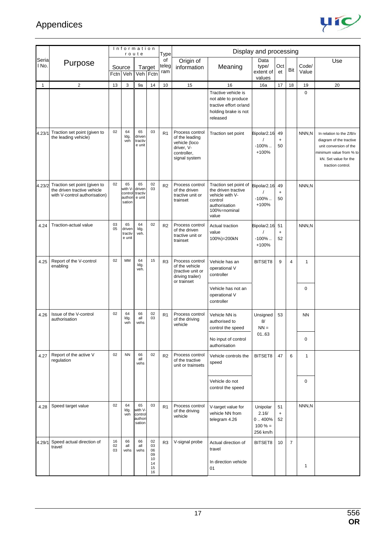

|                |                                                                                              |                | Information                                 | route                                        |                                              | Type               |                                                                                                  |                                                                                                                      | Display and processing                                |                       |                |                |                                                                                                                                                        |
|----------------|----------------------------------------------------------------------------------------------|----------------|---------------------------------------------|----------------------------------------------|----------------------------------------------|--------------------|--------------------------------------------------------------------------------------------------|----------------------------------------------------------------------------------------------------------------------|-------------------------------------------------------|-----------------------|----------------|----------------|--------------------------------------------------------------------------------------------------------------------------------------------------------|
| Seria<br>I No. | Purpose                                                                                      |                | Source<br>Fctn Veh                          |                                              | Target<br>Veh Fctn                           | οf<br>teleg<br>ram | Origin of<br>information                                                                         | Meaning                                                                                                              | Data<br>type/<br>extent of<br>values                  | Oct<br>et             | Bit            | Code/<br>Value | Use                                                                                                                                                    |
| 1              | $\overline{c}$                                                                               | 13             | 3                                           | 9a                                           | 14                                           | 10                 | 15                                                                                               | 16                                                                                                                   | 16a                                                   | 17                    | 18             | 19             | 20                                                                                                                                                     |
|                |                                                                                              |                |                                             |                                              |                                              |                    |                                                                                                  | Tractive vehicle is<br>not able to produce<br>tractive effort or/and<br>holding brake is not<br>released             |                                                       |                       |                | $\mathbf 0$    |                                                                                                                                                        |
| 4.23/1         | Traction set point (given to<br>the leading vehicle)                                         | 02             | 64<br>ldg.<br>veh                           | 65<br>driven<br>tractiv<br>e unit            | 03                                           | R1                 | Process control<br>of the leading<br>vehicle (loco<br>driver, V-<br>controller,<br>signal system | Traction set point                                                                                                   | Bipolar2.16<br>$-100\%$<br>+100%                      | 49<br>$\ddot{}$<br>50 |                | NNN,N          | In relation to the Z/B/v<br>diagram of the tractive<br>unit conversion of the<br>minimum value from % to<br>kN. Set value for the<br>traction control. |
| 4.23/2         | Traction set point (given to<br>the driven tractive vehicle<br>with V-control authorisation) | 02             | 65<br>with V<br>control<br>author<br>sation | 65<br>driven<br>tractiv<br>e unit            | 02<br>03                                     | R <sub>2</sub>     | Process control<br>of the driven<br>tractive unit or<br>trainset                                 | Traction set point of<br>the driven tractive<br>vehicle with V-<br>control<br>authorisation<br>100%=nominal<br>value | Bipolar2.16<br>$-100\%$<br>+100%                      | 49<br>$\ddot{}$<br>50 |                | NNN,N          |                                                                                                                                                        |
| 4.24           | Traction-actual value                                                                        | 03<br>05       | 65<br>driven<br>tractiv<br>e unit           | 64<br>ldg.<br>veh.                           | 02                                           | R <sub>2</sub>     | Process control<br>of the driven<br>tractive unit or<br>trainset                                 | Actual traction<br>value<br>100%)=200kN                                                                              | Bipolar2.16<br>$-100\%$<br>+100%                      | 51<br>$\ddot{}$<br>52 |                | NNN,N          |                                                                                                                                                        |
| 4.25           | Report of the V-control<br>enabling                                                          | 02             | <b>MM</b>                                   | 64<br>ldg.<br>veh.                           | 15                                           | R <sub>3</sub>     | Process control<br>of the vehicle<br>(tractive unit or<br>driving trailer)<br>or trainset        | Vehicle has an<br>operational V<br>controller                                                                        | BITSET8                                               | 9                     | 4              | $\mathbf{1}$   |                                                                                                                                                        |
|                |                                                                                              |                |                                             |                                              |                                              |                    |                                                                                                  | Vehicle has not an<br>operational V<br>controller                                                                    |                                                       |                       |                | 0              |                                                                                                                                                        |
| 4.26           | Issue of the V-control<br>authorisation                                                      | 02             | 64<br>ldg.<br>veh                           | 66<br>all<br>vehs                            | 02<br>03                                     | R <sub>1</sub>     | Process control<br>of the driving<br>vehicle                                                     | Vehicle NN is<br>authorised to<br>control the speed                                                                  | Unsigned<br>8/<br>$NN =$                              | 53                    |                | <b>NN</b>      |                                                                                                                                                        |
|                |                                                                                              |                |                                             |                                              |                                              |                    |                                                                                                  | No input of control<br>authorisation                                                                                 | 0163                                                  |                       |                | 0              |                                                                                                                                                        |
| 4.27           | Report of the active V<br>regulation                                                         | 02             | <b>NN</b>                                   | 66<br>all<br>vehs                            | 02                                           | R <sub>2</sub>     | Process control<br>of the tractive<br>unit or trainsets                                          | Vehicle controls the<br>speed                                                                                        | BITSET8                                               | 47                    | 6              | $\mathbf{1}$   |                                                                                                                                                        |
|                |                                                                                              |                |                                             |                                              |                                              |                    |                                                                                                  | Vehicle do not<br>control the speed                                                                                  |                                                       |                       |                | $\pmb{0}$      |                                                                                                                                                        |
| 4.28           | Speed target value                                                                           | 02             | 64<br>ldg.<br>veh                           | 65<br>with V-<br>control<br>author<br>sation | 03                                           | R1                 | Process control<br>of the driving<br>vehicle                                                     | V-target value for<br>vehicle NN from<br>telegram 4.26                                                               | Unipolar<br>2.16/<br>0.400%<br>$100 \% =$<br>256 km/h | 51<br>$\ddot{}$<br>52 |                | NNN,N          |                                                                                                                                                        |
| 4.29/1         | Speed actual direction of<br>travel                                                          | 16<br>02<br>03 | 66<br>all<br>vehs                           | 66<br>all<br>vehs                            | 02<br>03<br>06<br>09<br>10<br>14<br>15<br>16 | R <sub>3</sub>     | V-signal probe                                                                                   | Actual direction of<br>travel<br>In direction vehicle<br>01                                                          | BITSET8                                               | 10                    | $\overline{7}$ | $\mathbf{1}$   |                                                                                                                                                        |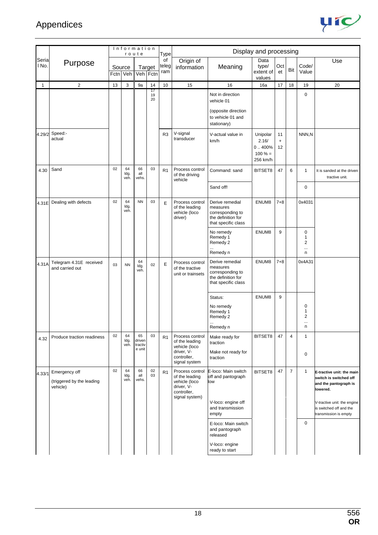

|                |                                                        |    | Information        | route                             |                    | Type               |                                                                                                   |                                                                                                     |                                                       |                       |                |                              |                                                                                                                                                                             |
|----------------|--------------------------------------------------------|----|--------------------|-----------------------------------|--------------------|--------------------|---------------------------------------------------------------------------------------------------|-----------------------------------------------------------------------------------------------------|-------------------------------------------------------|-----------------------|----------------|------------------------------|-----------------------------------------------------------------------------------------------------------------------------------------------------------------------------|
| Seria<br>l No. | Purpose                                                |    | Source<br>Fctn Veh |                                   | Target<br>Veh Fctn | of<br>teleg<br>ram | Origin of<br>information                                                                          | Meaning                                                                                             | Data<br>type/<br>extent of<br>values                  | Oct<br>et             | Bit            | Code/<br>Value               | Use                                                                                                                                                                         |
| $\mathbf{1}$   | $\overline{2}$                                         | 13 | 3                  | 9a                                | 14                 | 10                 | 15                                                                                                | 16                                                                                                  | 16a                                                   | 17                    | 18             | 19                           | 20                                                                                                                                                                          |
|                |                                                        |    |                    |                                   | 17<br>19<br>20     |                    |                                                                                                   | Not in direction<br>vehicle 01<br>(opposite direction                                               |                                                       |                       |                | 0                            |                                                                                                                                                                             |
|                |                                                        |    |                    |                                   |                    |                    |                                                                                                   | to vehicle 01 and<br>stationary)                                                                    |                                                       |                       |                |                              |                                                                                                                                                                             |
|                | 4.29/2 Speed:-<br>actual                               |    |                    |                                   |                    | R <sub>3</sub>     | V-signal<br>transducer                                                                            | V-actual value in<br>km/h                                                                           | Unipolar<br>2.16/<br>0.400%<br>$100 \% =$<br>256 km/h | 11<br>$\ddot{}$<br>12 |                | NNN,N                        |                                                                                                                                                                             |
| 4.30           | Sand                                                   | 02 | 64<br>ldg.<br>veh. | 66<br>all<br>vehs.                | 03                 | R1                 | Process control<br>of the driving<br>vehicle                                                      | Command: sand                                                                                       | BITSET8                                               | 47                    | 6              | 1                            | It is sanded at the driven<br>tractive unit.                                                                                                                                |
|                |                                                        |    |                    |                                   |                    |                    |                                                                                                   | Sand off!                                                                                           |                                                       |                       |                | 0                            |                                                                                                                                                                             |
| 4.31E          | Dealing with defects                                   | 02 | 64<br>ldg.<br>veh. | <b>NN</b>                         | 03                 | E                  | Process control<br>of the leading<br>vehicle (loco<br>driver)                                     | Derive remedial<br>measures<br>corresponding to<br>the definition for<br>that specific class        | ENUM8                                                 | $7 + 8$               |                | 0x4031                       |                                                                                                                                                                             |
|                |                                                        |    |                    |                                   |                    |                    |                                                                                                   | No remedy<br>Remedy 1<br>Remedy 2<br>Remedy n                                                       | ENUM8                                                 | 9                     |                | 0<br>1<br>2<br>$\cdots$<br>n |                                                                                                                                                                             |
| 4.31A          | Telegram 4.31E received<br>and carried out             | 03 | <b>NN</b>          | 64<br>ldg.<br>veh.                | 02                 | E                  | Process control<br>of the tractive<br>unit or trainsets                                           | Derive remedial<br>measures<br>corresponding to<br>the definition for<br>that specific class        | ENUM8                                                 | $7 + 8$               |                | 0x4A31                       |                                                                                                                                                                             |
|                |                                                        |    |                    |                                   |                    |                    |                                                                                                   | Status:<br>No remedy<br>Remedy 1<br>Remedy 2<br><br>Remedy n                                        | ENUM8                                                 | 9                     |                | 0<br>1<br>2<br><br>n         |                                                                                                                                                                             |
| 4.32           | Produce traction readiness                             | 02 | 64<br>ldg.<br>veh. | 65<br>driven<br>tractiv<br>e unit | 03                 | R1                 | Process control<br>of the leading<br>vehicle (loco<br>driver, V-<br>controller,<br>signal system  | Make ready for<br>traction<br>Make not ready for<br>traction                                        | BITSET8                                               | 47                    | $\overline{4}$ | $\mathbf{1}$<br>0            |                                                                                                                                                                             |
| 4.33/1         | Emergency off<br>(triggered by the leading<br>vehicle) | 02 | 64<br>ldg.<br>veh. | 66<br>all<br>vehs.                | 02<br>03           | R <sub>1</sub>     | Process control<br>of the leading<br>vehicle (loco<br>driver, V-<br>controller,<br>signal system) | E-loco: Main switch<br>off and pantograph<br>low<br>V-loco: engine off<br>and transmission<br>empty | BITSET8                                               | 47                    | $\overline{7}$ | 1                            | E-tractive unit: the main<br>switch is switched off<br>and the pantograph is<br>lowered.<br>V-tractive unit: the engine<br>is switched off and the<br>transmission is empty |
|                |                                                        |    |                    |                                   |                    |                    |                                                                                                   | E-loco: Main switch<br>and pantograph<br>released                                                   |                                                       |                       |                | 0                            |                                                                                                                                                                             |
|                |                                                        |    |                    |                                   |                    |                    |                                                                                                   | V-loco: engine<br>ready to start                                                                    |                                                       |                       |                |                              |                                                                                                                                                                             |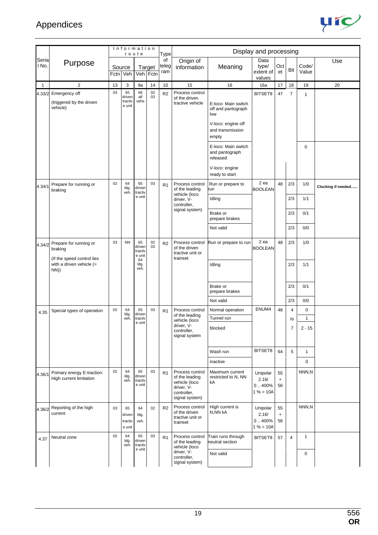

|                |                                                                  |      |                                   | Information<br>route              |          | <b>Type</b>        |                                                                                                   |                                                                                            | Display and processing                    |                       |                         |                             |                    |
|----------------|------------------------------------------------------------------|------|-----------------------------------|-----------------------------------|----------|--------------------|---------------------------------------------------------------------------------------------------|--------------------------------------------------------------------------------------------|-------------------------------------------|-----------------------|-------------------------|-----------------------------|--------------------|
| Seria<br>l No. | Purpose                                                          | Fctn | Source<br>Veh                     | Veh Fctn                          | Target   | of<br>teleg<br>ram | Origin of<br>information                                                                          | Meaning                                                                                    | Data<br>type/<br>extent of<br>values      | Oct<br>et             | Bit                     | Code/<br>Value              | Use                |
| $\mathbf{1}$   | $\overline{2}$                                                   | 13   | 3                                 | 9a                                | 14       | 10                 | 15                                                                                                | 16                                                                                         | 16a                                       | 17                    | 18                      | 19                          | 20                 |
| 4.33/2         | Emergency off<br>(triggered by the driven<br>vehicle)            | 03   | 65<br>driven<br>tractiv<br>e unit | 66<br>all<br>vehs                 | 02<br>03 | R <sub>2</sub>     | Process control<br>of the driven<br>tractive vehicle                                              | E-loco: Main switch<br>off and pantograph<br>low<br>V-loco: engine off<br>and transmission | BITSET8                                   | 47                    | $\overline{7}$          | 1                           |                    |
|                |                                                                  |      |                                   |                                   |          |                    |                                                                                                   | empty                                                                                      |                                           |                       |                         |                             |                    |
|                |                                                                  |      |                                   |                                   |          |                    |                                                                                                   | E-loco: Main switch<br>and pantograph<br>released                                          |                                           |                       |                         | 0                           |                    |
|                |                                                                  |      |                                   |                                   |          |                    |                                                                                                   | V-loco: engine<br>ready to start                                                           |                                           |                       |                         |                             |                    |
| 4.34/1         | Prepare for running or<br>braking                                | 02   | 64<br>ldg.<br>veh.                | 65<br>driven<br>tractiv           | 03       | R <sub>1</sub>     | Process control<br>of the leading<br>vehicle (loco                                                | Run or prepare to<br>run                                                                   | 2 ea<br><b>BOOLEAN</b>                    | 48                    | 2/3                     | 1/0                         | Clocking if needed |
|                |                                                                  |      |                                   | e unit                            |          |                    | driver, V-<br>controller,                                                                         | Idling                                                                                     |                                           |                       | 2/3                     | 1/1                         |                    |
|                |                                                                  |      |                                   |                                   |          |                    | signal system)                                                                                    | Brake or<br>prepare brakes                                                                 |                                           |                       | 2/3                     | 0/1                         |                    |
|                |                                                                  |      |                                   |                                   |          |                    |                                                                                                   | Not valid                                                                                  |                                           |                       | 2/3                     | 0/0                         |                    |
| 4.34/2         | Prepare for running or<br>braking                                | 03   | <b>NN</b>                         | 65<br>driven<br>tractiv<br>e unit | 02<br>03 | R <sub>2</sub>     | Process control<br>of the driven<br>tractive unit or                                              | Run or prepare to run                                                                      | 2 ea<br><b>BOOLEAN</b>                    | 48                    | 2/3                     | 1/0                         |                    |
|                | (If the speed control lies<br>with a driven vehicle $(=$<br>NN)) |      |                                   | 64<br>ldg.<br>veh.                |          |                    | trainset                                                                                          | Idling                                                                                     |                                           |                       | 2/3                     | 1/1                         |                    |
|                |                                                                  |      |                                   |                                   |          |                    |                                                                                                   | Brake or<br>prepare brakes                                                                 |                                           |                       | 2/3                     | 0/1                         |                    |
|                |                                                                  |      |                                   |                                   |          |                    |                                                                                                   | Not valid                                                                                  |                                           |                       | 2/3                     | 0/0                         |                    |
| 4.35           | Special types of operation                                       | 02   | 64<br>Idg.                        | 65<br>driven                      | 03       | R <sub>1</sub>     | Process control<br>of the leading                                                                 | Normal operation<br>Tunnel run                                                             | ENUM4                                     | 48                    | $\overline{\mathbf{4}}$ | $\mathbf 0$<br>$\mathbf{1}$ |                    |
|                |                                                                  |      | veh.                              | tractiv<br>e unit                 |          |                    | vehicle (loco<br>driver, V-                                                                       | blocked                                                                                    |                                           |                       | to<br>$\overline{7}$    | $2 - 15$                    |                    |
|                |                                                                  |      |                                   |                                   |          |                    | controller,<br>signal system                                                                      |                                                                                            |                                           |                       |                         |                             |                    |
|                |                                                                  |      |                                   |                                   |          |                    |                                                                                                   | Wash run                                                                                   | BITSET8                                   | 64                    | 5                       | $\mathbf{1}$                |                    |
|                |                                                                  |      |                                   |                                   |          |                    |                                                                                                   | inactive                                                                                   |                                           |                       |                         | $\mathbf 0$                 |                    |
| 4.36/1         | Primary energy E-traction:<br>High current limitation            | 02   | 64<br>ldg.<br>veh.                | 65<br>driven<br>tractiv<br>e unit | 03       | R1                 | Process control<br>of the leading<br>vehicle (loco<br>driver, V-<br>controller,<br>signal system) | Maximum current<br>restricted to N. NN<br>kA                                               | Unipolar<br>2.16/<br>0.400%<br>$1% = 10A$ | 55<br>$\ddot{}$<br>56 |                         | NNN,N                       |                    |
| 4.36/2         | Reporting of the high<br>current                                 | 03   | 65<br>driven<br>tractiv<br>e unit | 64<br>ldg.<br>veh.                | 02       | R2                 | Process control<br>of the driven<br>tractive unit or<br>trainset                                  | High current is<br>N,NN kA                                                                 | Unipolar<br>2.16/<br>0.400%<br>$1% = 10A$ | 55<br>$\ddot{}$<br>56 |                         | NNN,N                       |                    |
| 4.37           | Neutral zone                                                     | 02   | 64<br>ldg.<br>veh.                | 65<br>driven<br>tractiv           | 03       | R <sub>1</sub>     | Process control<br>of the leading<br>vehicle (loco                                                | Train runs through<br>neutral section                                                      | BITSET8                                   | 57                    | $\overline{4}$          | 1                           |                    |
|                |                                                                  |      |                                   | e unit                            |          |                    | driver, V-<br>controller,<br>signal system)                                                       | Not valid                                                                                  |                                           |                       |                         | 0                           |                    |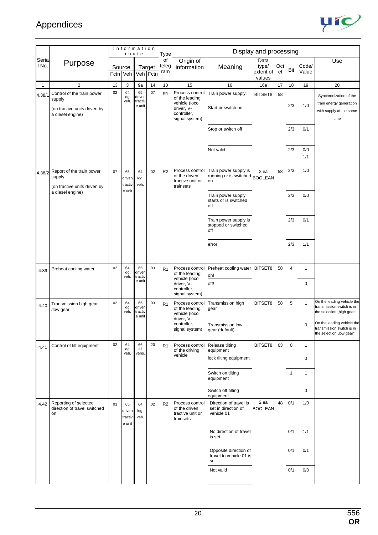

|                |                                                                                          |    | Information                       | route                             |                    | Type               |                                                                                                   |                                                               | Display and processing               |           |                |                |                                                                                      |
|----------------|------------------------------------------------------------------------------------------|----|-----------------------------------|-----------------------------------|--------------------|--------------------|---------------------------------------------------------------------------------------------------|---------------------------------------------------------------|--------------------------------------|-----------|----------------|----------------|--------------------------------------------------------------------------------------|
| Seria<br>I No. | Purpose                                                                                  |    | Source<br>Fctn Veh                |                                   | Target<br>Veh Fctn | of<br>teleg<br>ram | Origin of<br>information                                                                          | Meaning                                                       | Data<br>type/<br>extent of<br>values | Oct<br>et | Bit            | Code/<br>Value | Use                                                                                  |
| 1              | $\mathbf{2}$                                                                             | 13 | 3                                 | 9a                                | 14                 | 10                 | 15                                                                                                | 16                                                            | 16a                                  | 17        | 18             | 19             | 20                                                                                   |
| 4.38/1         | Control of the train power<br>supply<br>(on tractive units driven by<br>a diesel engine) | 02 | 64<br>ldg.<br>veh.                | 65<br>driven<br>tractiv<br>e unit | 07                 | R <sub>1</sub>     | Process control<br>of the leading<br>vehicle (loco<br>driver, V-<br>controller,<br>signal system) | Train power supply:<br>Start or switch on                     | BITSET8                              | 58        | 2/3            | 1/0            | Synchronization of the<br>train energy generation<br>with supply at the same<br>time |
|                |                                                                                          |    |                                   |                                   |                    |                    |                                                                                                   | Stop or switch off                                            |                                      |           | 2/3            | 0/1            |                                                                                      |
|                |                                                                                          |    |                                   |                                   |                    |                    |                                                                                                   | Not valid                                                     |                                      |           | 2/3            | 0/0<br>1/1     |                                                                                      |
| 4.38/2         | Report of the train power<br>supply<br>(on tractive units driven by                      | 07 | 65<br>driven<br>tractiv           | 64<br>ldg.<br>veh.                | 02                 | R <sub>2</sub>     | Process control<br>of the driven<br>tractive unit or<br>trainsets                                 | Train power supply is<br>running or is switched BOOLEAN<br>on | 2 ea                                 | 58        | 2/3            | 1/0            |                                                                                      |
|                | a diesel engine)                                                                         |    | e unit                            |                                   |                    |                    |                                                                                                   | Train power supply<br>starts or is switched<br>off            |                                      |           | 2/3            | 0/0            |                                                                                      |
|                |                                                                                          |    |                                   |                                   |                    |                    |                                                                                                   | Train power supply is<br>stopped or switched<br>off           |                                      |           | 2/3            | 0/1            |                                                                                      |
|                |                                                                                          |    |                                   |                                   |                    |                    |                                                                                                   | error                                                         |                                      |           | 2/3            | 1/1            |                                                                                      |
| 4.39           | Preheat cooling water                                                                    | 02 | 64<br>ldg.<br>veh.                | 65<br>driven<br>tractiv           | 03                 | R1                 | Process control<br>of the leading<br>vehicle (loco                                                | Preheat cooling water<br>on!                                  | BITSET8                              | 58        | $\overline{4}$ | $\mathbf{1}$   |                                                                                      |
|                |                                                                                          |    |                                   | e unit                            |                    |                    | driver, V-<br>controller,<br>signal system)                                                       | off!                                                          |                                      |           |                | $\mathbf 0$    |                                                                                      |
| 4.40           | Transmission high gear<br>/low gear                                                      | 02 | 64<br>ldg.<br>veh.                | 65<br>driven<br>tractiv<br>e unit | 03                 | R <sub>1</sub>     | Process control<br>of the leading<br>vehicle (loco<br>driver, V-                                  | Transmission high<br>gear                                     | BITSET8                              | 58        | 5              | $\mathbf{1}$   | On the leading vehicle the<br>transmission switch is in<br>the selection "high gear" |
|                |                                                                                          |    |                                   |                                   |                    |                    | controller,<br>signal system)                                                                     | Transmission low<br>gear (default)                            |                                      |           |                | 0              | On the leading vehicle the<br>ransmission switch is in<br>the selection "low gear"   |
| 4.41           | Control of tilt equipment                                                                | 02 | 64<br>ldg.<br>veh.                | 66<br>all<br>vehs.                | 20                 | R1                 | Process control<br>of the driving<br>vehicle                                                      | Release tilting<br>equipment                                  | BITSET8                              | 63        | 0              | $\mathbf{1}$   |                                                                                      |
|                |                                                                                          |    |                                   |                                   |                    |                    |                                                                                                   | lock tilting equipment                                        |                                      |           |                | 0              |                                                                                      |
|                |                                                                                          |    |                                   |                                   |                    |                    |                                                                                                   | Switch on tilting<br>equipment                                |                                      |           | $\mathbf{1}$   | 1              |                                                                                      |
|                |                                                                                          |    |                                   |                                   |                    |                    |                                                                                                   | Switch off tilting<br>equipment                               |                                      |           |                | $\mathbf 0$    |                                                                                      |
| 4.42           | Reporting of selected<br>direction of travel switched<br>on                              | 03 | 65<br>driven<br>tractiv<br>e unit | 64<br>ldg.<br>veh.                | 02                 | R <sub>2</sub>     | Process control<br>of the driven<br>tractive unit or<br>trainsets                                 | Direction of travel is<br>set in direction of<br>vehicle 01   | 2 ea<br><b>BOOLEAN</b>               | 48        | 0/1            | 1/0            |                                                                                      |
|                |                                                                                          |    |                                   |                                   |                    |                    |                                                                                                   | No direction of travel<br>is set                              |                                      |           | 0/1            | 1/1            |                                                                                      |
|                |                                                                                          |    |                                   |                                   |                    |                    |                                                                                                   | Opposite direction of<br>travel to vehicle 01 is<br>set       |                                      |           | 0/1            | 0/1            |                                                                                      |
|                |                                                                                          |    |                                   |                                   |                    |                    |                                                                                                   | Not valid                                                     |                                      |           | 0/1            | 0/0            |                                                                                      |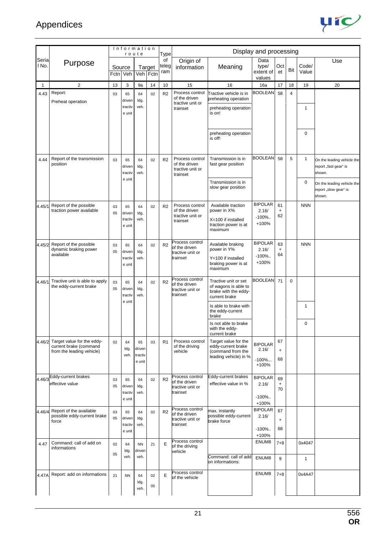

|                |                                                                                   |          | Information                       | route                             |          | Type               |                                                                  |                                                                                            | Display and processing                         |                                              |                |                        |                                                               |
|----------------|-----------------------------------------------------------------------------------|----------|-----------------------------------|-----------------------------------|----------|--------------------|------------------------------------------------------------------|--------------------------------------------------------------------------------------------|------------------------------------------------|----------------------------------------------|----------------|------------------------|---------------------------------------------------------------|
| Seria<br>I No. | Purpose                                                                           |          | Source<br>Fctn Veh                | Veh Fctn                          | Target   | of<br>teleg<br>ram | Origin of<br>information                                         | Meaning                                                                                    | Data<br>type/<br>extent of<br>values           | Oct<br>et                                    | Bit            | Code/<br>Value         | Use                                                           |
|                | $\overline{2}$                                                                    | 13       | 3                                 | 9а                                | 14       | 10                 | 15                                                               | 16                                                                                         | 16a                                            | 17                                           | 18             | 19                     | 20                                                            |
| 4.43           | Report:<br>Preheat operation                                                      | 03       | 65<br>driven<br>tractiv<br>e unit | 64<br>ldg.<br>veh.                | 02       | R <sub>2</sub>     | Process control<br>of the driven<br>tractive unit or<br>trainset | Tractive vehicle is in<br>preheating operation<br>preheating operation<br>is on!           | <b>BOOLEAN</b>                                 | 58                                           | $\overline{4}$ | $\mathbf{1}$           |                                                               |
|                |                                                                                   |          |                                   |                                   |          |                    |                                                                  | preheating operation<br>is off!                                                            |                                                |                                              |                | $\mathbf 0$            |                                                               |
| 4.44           | Report of the transmission<br>position                                            | 03       | 65<br>driven<br>tractiv           | 64<br>ldg.<br>veh.                | 02       | R <sub>2</sub>     | Process control<br>of the driven<br>tractive unit or<br>trainset | Transmission is in<br>fast gear position                                                   | <b>BOOLEAN</b>                                 | 58                                           | 5              | $\mathbf{1}$           | On the leading vehicle the<br>report "fast gear" is<br>shown. |
|                |                                                                                   |          | e unit                            |                                   |          |                    |                                                                  | Transmission is in<br>slow gear position                                                   |                                                |                                              |                | $\mathbf 0$            | On the leading vehicle the<br>report "slow gear" is<br>shown. |
| 4.45/1         | Report of the possible<br>traction power available                                | 03<br>05 | 65<br>driven<br>tractiv<br>e unit | 64<br>ldg.<br>veh.                | 02       | R2                 | Process control<br>of the driven<br>tractive unit or<br>trainset | Available traction<br>power in X%<br>X=100 if installed<br>traction power is at<br>maximum | <b>BIPOLAR</b><br>2.16/<br>$-100\%$<br>$+100%$ | 61<br>$\ddot{}$<br>62                        |                | <b>NNN</b>             |                                                               |
| 4.45/2         | Report of the possible<br>dynamic braking power<br>available                      | 03<br>05 | 65<br>driven<br>tractiv<br>e unit | 64<br>ldg.<br>veh.                | 02       | R2                 | Process control<br>of the driven<br>tractive unit or<br>trainset | Available braking<br>power in Y%<br>Y=100 if installed<br>braking power is at<br>maximum   | <b>BIPOLAR</b><br>2.16/<br>$-100\%$<br>+100%   | 63<br>$\ddot{}$<br>64                        |                | <b>NNN</b>             |                                                               |
| 4.46/1         | Tractive unit is able to apply<br>the eddy-current brake                          | 03<br>05 | 65<br>driven<br>tractiv<br>e unit | 64<br>ldg.<br>veh.                | 02       | R <sub>2</sub>     | Process control<br>of the driven<br>tractive unit or<br>trainset | Tractive unit or set<br>of wagons is able to<br>brake with the eddy-<br>current brake      | <b>BOOLEAN</b>                                 | 71                                           | $\mathbf 0$    |                        |                                                               |
|                |                                                                                   |          |                                   |                                   |          |                    |                                                                  | Is able to brake with<br>the eddy-current<br>brake                                         |                                                |                                              |                | $\mathbf{1}$           |                                                               |
|                |                                                                                   |          |                                   |                                   |          |                    |                                                                  | Is not able to brake<br>with the eddy-<br>current brake                                    |                                                |                                              |                | 0                      |                                                               |
| 4.46/2         | Target value for the eddy-<br>current brake (command<br>from the leading vehicle) | 02       | 64<br>ldg.<br>veh.                | 65<br>driven<br>tractiv<br>e unit | 03       | R <sub>1</sub>     | Process control<br>of the driving<br>vehicle                     | Target value for the<br>eddy-current brake<br>(command from the<br>leading vehicle) in %   | <b>BIPOLAR</b><br>2.16/<br>$-100\%$<br>+100%   | 67<br>$\ddot{}$<br>68                        |                |                        |                                                               |
| 4.46/3         | Eddy-current brakes<br>effective value                                            | 03<br>05 | 65<br>driven<br>tractiv<br>e unit | 64<br>ldg.<br>veh.                | 02       | R2                 | Process control<br>of the driven<br>tractive unit or<br>trainset | Eddy-current brakes<br>effective value in %                                                | <b>BIPOLAR</b><br>2.16/<br>$-100\%$<br>+100%   | 69<br>$\begin{array}{c} + \end{array}$<br>70 |                |                        |                                                               |
| 4.46/4         | Report of the available<br>possible eddy-current brake<br>force                   | 03<br>05 | 65<br>driven<br>tractiv<br>e unit | 64<br>ldg.<br>veh.                | 02       | R <sub>2</sub>     | Process control<br>of the driven<br>tractive unit or<br>trainset | max. instantly<br>possible eddy-current<br>brake force                                     | <b>BIPOLAR</b><br>2.16/<br>$-100\%$<br>$+100%$ | 67<br>$\ddot{}$<br>68                        |                |                        |                                                               |
| 4.47           | Command: call of add on<br>informations                                           | 02<br>05 | 64<br>ldg.<br>veh.                | <b>NN</b><br>driven<br>veh.       | 21       | Е                  | Process control<br>of the driving<br>vehicle                     | Command: call of add<br>on informations:                                                   | ENUM8<br>ENUM8                                 | $7 + 8$<br>9                                 |                | 0x4047<br>$\mathbf{1}$ |                                                               |
| 4.47A          | Report: add on informations                                                       | 21       | <b>NN</b>                         | 64<br>ldg.<br>veh.                | 02<br>05 | Е                  | Process control<br>of the vehicle                                |                                                                                            | ENUM8                                          | $7 + 8$                                      |                | 0x4A47                 |                                                               |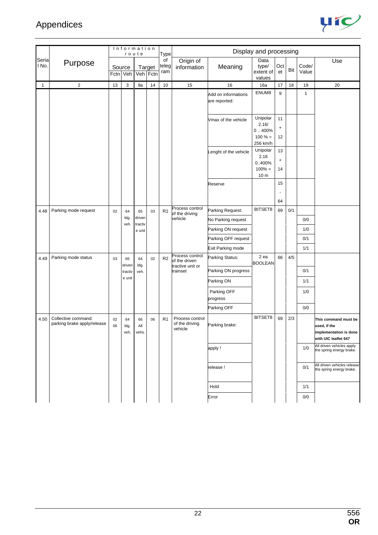

|                |                                                    |          | Information<br>route |                    |                    | Type               |                                                      |                                      | Display and processing                            |                                              |     |                |                                                                                        |
|----------------|----------------------------------------------------|----------|----------------------|--------------------|--------------------|--------------------|------------------------------------------------------|--------------------------------------|---------------------------------------------------|----------------------------------------------|-----|----------------|----------------------------------------------------------------------------------------|
| Seria<br>I No. | Purpose                                            | Source   | Fctn Veh             |                    | Target<br>Veh Fctn | of<br>teleg<br>ram | Origin of<br>information                             | Meaning                              | Data<br>type/<br>extent of<br>values              | Oct<br>et                                    | Bit | Code/<br>Value | Use                                                                                    |
| $\mathbf{1}$   | $\overline{2}$                                     | 13       | 3                    | 9a                 | 14                 | 10                 | 15                                                   | 16                                   | 16a                                               | 17                                           | 18  | 19             | 20                                                                                     |
|                |                                                    |          |                      |                    |                    |                    |                                                      | Add on informations<br>are reported: | ENUM8                                             | 9                                            |     | $\mathbf{1}$   |                                                                                        |
|                |                                                    |          |                      |                    |                    |                    |                                                      | Vmax of the vehicle                  | Unipolar<br>2.16/<br>0.400%<br>$100 \% =$         | 11<br>$\ddot{}$<br>12                        |     |                |                                                                                        |
|                |                                                    |          |                      |                    |                    |                    |                                                      | Lenght of the vehicle                | 256 km/h<br>Unipolar<br>2.16<br>0400%<br>$100% =$ | 13<br>$\begin{array}{c} + \end{array}$<br>14 |     |                |                                                                                        |
|                |                                                    |          |                      |                    |                    |                    |                                                      | Reserve                              | 10 <sub>m</sub>                                   | 15                                           |     |                |                                                                                        |
|                |                                                    |          |                      |                    |                    |                    |                                                      |                                      |                                                   | 64                                           |     |                |                                                                                        |
| 4.48           | Parking mode request                               | 02       | 64                   | 65                 | 03                 | R <sub>1</sub>     | Process control                                      | Parking Request:                     | BITSET8                                           | 69                                           | 0/1 |                |                                                                                        |
|                |                                                    |          | ldg.                 | driven             |                    |                    | of the driving<br>vehicle                            | No Parking request                   |                                                   |                                              |     | 0/0            |                                                                                        |
|                |                                                    |          | veh.                 | tractiv<br>e unit  |                    |                    |                                                      | Parking ON request                   |                                                   |                                              |     | 1/0            |                                                                                        |
|                |                                                    |          |                      |                    |                    |                    |                                                      | Parking OFF request                  |                                                   |                                              |     | 0/1            |                                                                                        |
|                |                                                    |          |                      |                    |                    |                    |                                                      | <b>Exit Parking mode</b>             |                                                   |                                              |     | 1/1            |                                                                                        |
| 4.49           | Parking mode status                                | 03       | 65<br>driven         | 64<br>ldg.         | 02                 | R2                 | Process control<br>of the driven<br>tractive unit or | Parking Status:                      | 2 ea<br><b>BOOLEAN</b>                            | 66                                           | 4/5 |                |                                                                                        |
|                |                                                    |          | tractiv              | veh.               |                    |                    | trainset                                             | Parking ON progress                  |                                                   |                                              |     | 0/1            |                                                                                        |
|                |                                                    |          | e unit               |                    |                    |                    |                                                      | Parking ON                           |                                                   |                                              |     | 1/1            |                                                                                        |
|                |                                                    |          |                      |                    |                    |                    |                                                      | Parking OFF                          |                                                   |                                              |     | 1/0            |                                                                                        |
|                |                                                    |          |                      |                    |                    |                    |                                                      | progress                             |                                                   |                                              |     |                |                                                                                        |
|                |                                                    |          |                      |                    |                    |                    |                                                      | Parking OFF                          |                                                   |                                              |     | 0/0            |                                                                                        |
| 4.50           | Collective command:<br>parking brake apply/release | 02<br>06 | 64<br>ldg.<br>veh.   | 66<br>All<br>vehs. | 06                 | R <sub>1</sub>     | Process control<br>of the driving<br>vehicle         | Parking brake:                       | BITSET8                                           | 69                                           | 2/3 |                | This command must be<br>used, if the<br>implementation is done<br>with UIC leaflet 647 |
|                |                                                    |          |                      |                    |                    |                    |                                                      | apply!                               |                                                   |                                              |     | 1/0            | All driven vehicles apply<br>the spring energy brake.                                  |
|                |                                                    |          |                      |                    |                    |                    |                                                      | release!                             |                                                   |                                              |     | 0/1            | All driven vehicles release<br>the spring energy brake.                                |
|                |                                                    |          |                      |                    |                    |                    |                                                      | Hold                                 |                                                   |                                              |     | 1/1            |                                                                                        |
|                |                                                    |          |                      |                    |                    |                    |                                                      | Error                                |                                                   |                                              |     | 0/0            |                                                                                        |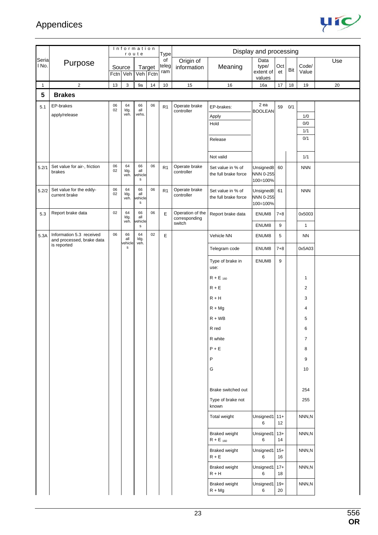

|                |                                                       |          | Information        | route                               |                    | <b>Type</b>        |                                   |                                           | Display and processing               |           |     |                |     |
|----------------|-------------------------------------------------------|----------|--------------------|-------------------------------------|--------------------|--------------------|-----------------------------------|-------------------------------------------|--------------------------------------|-----------|-----|----------------|-----|
| Seria<br>l No. | Purpose                                               |          | Source<br>Fctn Veh |                                     | Target<br>Veh Fctn | of<br>teleg<br>ram | Origin of<br>information          | Meaning                                   | Data<br>type/<br>extent of<br>values | Oct<br>et | Bit | Code/<br>Value | Use |
| $\mathbf{1}$   | $\overline{2}$                                        | $13$     | $\sqrt{3}$         | 9a                                  | 14                 | 10                 | 15                                | 16                                        | 16a                                  | 17        | 18  | 19             | 20  |
| ${\bf 5}$      | <b>Brakes</b>                                         |          |                    |                                     |                    |                    |                                   |                                           |                                      |           |     |                |     |
| 5.1            | EP-brakes                                             | 06<br>02 | 64<br>ldg.         | 66<br>all                           | 06                 | R <sub>1</sub>     | Operate brake<br>controller       | EP-brakes:                                | 2 ea<br><b>BOOLEAN</b>               | 59        | 0/1 |                |     |
|                | apply/release                                         |          | veh.               | vehs.                               |                    |                    |                                   | Apply                                     |                                      |           |     | 1/0            |     |
|                |                                                       |          |                    |                                     |                    |                    |                                   | Hold                                      |                                      |           |     | 0/0<br>1/1     |     |
|                |                                                       |          |                    |                                     |                    |                    |                                   | Release                                   |                                      |           |     | 0/1            |     |
|                |                                                       |          |                    |                                     |                    |                    |                                   |                                           |                                      |           |     |                |     |
|                |                                                       |          |                    |                                     |                    |                    |                                   | Not valid                                 |                                      |           |     | 1/1            |     |
| 5.2/1          | Set value for air-, friction<br>brakes                | 06<br>02 | 64<br>ldg.<br>veh. | 66<br>all<br>ehicle<br>$\mathbf s$  | 06                 | R <sub>1</sub>     | Operate brake<br>controller       | Set value in % of<br>the full brake force | Unsigned8<br>NNN 0-255<br>100=100%   | 60        |     | <b>NNN</b>     |     |
| 5.2/2          | Set value for the eddy-<br>current brake              | 06<br>02 | 64<br>ldg.<br>veh. | 66<br>all<br>ehicle<br>$\mathsf{s}$ | 06                 | R <sub>1</sub>     | Operate brake<br>controller       | Set value in % of<br>the full brake force | Unsigned8<br>NNN 0-255<br>100=100%   | 61        |     | <b>NNN</b>     |     |
| 5.3            | Report brake data                                     | 02       | 64<br>ldg.         | 66<br>all                           | 06                 | E                  | Operation of the<br>corresponding | Report brake data                         | ENUM8                                | $7 + 8$   |     | 0x5003         |     |
|                |                                                       |          | veh.               | ehicle<br>${\sf s}$                 |                    |                    | switch                            |                                           | ENUM8                                | 9         |     | $\mathbf{1}$   |     |
| 5.3A           | Information 5.3 received<br>and processed, brake data | 06       | 66<br>all          | 64<br>ldg.                          | 02                 | $\mathsf E$        |                                   | Vehicle NN                                | ENUM8                                | 5         |     | <b>NN</b>      |     |
|                | is reported                                           |          | ehicle<br>s        | veh.                                |                    |                    |                                   | Telegram code                             | ENUM8                                | $7 + 8$   |     | 0x5A03         |     |
|                |                                                       |          |                    |                                     |                    |                    |                                   | Type of brake in<br>use:                  | ENUM8                                | 9         |     |                |     |
|                |                                                       |          |                    |                                     |                    |                    |                                   | $R + E_{160}$                             |                                      |           |     | 1              |     |
|                |                                                       |          |                    |                                     |                    |                    |                                   | $R + E$                                   |                                      |           |     | $\overline{2}$ |     |
|                |                                                       |          |                    |                                     |                    |                    |                                   | $R + H$                                   |                                      |           |     | 3              |     |
|                |                                                       |          |                    |                                     |                    |                    |                                   | $R + Mg$                                  |                                      |           |     | 4              |     |
|                |                                                       |          |                    |                                     |                    |                    |                                   | $R + WB$                                  |                                      |           |     | 5              |     |
|                |                                                       |          |                    |                                     |                    |                    |                                   | R red                                     |                                      |           |     | 6              |     |
|                |                                                       |          |                    |                                     |                    |                    |                                   | R white                                   |                                      |           |     | $\overline{7}$ |     |
|                |                                                       |          |                    |                                     |                    |                    |                                   | $P + E$                                   |                                      |           |     | 8              |     |
|                |                                                       |          |                    |                                     |                    |                    |                                   | P                                         |                                      |           |     | 9              |     |
|                |                                                       |          |                    |                                     |                    |                    |                                   | G                                         |                                      |           |     | 10             |     |
|                |                                                       |          |                    |                                     |                    |                    |                                   |                                           |                                      |           |     |                |     |
|                |                                                       |          |                    |                                     |                    |                    |                                   | Brake switched out                        |                                      |           |     | 254            |     |
|                |                                                       |          |                    |                                     |                    |                    |                                   | Type of brake not<br>known                |                                      |           |     | 255            |     |
|                |                                                       |          |                    |                                     |                    |                    |                                   | Total weight                              | Unsigned1 11+<br>6                   | 12        |     | NNN,N          |     |
|                |                                                       |          |                    |                                     |                    |                    |                                   | <b>Braked weight</b><br>$R + E_{160}$     | Unsigned1 13+<br>6                   | 14        |     | NNN,N          |     |
|                |                                                       |          |                    |                                     |                    |                    |                                   | <b>Braked weight</b><br>$R + E$           | Unsigned1 15+<br>6                   | 16        |     | NNN,N          |     |
|                |                                                       |          |                    |                                     |                    |                    |                                   | <b>Braked weight</b><br>$R + H$           | Unsigned1 17+<br>6                   | 18        |     | NNN,N          |     |
|                |                                                       |          |                    |                                     |                    |                    |                                   | <b>Braked weight</b><br>$R + Mg$          | Unsigned1 19+<br>6                   | 20        |     | NNN,N          |     |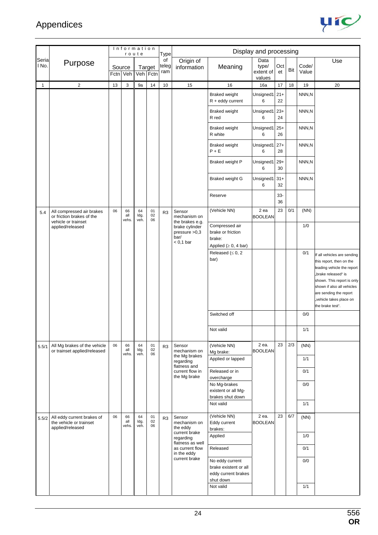

|                |                                                                               |                    | Information        | route              |                    | Type               |                                                                                                         |                                                                                           | Display and processing               |              |     |                    |                                                                                                                                                                                                                                                   |
|----------------|-------------------------------------------------------------------------------|--------------------|--------------------|--------------------|--------------------|--------------------|---------------------------------------------------------------------------------------------------------|-------------------------------------------------------------------------------------------|--------------------------------------|--------------|-----|--------------------|---------------------------------------------------------------------------------------------------------------------------------------------------------------------------------------------------------------------------------------------------|
| Seria<br>I No. | Purpose                                                                       | Source<br>Fctn Veh |                    |                    | Target<br>Veh Fctn | of<br>teleg<br>ram | Origin of<br>information                                                                                | Meaning                                                                                   | Data<br>type/<br>extent of<br>values | Oct<br>et    | Bit | Code/<br>Value     | Use                                                                                                                                                                                                                                               |
| $\mathbf{1}$   | $\sqrt{2}$                                                                    | 13                 | $\sqrt{3}$         | 9a                 | 14                 | $10$               | 15                                                                                                      | 16                                                                                        | 16a                                  | 17           | 18  | 19                 | 20                                                                                                                                                                                                                                                |
|                |                                                                               |                    |                    |                    |                    |                    |                                                                                                         | <b>Braked weight</b><br>$R + eddy current$                                                | Unsigned1<br>6                       | $21+$<br>22  |     | NNN,N              |                                                                                                                                                                                                                                                   |
|                |                                                                               |                    |                    |                    |                    |                    |                                                                                                         | <b>Braked weight</b><br>R red                                                             | Unsigned1<br>6                       | $23+$<br>24  |     | NNN,N              |                                                                                                                                                                                                                                                   |
|                |                                                                               |                    |                    |                    |                    |                    |                                                                                                         | <b>Braked weight</b><br>R white                                                           | Unsigned1<br>6                       | $25+$<br>26  |     | NNN,N              |                                                                                                                                                                                                                                                   |
|                |                                                                               |                    |                    |                    |                    |                    |                                                                                                         | <b>Braked weight</b><br>$P + E$                                                           | Unsigned1<br>6                       | $27+$<br>28  |     | NNN,N              |                                                                                                                                                                                                                                                   |
|                |                                                                               |                    |                    |                    |                    |                    |                                                                                                         | <b>Braked weight P</b>                                                                    | Unsigned1<br>6                       | $29+$<br>30  |     | NNN,N              |                                                                                                                                                                                                                                                   |
|                |                                                                               |                    |                    |                    |                    |                    |                                                                                                         | <b>Braked weight G</b>                                                                    | Unsigned1<br>6                       | $31+$<br>32  |     | NNN,N              |                                                                                                                                                                                                                                                   |
|                |                                                                               |                    |                    |                    |                    |                    |                                                                                                         | Reserve                                                                                   |                                      | $33 -$<br>36 |     |                    |                                                                                                                                                                                                                                                   |
| 5.4            | All compressed air brakes<br>or friction brakes of the<br>vehicle or trainset | 06                 | 66<br>all<br>vehs. | 64<br>ldg.<br>veh. | 01<br>02<br>06     | R <sub>3</sub>     | Sensor<br>mechanism on<br>the brakes e.g.                                                               | (Vehicle NN)                                                                              | 2 ea<br><b>BOOLEAN</b>               | 23           | 0/1 | (NN)               |                                                                                                                                                                                                                                                   |
|                | applied/released                                                              |                    |                    |                    |                    |                    | brake cylinder<br>pressure $>0,3$<br>bar/<br>$< 0.1$ bar                                                | Compressed air<br>brake or friction<br>brake:<br>Applied ( $\geq 0$ , 4 bar)              |                                      |              |     | 1/0                |                                                                                                                                                                                                                                                   |
|                |                                                                               |                    |                    |                    |                    |                    |                                                                                                         | Released ( $\leq 0, 2$<br>bar)                                                            |                                      |              |     | 0/1                | If all vehicles are sending<br>this report, then on the<br>leading vehicle the report<br>"brake released" is<br>shown. This report is only<br>shown if also all vehicles<br>are sending the report<br>"vehicle takes place on<br>the brake test". |
|                |                                                                               |                    |                    |                    |                    |                    |                                                                                                         | Switched off                                                                              |                                      |              |     | 0/0                |                                                                                                                                                                                                                                                   |
|                |                                                                               |                    |                    |                    |                    |                    |                                                                                                         | Not valid                                                                                 |                                      |              |     | 1/1                |                                                                                                                                                                                                                                                   |
| 5.5/1          | All Mg brakes of the vehicle<br>or trainset applied/released                  | 06                 | 66<br>all<br>vehs. | 64<br>Idg.<br>veh. | 01<br>02<br>06     | R <sub>3</sub>     | Sensor<br>mechanism on<br>the Mg brakes                                                                 | (Vehicle NN)<br>Mg brake:<br>Applied or lapped                                            | 2 ea.<br><b>BOOLEAN</b>              | 23           | 2/3 | (NN)<br>1/1        |                                                                                                                                                                                                                                                   |
|                |                                                                               |                    |                    |                    |                    |                    | regarding<br>flatness and<br>current flow in                                                            | Released or in                                                                            |                                      |              |     | 0/1                |                                                                                                                                                                                                                                                   |
|                |                                                                               |                    |                    |                    |                    |                    | the Mg brake                                                                                            | overcharge<br>No Mg-brakes<br>existent or all Mg-<br>brakes shut down                     |                                      |              |     | 0/0                |                                                                                                                                                                                                                                                   |
|                |                                                                               |                    |                    |                    |                    |                    |                                                                                                         | Not valid                                                                                 |                                      |              |     | 1/1                |                                                                                                                                                                                                                                                   |
| 5.5/2          | All eddy current brakes of<br>the vehicle or trainset<br>applied/released     | 06                 | 66<br>all<br>vehs. | 64<br>ldg.<br>veh. | 01<br>$02\,$<br>06 | R <sub>3</sub>     | Sensor<br>mechanism on<br>the eddy<br>current brake<br>regarding<br>flatness as well<br>as current flow | (Vehicle NN)<br>Eddy current<br>brakes:<br>Applied<br>Released                            | 2 ea.<br><b>BOOLEAN</b>              | 23           | 6/7 | (NN)<br>1/0<br>0/1 |                                                                                                                                                                                                                                                   |
|                |                                                                               |                    |                    |                    |                    |                    | in the eddy<br>current brake                                                                            | No eddy current<br>brake existent or all<br>eddy current brakes<br>shut down<br>Not valid |                                      |              |     | 0/0<br>1/1         |                                                                                                                                                                                                                                                   |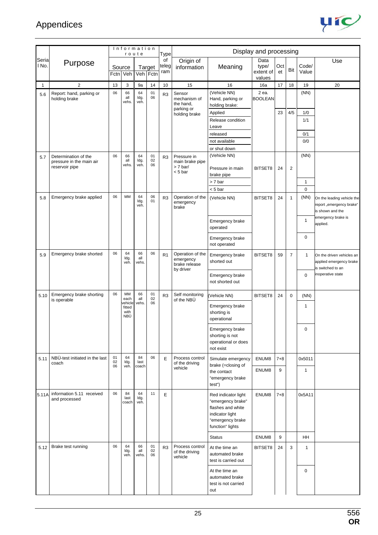

|              |                                                                    |          | Information                   | route              |                    | <b>Type</b>        |                                                                    |                                                                                                                          | Display and processing               |           |                |                           |                                                                            |
|--------------|--------------------------------------------------------------------|----------|-------------------------------|--------------------|--------------------|--------------------|--------------------------------------------------------------------|--------------------------------------------------------------------------------------------------------------------------|--------------------------------------|-----------|----------------|---------------------------|----------------------------------------------------------------------------|
| Seria<br>No. | Purpose                                                            | Fctn Veh | Source                        |                    | Target<br>Veh Fctn | of<br>teleg<br>ram | Origin of<br>information                                           | Meaning                                                                                                                  | Data<br>type/<br>extent of<br>values | Oct<br>et | Bit            | Code/<br>Value            | Use                                                                        |
| $\mathbf{1}$ | $\overline{c}$                                                     | 13       | 3                             | 9a                 | 14                 | 10                 | 15                                                                 | 16                                                                                                                       | 16a                                  | 17        | 18             | 19                        | 20                                                                         |
| 5.6          | Report: hand, parking or<br>holding brake                          | 06       | 66<br>all<br>vehs.            | 64<br>ldg.<br>veh. | 01<br>06           | R <sub>3</sub>     | Sensor<br>mechanism of<br>the hand,<br>parking or<br>holding brake | (Vehicle NN)<br>Hand, parking or<br>holding brake:<br>Applied<br>Release condition<br>Leave<br>released                  | 2 ea.<br><b>BOOLEAN</b>              | 23        | 4/5            | (NN)<br>1/0<br>1/1<br>0/1 |                                                                            |
|              |                                                                    |          |                               |                    |                    |                    |                                                                    | not available                                                                                                            |                                      |           |                | 0/0                       |                                                                            |
|              |                                                                    |          |                               |                    |                    |                    |                                                                    | or shut down                                                                                                             |                                      |           |                |                           |                                                                            |
| 5.7          | Determination of the<br>pressure in the main air<br>reservoir pipe | 06       | 66<br>all<br>vehs.            | 64<br>ldg.<br>veh. | 01<br>02<br>06     | R <sub>3</sub>     | Pressure in<br>main brake pipe<br>$> 7$ bar/<br>$< 5$ bar          | (Vehicle NN)<br>Pressure in main                                                                                         | BITSET8                              | 24        | $\overline{2}$ | (NN)                      |                                                                            |
|              |                                                                    |          |                               |                    |                    |                    |                                                                    | brake pipe                                                                                                               |                                      |           |                |                           |                                                                            |
|              |                                                                    |          |                               |                    |                    |                    |                                                                    | > 7 bar<br>$< 5$ bar                                                                                                     |                                      |           |                | $\mathbf{1}$<br>0         |                                                                            |
| 5.8          | Emergency brake applied                                            | 06       | MM                            | 64<br>ldg.<br>veh. | 06<br>01           | R <sub>3</sub>     | Operation of the<br>emergency<br>brake                             | (Vehicle NN)                                                                                                             | BITSET8                              | 24        | 1              | (NN)                      | On the leading vehicle the<br>report "emergency brake"<br>is shown and the |
|              |                                                                    |          |                               |                    |                    |                    |                                                                    | Emergency brake<br>operated                                                                                              |                                      |           |                | $\mathbf{1}$              | emergency brake is<br>applied.                                             |
|              |                                                                    |          |                               |                    |                    |                    |                                                                    | Emergency brake<br>not operated                                                                                          |                                      |           |                | 0                         |                                                                            |
| 5.9          | Emergency brake shorted                                            | 06       | 64<br>ldg.<br>veh.            | 66<br>all<br>vehs. | 06                 | R <sub>1</sub>     | Operation of the<br>emergency<br>brake release<br>by driver        | Emergency brake<br>shorted out                                                                                           | BITSET8                              | 59        | $\overline{7}$ | 1                         | On the driven vehicles an<br>applied emergency brake<br>is switched to an  |
|              |                                                                    |          |                               |                    |                    |                    |                                                                    | Emergency brake<br>not shorted out                                                                                       |                                      |           |                | $\mathbf 0$               | inoperative state                                                          |
| 5.10         | Emergency brake shorting<br>is operable                            | 06       | MM<br>each<br><i>r</i> ehicle | 66<br>all<br>vehs. | 01<br>02<br>06     | R <sub>3</sub>     | Self monitoring<br>of the NBU                                      | Vehicle NN)                                                                                                              | BITSET8                              | 24        | 0              | (NN)                      |                                                                            |
|              |                                                                    |          | fitted<br>with<br>NBÜ         |                    |                    |                    |                                                                    | Emergency brake<br>shorting is<br>operational                                                                            |                                      |           |                | 1                         |                                                                            |
|              |                                                                    |          |                               |                    |                    |                    |                                                                    | Emergency brake<br>shorting is not<br>operational or does<br>not exist                                                   |                                      |           |                | 0                         |                                                                            |
| 5.11         | NBÜ-test initiated in the last<br>coach                            | 01<br>02 | 64<br>ldg.                    | 84<br>last         | 06                 | E                  | Process control<br>of the driving                                  | Simulate emergency<br>brake (=closing of                                                                                 | ENUM8                                | $7 + 8$   |                | 0x5011                    |                                                                            |
|              |                                                                    | 06       | veh.                          | coach              |                    |                    | vehicle                                                            | the contact<br>"emergency brake<br>test")                                                                                | ENUM8                                | 9         |                | $\mathbf{1}$              |                                                                            |
| 5.11A        | information 5.11 received<br>and processed                         | 06       | 84<br>last<br>coach           | 64<br>Idg.<br>veh. | 11                 | E                  |                                                                    | Red indicator light<br>"emergency brake"<br>flashes and white<br>indicator light<br>"emergency brake<br>function" lights | ENUM8                                | $7 + 8$   |                | 0x5A11                    |                                                                            |
|              |                                                                    |          |                               |                    |                    |                    |                                                                    | <b>Status</b>                                                                                                            | ENUM8                                | 9         |                | HH                        |                                                                            |
| 5.12         | Brake test running                                                 | 06       | 64<br>ldg.<br>veh.            | 66<br>all<br>vehs. | 01<br>02<br>06     | R <sub>3</sub>     | Process control<br>of the driving<br>vehicle                       | At the time an<br>automated brake<br>test is carried out                                                                 | BITSET8                              | 24        | 3              | $\mathbf{1}$              |                                                                            |
|              |                                                                    |          |                               |                    |                    |                    |                                                                    | At the time an<br>automated brake<br>test is not carried<br>out                                                          |                                      |           |                | $\pmb{0}$                 |                                                                            |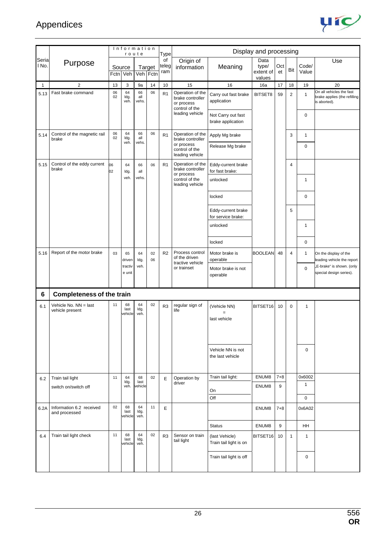

|              |                                           |          | Information           | route              |                    | <b>Type</b>        |                                                                      |                                          | Display and processing               |           |                |                |                                                                          |
|--------------|-------------------------------------------|----------|-----------------------|--------------------|--------------------|--------------------|----------------------------------------------------------------------|------------------------------------------|--------------------------------------|-----------|----------------|----------------|--------------------------------------------------------------------------|
| Seria<br>No. | Purpose                                   | Fctn     | Source<br>Veh         |                    | Target<br>Veh Fctn | of<br>teleg<br>ram | Origin of<br>information                                             | Meaning                                  | Data<br>type/<br>extent of<br>values | Oct<br>et | Bit            | Code/<br>Value | Use                                                                      |
| 1            | $\overline{2}$                            | 13       | 3                     | 9a                 | 14                 | 10                 | 15                                                                   | 16                                       | 16a                                  | 17        | 18             | 19             | 20                                                                       |
| 5.13         | Fast brake command                        | 06<br>02 | 64<br>ldg.<br>veh.    | 66<br>all<br>vehs. | 06                 | R <sub>1</sub>     | Operation of the<br>brake controller<br>or process<br>control of the | Carry out fast brake<br>application      | BITSET8                              | 59        | $\overline{2}$ | $\mathbf{1}$   | On all vehicles the fast<br>brake applies (the refilling<br>is aborted). |
|              |                                           |          |                       |                    |                    |                    | leading vehicle                                                      | Not Carry out fast<br>brake application  |                                      |           |                | $\mathbf 0$    |                                                                          |
| 5.14         | Control of the magnetic rail<br>brake     | 06<br>02 | 64<br>ldg.<br>veh.    | 66<br>all<br>vehs. | 06                 | R <sub>1</sub>     | Operation of the<br>brake controller                                 | Apply Mg brake                           |                                      |           | 3              | $\mathbf{1}$   |                                                                          |
|              |                                           |          |                       |                    |                    |                    | or process<br>control of the<br>leading vehicle                      | Release Mg brake                         |                                      |           |                | $\mathbf 0$    |                                                                          |
| 5.15         | Control of the eddy current<br>brake      | 06<br>02 | 64<br>ldg.            | 66<br>all          | 06                 | R <sub>1</sub>     | Operation of the<br>brake controller<br>or process                   | Eddy-current brake<br>for fast brake:    |                                      |           | 4              |                |                                                                          |
|              |                                           |          | veh.                  | vehs.              |                    |                    | control of the<br>leading vehicle                                    | unlocked                                 |                                      |           |                | 1              |                                                                          |
|              |                                           |          |                       |                    |                    |                    |                                                                      | locked                                   |                                      |           |                | 0              |                                                                          |
|              |                                           |          |                       |                    |                    |                    |                                                                      | Eddy-current brake<br>for service brake: |                                      |           | 5              |                |                                                                          |
|              |                                           |          |                       |                    |                    |                    |                                                                      | unlocked                                 |                                      |           |                | $\mathbf{1}$   |                                                                          |
|              |                                           |          |                       |                    |                    |                    |                                                                      | locked                                   |                                      |           |                | $\mathbf 0$    |                                                                          |
| 5.16         | Report of the motor brake                 | 03       | 65<br>driven          | 64<br>ldg.         | 02<br>06           | R2                 | Process control<br>of the driven<br>tractive vehicle                 | Motor brake is<br>operable               | <b>BOOLEAN</b>                       | 48        | 4              | $\mathbf{1}$   | On the display of the<br>eading vehicle the report                       |
|              |                                           |          | tractiv<br>e unit     | veh.               |                    |                    | or trainset                                                          | Motor brake is not<br>operable           |                                      |           |                | $\mathbf 0$    | ,E-brake" is shown. (only<br>special design series).                     |
| 6            | <b>Completeness of the train</b>          |          |                       |                    |                    |                    |                                                                      |                                          |                                      |           |                |                |                                                                          |
| 6.1          | Vehicle No. NN = last<br>vehicle present  | 11       | 68<br>last<br>vehicle | 64<br>ldg.<br>veh. | 02                 | R <sub>3</sub>     | regular sign of<br>life                                              | (Vehicle NN)<br>$=$<br>last vehicle      | BITSET16                             | 10        | $\mathbf 0$    | $\mathbf{1}$   |                                                                          |
|              |                                           |          |                       |                    |                    |                    |                                                                      | Vehicle NN is not<br>the last vehicle    |                                      |           |                | $\pmb{0}$      |                                                                          |
| 6.2          | Train tail light                          | 11       | 64<br>ldg.            | 68<br>last         | 02                 | E                  | Operation by                                                         | Train tail light:                        | ENUM8                                | $7 + 8$   |                | 0x6002         |                                                                          |
|              | switch on/switch off                      |          | veh.                  | vehicle            |                    |                    | driver                                                               | On                                       | ENUM8                                | 9         |                | $\mathbf{1}$   |                                                                          |
|              |                                           |          |                       |                    |                    |                    |                                                                      | Off                                      |                                      |           |                | $\mathbf 0$    |                                                                          |
| 6.2A         | Information 6.2 received<br>and processed | 02       | 68<br>last<br>vehicle | 64<br>ldg.<br>veh. | 11                 | E                  |                                                                      |                                          | ENUM8                                | $7 + 8$   |                | 0x6A02         |                                                                          |
|              |                                           |          |                       |                    |                    |                    |                                                                      | <b>Status</b>                            | ENUM8                                | 9         |                | HH             |                                                                          |
| 6.4          | Train tail light check                    | 11       | 68<br>last<br>vehicle | 64<br>ldg.<br>veh. | 02                 | R <sub>3</sub>     | Sensor on train<br>tail light                                        | (last Vehicle)<br>Train tail light is on | BITSET16                             | 10        | $\mathbf{1}$   | $\mathbf{1}$   |                                                                          |
|              |                                           |          |                       |                    |                    |                    |                                                                      | Train tail light is off                  |                                      |           |                | 0              |                                                                          |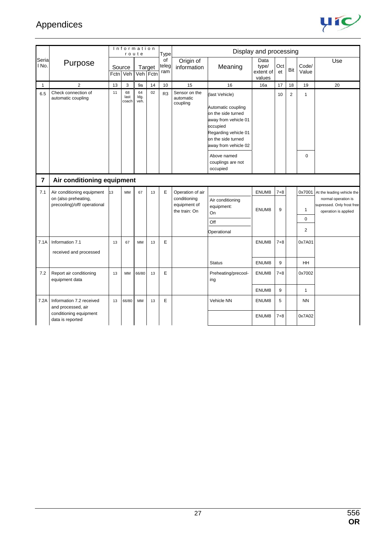

|                |                                                                                              |                    |                     | Information<br>route |        | Type               |                                                                   |                                                                                                                                                                      | Display and processing               |              |                |                     |                                                                                                                |
|----------------|----------------------------------------------------------------------------------------------|--------------------|---------------------|----------------------|--------|--------------------|-------------------------------------------------------------------|----------------------------------------------------------------------------------------------------------------------------------------------------------------------|--------------------------------------|--------------|----------------|---------------------|----------------------------------------------------------------------------------------------------------------|
| Seria<br>No.   | Purpose                                                                                      | Source<br>Fctn Veh |                     | Veh Fctn             | Target | of<br>teleg<br>ram | Origin of<br>information                                          | Meaning                                                                                                                                                              | Data<br>type/<br>extent of<br>values | Oct<br>et    | Bit            | Code/<br>Value      | Use                                                                                                            |
| 1              | $\overline{2}$                                                                               | 13                 | 3                   | 9a                   | 14     | 10                 | 15                                                                | 16                                                                                                                                                                   | 16a                                  | 17           | 18             | 19                  | 20                                                                                                             |
| 6.5            | Check connection of<br>automatic coupling                                                    | 11                 | 68<br>last<br>coach | 64<br>ldg.<br>veh.   | 02     | R <sub>3</sub>     | Sensor on the<br>automatic<br>coupling                            | (last Vehicle)<br>Automatic coupling<br>on the side turned<br>away from vehicle 01<br>occupied<br>Regarding vehicle 01<br>on the side turned<br>away from vehicle 02 |                                      | 10           | $\overline{2}$ | $\mathbf{1}$        |                                                                                                                |
|                |                                                                                              |                    |                     |                      |        |                    |                                                                   | Above named<br>couplings are not<br>occupied                                                                                                                         |                                      |              |                | $\mathbf 0$         |                                                                                                                |
| $\overline{7}$ | Air conditioning equipment                                                                   |                    |                     |                      |        |                    |                                                                   |                                                                                                                                                                      |                                      |              |                |                     |                                                                                                                |
| 7.1            | Air conditioning equipment<br>on (also preheating,<br>precooling)/off/ operational           | 13                 | <b>MM</b>           | 67                   | 13     | E                  | Operation of air<br>conditioning<br>equipment of<br>the train: On | Air conditioning<br>equipment:<br>On                                                                                                                                 | ENUM8<br>ENUM8                       | $7 + 8$<br>9 |                | $\mathbf{1}$        | 0x7001 At the leading vehicle the<br>normal operation is<br>supressed. Only frost free<br>operation is applied |
|                |                                                                                              |                    |                     |                      |        |                    |                                                                   | Off                                                                                                                                                                  |                                      |              |                | 0                   |                                                                                                                |
|                |                                                                                              |                    |                     |                      |        |                    |                                                                   | Operational                                                                                                                                                          |                                      |              |                | $\overline{2}$      |                                                                                                                |
| 7.1A           | Information 7.1<br>received and processed                                                    | 13                 | 67                  | <b>MM</b>            | 13     | E                  |                                                                   | <b>Status</b>                                                                                                                                                        | ENUM8<br>ENUM8                       | $7 + 8$<br>9 |                | 0x7A01<br>HH.       |                                                                                                                |
| 7.2            | Report air conditioning<br>equipment data                                                    | 13                 | <b>MM</b>           | 66/80                | 13     | E                  |                                                                   | Preheating/precool-<br>ing                                                                                                                                           | ENUM8<br>ENUM8                       | $7 + 8$<br>9 |                | 0x7002<br>1         |                                                                                                                |
| 7.2A           | Information 7.2 received<br>and processed, air<br>conditioning equipment<br>data is reported | 13                 | 66/80               | <b>MM</b>            | 13     | E                  |                                                                   | Vehicle NN                                                                                                                                                           | ENUM8<br>ENUM8                       | 5<br>$7 + 8$ |                | <b>NN</b><br>0x7A02 |                                                                                                                |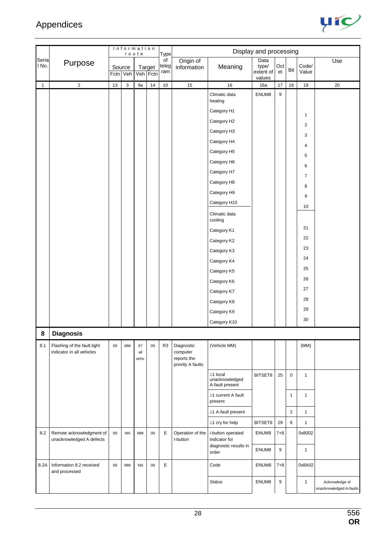

|                |                                                          | Information<br>route |                    |                    |                    |                            |                                                            |                                                             | Display and processing               |                  |              |                |                                           |
|----------------|----------------------------------------------------------|----------------------|--------------------|--------------------|--------------------|----------------------------|------------------------------------------------------------|-------------------------------------------------------------|--------------------------------------|------------------|--------------|----------------|-------------------------------------------|
| Seria<br>I No. | Purpose                                                  |                      | Source<br>Fctn Veh |                    | Target<br>Veh Fctn | Type<br>of<br>teleg<br>ram | Origin of<br>information                                   | Meaning                                                     | Data<br>type/<br>extent of<br>values | Oct<br>et        | Bit          | Code/<br>Value | Use                                       |
| $\mathbf{1}$   | $\overline{2}$                                           | 13                   | $\mathsf 3$        | 9a                 | 14                 | $10$                       | 15                                                         | $16\,$                                                      | 16a                                  | 17               | $18\,$       | $19$           | 20                                        |
|                |                                                          |                      |                    |                    |                    |                            |                                                            | Climatic data<br>heating                                    | ENUM8                                | $\boldsymbol{9}$ |              |                |                                           |
|                |                                                          |                      |                    |                    |                    |                            |                                                            | Category H1                                                 |                                      |                  |              | $\mathbf{1}$   |                                           |
|                |                                                          |                      |                    |                    |                    |                            |                                                            | Category H2                                                 |                                      |                  |              | $\overline{c}$ |                                           |
|                |                                                          |                      |                    |                    |                    |                            |                                                            | Category H3                                                 |                                      |                  |              | 3              |                                           |
|                |                                                          |                      |                    |                    |                    |                            |                                                            | Category H4                                                 |                                      |                  |              | 4              |                                           |
|                |                                                          |                      |                    |                    |                    |                            |                                                            | Category H5                                                 |                                      |                  |              | 5              |                                           |
|                |                                                          |                      |                    |                    |                    |                            |                                                            | Category H6                                                 |                                      |                  |              | 6              |                                           |
|                |                                                          |                      |                    |                    |                    |                            |                                                            | Category H7                                                 |                                      |                  |              | $\overline{7}$ |                                           |
|                |                                                          |                      |                    |                    |                    |                            |                                                            | Category H8                                                 |                                      |                  |              | 8              |                                           |
|                |                                                          |                      |                    |                    |                    |                            |                                                            | Category H9                                                 |                                      |                  |              | 9              |                                           |
|                |                                                          |                      |                    |                    |                    |                            |                                                            | Category H10                                                |                                      |                  |              | 10             |                                           |
|                |                                                          |                      |                    |                    |                    |                            |                                                            | Climatic data<br>cooling                                    |                                      |                  |              |                |                                           |
|                |                                                          |                      |                    |                    |                    |                            |                                                            | Category K1                                                 |                                      |                  |              | 21             |                                           |
|                |                                                          |                      |                    |                    |                    |                            |                                                            | Category K2                                                 |                                      |                  |              | 22             |                                           |
|                |                                                          |                      |                    |                    |                    |                            |                                                            | Category K3                                                 |                                      |                  |              | 23             |                                           |
|                |                                                          |                      |                    |                    |                    |                            |                                                            | Category K4                                                 |                                      |                  |              | 24             |                                           |
|                |                                                          |                      |                    |                    |                    |                            |                                                            | Category K5                                                 |                                      |                  |              | 25             |                                           |
|                |                                                          |                      |                    |                    |                    |                            |                                                            | Category K6                                                 |                                      |                  |              | 26             |                                           |
|                |                                                          |                      |                    |                    |                    |                            |                                                            | Category K7                                                 |                                      |                  |              | 27             |                                           |
|                |                                                          |                      |                    |                    |                    |                            |                                                            | Category K8                                                 |                                      |                  |              | 28             |                                           |
|                |                                                          |                      |                    |                    |                    |                            |                                                            | Category K9                                                 |                                      |                  |              | 29             |                                           |
|                |                                                          |                      |                    |                    |                    |                            |                                                            | Category K10                                                |                                      |                  |              | 30             |                                           |
| 8              | <b>Diagnosis</b>                                         |                      |                    |                    |                    |                            |                                                            |                                                             |                                      |                  |              |                |                                           |
| 8.1            | Flashing of the fault light<br>indicator in all vehicles | 09                   | MM                 | 67<br>all<br>vehs. | 09                 | R <sub>3</sub>             | Diagnostic<br>computer<br>reports the<br>priority A faults | (Vehicle MM)                                                |                                      |                  |              | (MM)           |                                           |
|                |                                                          |                      |                    |                    |                    |                            |                                                            | $\geq$ 1 local<br>unacknowledged<br>A-fault present         | BITSET8                              | 25               | $\mathbf 0$  | $\mathbf{1}$   |                                           |
|                |                                                          |                      |                    |                    |                    |                            |                                                            | ≥1 current A fault<br>present                               |                                      |                  | $\mathbf{1}$ | $\mathbf{1}$   |                                           |
|                |                                                          |                      |                    |                    |                    |                            |                                                            | ≥1 A-fault present                                          |                                      |                  | 2            | $\mathbf{1}$   |                                           |
|                |                                                          |                      |                    |                    |                    |                            |                                                            | $\geq$ 1 cry for help                                       | BITSET8                              | 29               | 6            | $\mathbf{1}$   |                                           |
| 8.2            | Remote acknowledgment of<br>unacknowledged A defects     | 09                   | <b>NN</b>          | MM                 | 09                 | Е                          | Operation of the<br>I-button                               | i-button operated<br>indicator for<br>diagnostic results in | ENUM8                                | $7 + 8$          |              | 0x8002         |                                           |
|                |                                                          |                      |                    |                    |                    |                            |                                                            | order                                                       | ENUM8                                | 9                |              | $\mathbf{1}$   |                                           |
| 8.2A           | Information 8.2 received<br>and processed                | 09                   | MM                 | <b>NN</b>          | 09                 | E                          |                                                            | Code                                                        | ENUM8                                | $7 + 8$          |              | 0x8A02         |                                           |
|                |                                                          |                      |                    |                    |                    |                            |                                                            | <b>Status</b>                                               | ENUM8                                | 9                |              | $\mathbf{1}$   | Acknowledge of<br>unacknowledged A-faults |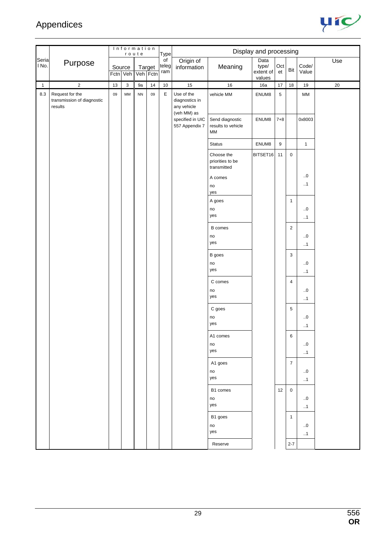

|                |                                                          |    | Information        | route      |                    | Type                            |                                                            |                                               | Display and processing               |                  |                  |                          |        |
|----------------|----------------------------------------------------------|----|--------------------|------------|--------------------|---------------------------------|------------------------------------------------------------|-----------------------------------------------|--------------------------------------|------------------|------------------|--------------------------|--------|
| Seria<br>I No. | Purpose                                                  |    | Source<br>Fctn Veh |            | Target<br>Veh Fctn | $\overline{of}$<br>teleg<br>ram | Origin of<br>information                                   | Meaning                                       | Data<br>type/<br>extent of<br>values | Oct<br>et        | Bit              | Code/<br>Value           | Use    |
| $\mathbf{1}$   | $\overline{2}$                                           | 13 | $\mathbf{3}$       | 9a         | $14$               | 10                              | 15                                                         | $16\,$                                        | 16a                                  | 17               | 18               | $19$                     | $20\,$ |
| $8.3\,$        | Request for the<br>transmission of diagnostic<br>results | 09 | MM                 | ${\sf NN}$ | 09                 | $\mathsf E$                     | Use of the<br>diagnostics in<br>any vehicle<br>(veh MM) as | vehicle MM                                    | ENUM8                                | $\sqrt{5}$       |                  | $\mathsf{MM}$            |        |
|                |                                                          |    |                    |            |                    |                                 | specified in UIC<br>557 Appendix 7                         | Send diagnostic<br>results to vehicle<br>МM   | ENUM8                                | $7 + 8$          |                  | 0x8003                   |        |
|                |                                                          |    |                    |            |                    |                                 |                                                            | Status                                        | ENUM8                                | $\boldsymbol{9}$ |                  | $\mathbf{1}$             |        |
|                |                                                          |    |                    |            |                    |                                 |                                                            | Choose the<br>priorities to be<br>transmitted | BITSET <sub>16</sub>                 | 11               | $\mathsf 0$      |                          |        |
|                |                                                          |    |                    |            |                    |                                 |                                                            | A comes<br>no<br>yes                          |                                      |                  |                  | $\ldots 0$<br>$\cdot$ .1 |        |
|                |                                                          |    |                    |            |                    |                                 |                                                            | A goes                                        |                                      |                  | $\mathbf{1}$     |                          |        |
|                |                                                          |    |                    |            |                    |                                 |                                                            | no                                            |                                      |                  |                  | $\ldots 0$               |        |
|                |                                                          |    |                    |            |                    |                                 |                                                            | yes                                           |                                      |                  |                  | $\cdot$ .1               |        |
|                |                                                          |    |                    |            |                    |                                 |                                                            | <b>B</b> comes                                |                                      |                  | $\mathbf 2$      |                          |        |
|                |                                                          |    |                    |            |                    |                                 |                                                            | no<br>yes                                     |                                      |                  |                  | $\ldots 0$<br>$\cdot$ .1 |        |
|                |                                                          |    |                    |            |                    |                                 |                                                            | B goes                                        |                                      |                  | $\mathbf{3}$     |                          |        |
|                |                                                          |    |                    |            |                    |                                 |                                                            | no                                            |                                      |                  |                  | $\ldots 0$               |        |
|                |                                                          |    |                    |            |                    |                                 |                                                            | yes                                           |                                      |                  |                  | $\cdot$ .1               |        |
|                |                                                          |    |                    |            |                    |                                 |                                                            | C comes                                       |                                      |                  | $\overline{4}$   |                          |        |
|                |                                                          |    |                    |            |                    |                                 |                                                            | no                                            |                                      |                  |                  | $\ldots 0$               |        |
|                |                                                          |    |                    |            |                    |                                 |                                                            | yes                                           |                                      |                  |                  | $\cdot$ .1               |        |
|                |                                                          |    |                    |            |                    |                                 |                                                            | C goes                                        |                                      |                  | $\,$ 5 $\,$      |                          |        |
|                |                                                          |    |                    |            |                    |                                 |                                                            | no                                            |                                      |                  |                  | $\ldots 0$               |        |
|                |                                                          |    |                    |            |                    |                                 |                                                            | yes                                           |                                      |                  |                  | $\cdot$ .1               |        |
|                |                                                          |    |                    |            |                    |                                 |                                                            | A1 comes                                      |                                      |                  | 6                |                          |        |
|                |                                                          |    |                    |            |                    |                                 |                                                            | no<br>yes                                     |                                      |                  |                  | 0.0                      |        |
|                |                                                          |    |                    |            |                    |                                 |                                                            |                                               |                                      |                  |                  | $\cdot$ .1               |        |
|                |                                                          |    |                    |            |                    |                                 |                                                            | A1 goes                                       |                                      |                  | $\boldsymbol{7}$ |                          |        |
|                |                                                          |    |                    |            |                    |                                 |                                                            | no<br>yes                                     |                                      |                  |                  | .0<br>$\cdot$ .1         |        |
|                |                                                          |    |                    |            |                    |                                 |                                                            | B1 comes                                      |                                      |                  |                  |                          |        |
|                |                                                          |    |                    |            |                    |                                 |                                                            | no                                            |                                      | 12               | $\mathbf 0$      | 0.0                      |        |
|                |                                                          |    |                    |            |                    |                                 |                                                            | yes                                           |                                      |                  |                  | $\cdot$ .1               |        |
|                |                                                          |    |                    |            |                    |                                 |                                                            | B1 goes                                       |                                      |                  | $\mathbf{1}$     |                          |        |
|                |                                                          |    |                    |            |                    |                                 |                                                            | no                                            |                                      |                  |                  | 0.0                      |        |
|                |                                                          |    |                    |            |                    |                                 |                                                            | yes                                           |                                      |                  |                  | $\cdot$ .1               |        |
|                |                                                          |    |                    |            |                    |                                 |                                                            | Reserve                                       |                                      |                  | $2 - 7$          |                          |        |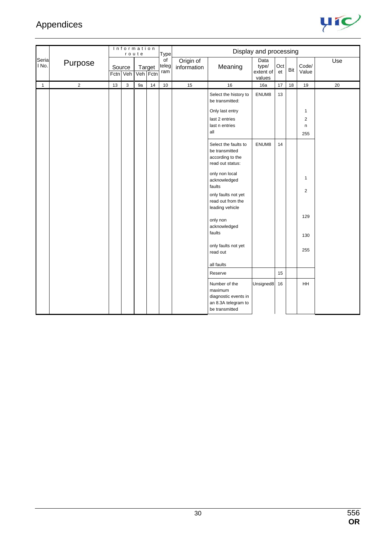

|                |                | Information<br>route<br><b>Type</b> |   |    |                    |                    |                          |                                                                                                                  | Display and processing               |           |     |                          |     |
|----------------|----------------|-------------------------------------|---|----|--------------------|--------------------|--------------------------|------------------------------------------------------------------------------------------------------------------|--------------------------------------|-----------|-----|--------------------------|-----|
| Seria<br>I No. | Purpose        | Source<br>Fctn Veh                  |   |    | Target<br>Veh Fctn | of<br>teleg<br>ram | Origin of<br>information | Meaning                                                                                                          | Data<br>type/<br>extent of<br>values | Oct<br>et | Bit | Code/<br>Value           | Use |
| $\mathbf{1}$   | $\overline{c}$ | 13                                  | 3 | 9a | 14                 | $10\,$             | 15                       | $16\,$                                                                                                           | 16a                                  | 17        | 18  | 19                       | 20  |
|                |                |                                     |   |    |                    |                    |                          | Select the history to<br>be transmitted:<br>Only last entry<br>last 2 entries<br>last n entries                  | ENUM8                                | 13        |     | 1<br>$\overline{c}$<br>n |     |
|                |                |                                     |   |    |                    |                    |                          | all                                                                                                              |                                      |           |     | 255                      |     |
|                |                |                                     |   |    |                    |                    |                          | Select the faults to<br>be transmitted<br>according to the<br>read out status:<br>only non local<br>acknowledged | ENUM8                                | 14        |     | $\mathbf{1}$             |     |
|                |                |                                     |   |    |                    |                    |                          | faults<br>only faults not yet<br>read out from the<br>leading vehicle                                            |                                      |           |     | $\overline{c}$           |     |
|                |                |                                     |   |    |                    |                    |                          | only non<br>acknowledged                                                                                         |                                      |           |     | 129                      |     |
|                |                |                                     |   |    |                    |                    |                          | faults                                                                                                           |                                      |           |     | 130                      |     |
|                |                |                                     |   |    |                    |                    |                          | only faults not yet<br>read out                                                                                  |                                      |           |     | 255                      |     |
|                |                |                                     |   |    |                    |                    |                          | all faults                                                                                                       |                                      |           |     |                          |     |
|                |                |                                     |   |    |                    |                    |                          | Reserve                                                                                                          |                                      | 15        |     |                          |     |
|                |                |                                     |   |    |                    |                    |                          | Number of the<br>maximum<br>diagnostic events in<br>an 8.3A telegram to<br>be transmitted                        | Unsigned8                            | 16        |     | HH                       |     |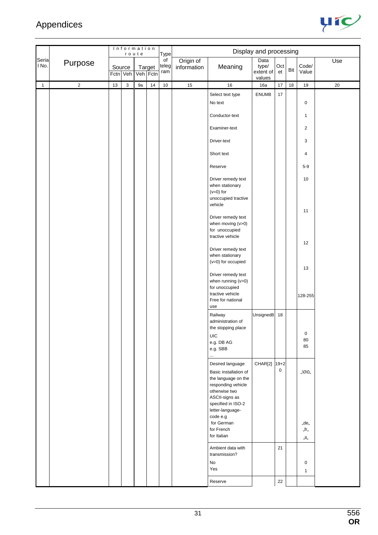

|                |            |    |                    | Information<br>route |                    | <b>Type</b>        |                          |                                                                                                                                                 | Display and processing               |             |     |                           |     |
|----------------|------------|----|--------------------|----------------------|--------------------|--------------------|--------------------------|-------------------------------------------------------------------------------------------------------------------------------------------------|--------------------------------------|-------------|-----|---------------------------|-----|
| Seria<br>I No. | Purpose    |    | Source<br>Fctn Veh |                      | Target<br>Veh Fctn | of<br>teleg<br>ram | Origin of<br>information | Meaning                                                                                                                                         | Data<br>type/<br>extent of<br>values | Oct<br>et   | Bit | Code/<br>Value            | Use |
| $\mathbf{1}$   | $\sqrt{2}$ | 13 | 3                  | 9a                   | 14                 | 10                 | 15                       | $16\,$                                                                                                                                          | 16a                                  | 17          | 18  | 19                        | 20  |
|                |            |    |                    |                      |                    |                    |                          | Select text type<br>No text<br>Conductor-text                                                                                                   | ENUM8                                | 17          |     | $\pmb{0}$<br>$\mathbf{1}$ |     |
|                |            |    |                    |                      |                    |                    |                          | Examiner-text                                                                                                                                   |                                      |             |     | $\overline{c}$            |     |
|                |            |    |                    |                      |                    |                    |                          | Driver-text                                                                                                                                     |                                      |             |     | 3                         |     |
|                |            |    |                    |                      |                    |                    |                          | Short text                                                                                                                                      |                                      |             |     | $\overline{4}$            |     |
|                |            |    |                    |                      |                    |                    |                          | Reserve                                                                                                                                         |                                      |             |     | $5-9$                     |     |
|                |            |    |                    |                      |                    |                    |                          | Driver remedy text<br>when stationary<br>$(v=0)$ for<br>unoccupied tractive<br>vehicle                                                          |                                      |             |     | 10                        |     |
|                |            |    |                    |                      |                    |                    |                          | Driver remedy text<br>when moving (v>0)<br>for unoccupied<br>tractive vehicle                                                                   |                                      |             |     | 11                        |     |
|                |            |    |                    |                      |                    |                    |                          | Driver remedy text<br>when stationary<br>(v=0) for occupied                                                                                     |                                      |             |     | 12                        |     |
|                |            |    |                    |                      |                    |                    |                          | Driver remedy text<br>when running (v>0)<br>for unoccupied<br>tractive vehicle<br>Free for national<br>use                                      |                                      |             |     | 13<br>128-255             |     |
|                |            |    |                    |                      |                    |                    |                          | Railway<br>administration of<br>the stopping place<br><b>UIC</b><br>e.g. DB AG                                                                  | Unsigned8                            | 18          |     | 0<br>80                   |     |
|                |            |    |                    |                      |                    |                    |                          | e.g. SBB<br>$\cdots$<br>Desired language                                                                                                        | CHAR[2] 19+2                         |             |     | 85                        |     |
|                |            |    |                    |                      |                    |                    |                          | Basic installation of<br>the language on the<br>responding vehicle<br>otherwise two<br>ASCII-signs as<br>specified in ISO-2<br>letter-language- |                                      | $\mathbf 0$ |     | ,,\0\0,,                  |     |
|                |            |    |                    |                      |                    |                    |                          | code e.g<br>for German<br>for French<br>for Italian                                                                                             |                                      |             |     | "de"<br>"fr"<br>"it"      |     |
|                |            |    |                    |                      |                    |                    |                          | Ambient data with<br>transmission?<br>No                                                                                                        |                                      | 21          |     | $\pmb{0}$                 |     |
|                |            |    |                    |                      |                    |                    |                          | Yes                                                                                                                                             |                                      |             |     | $\mathbf{1}$              |     |
|                |            |    |                    |                      |                    |                    |                          | Reserve                                                                                                                                         |                                      | $22\,$      |     |                           |     |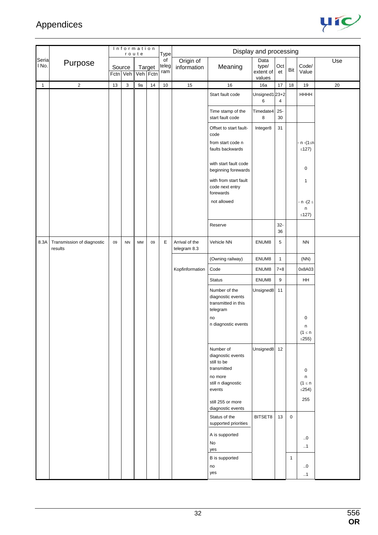

|                |                                       |        | Information | route     |        | <b>Type</b>        |                                |                                                                       | Display and processing               |              |              |                                                    |     |
|----------------|---------------------------------------|--------|-------------|-----------|--------|--------------------|--------------------------------|-----------------------------------------------------------------------|--------------------------------------|--------------|--------------|----------------------------------------------------|-----|
| Seria<br>I No. | Purpose                               | Source | Fctn Veh    | Veh Fctn  | Target | of<br>teleg<br>ram | Origin of<br>information       | Meaning                                                               | Data<br>type/<br>extent of<br>values | Oct<br>et    | Bit          | Code/<br>Value                                     | Use |
| $\mathbf{1}$   | $\overline{2}$                        | $13$   | 3           | 9a        | 14     | $10$               | 15                             | 16                                                                    | 16a                                  | 17           | 18           | 19                                                 | 20  |
|                |                                       |        |             |           |        |                    |                                | Start fault code                                                      | Unsigned1 23+2<br>6                  | 4            |              | HHHH                                               |     |
|                |                                       |        |             |           |        |                    |                                | Time stamp of the<br>start fault code                                 | Timedate4<br>8                       | $25 -$<br>30 |              |                                                    |     |
|                |                                       |        |             |           |        |                    |                                | Offset to start fault-<br>code                                        | Integer8                             | 31           |              |                                                    |     |
|                |                                       |        |             |           |        |                    |                                | from start code n<br>faults backwards                                 |                                      |              |              | n -(1≤n<br>$\leq$ 127)                             |     |
|                |                                       |        |             |           |        |                    |                                | with start fault code<br>beginning forewards                          |                                      |              |              | $\pmb{0}$                                          |     |
|                |                                       |        |             |           |        |                    |                                | with from start fault<br>code next entry<br>forewards                 |                                      |              |              | $\mathbf{1}$                                       |     |
|                |                                       |        |             |           |        |                    |                                | not allowed                                                           |                                      |              |              | - n -(2 ≤                                          |     |
|                |                                       |        |             |           |        |                    |                                |                                                                       |                                      |              |              | n<br>$\leq$ 127)                                   |     |
|                |                                       |        |             |           |        |                    |                                | Reserve                                                               |                                      | $32-$<br>36  |              |                                                    |     |
| 8.3A           | Transmission of diagnostic<br>results | 09     | <b>NN</b>   | <b>MM</b> | 09     | E                  | Arrival of the<br>telegram 8.3 | Vehicle NN                                                            | ENUM8                                | 5            |              | <b>NN</b>                                          |     |
|                |                                       |        |             |           |        |                    |                                | (Owning railway)                                                      | ENUM8                                | $\mathbf{1}$ |              | (NN)                                               |     |
|                |                                       |        |             |           |        |                    | Kopfinformation                | Code                                                                  | ENUM8                                | $7 + 8$      |              | 0x8A03                                             |     |
|                |                                       |        |             |           |        |                    |                                | <b>Status</b>                                                         | ENUM8                                | 9            |              | HH                                                 |     |
|                |                                       |        |             |           |        |                    |                                | Number of the<br>diagnostic events<br>transmitted in this<br>telegram | Unsigned8                            | 11           |              |                                                    |     |
|                |                                       |        |             |           |        |                    |                                | no                                                                    |                                      |              |              | 0                                                  |     |
|                |                                       |        |             |           |        |                    |                                | n diagnostic events                                                   |                                      |              |              | n<br>$(1 \leq n)$<br>$\leq$ 255)                   |     |
|                |                                       |        |             |           |        |                    |                                | Number of<br>diagnostic events<br>still to be<br>transmitted          | Unsigned8                            | 12           |              |                                                    |     |
|                |                                       |        |             |           |        |                    |                                | no more<br>still n diagnostic<br>events                               |                                      |              |              | $\pmb{0}$<br>$\sf n$<br>$(1 \leq n$<br>$\leq$ 254) |     |
|                |                                       |        |             |           |        |                    |                                | still 255 or more<br>diagnostic events                                |                                      |              |              | 255                                                |     |
|                |                                       |        |             |           |        |                    |                                | Status of the<br>supported priorities                                 | BITSET8                              | 13           | $\mathbf 0$  |                                                    |     |
|                |                                       |        |             |           |        |                    |                                | A is supported<br>No<br>yes                                           |                                      |              |              | $\ldots 0$<br>$\cdot$ .1                           |     |
|                |                                       |        |             |           |        |                    |                                | B is supported                                                        |                                      |              | $\mathbf{1}$ |                                                    |     |
|                |                                       |        |             |           |        |                    |                                | no<br>yes                                                             |                                      |              |              | .0<br>$\cdot$ .1                                   |     |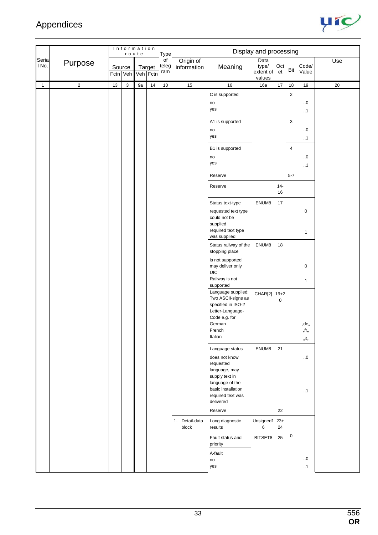

|                |                         |    | Information        | route |                    | Type               |                          |                                                                                                                                                             | Display and processing               |               |                         |                           |     |
|----------------|-------------------------|----|--------------------|-------|--------------------|--------------------|--------------------------|-------------------------------------------------------------------------------------------------------------------------------------------------------------|--------------------------------------|---------------|-------------------------|---------------------------|-----|
| Seria<br>I No. | Purpose                 |    | Source<br>Fctn Veh |       | Target<br>Veh Fctn | of<br>teleg<br>ram | Origin of<br>information | Meaning                                                                                                                                                     | Data<br>type/<br>extent of<br>values | Oct<br>et     | Bit                     | Code/<br>Value            | Use |
| $\mathbf{1}$   | $\overline{\mathbf{c}}$ | 13 | $\mathsf 3$        | 9a    | 14                 | $10\,$             | 15                       | 16                                                                                                                                                          | 16a                                  | $17$          | 18                      | 19                        | 20  |
|                |                         |    |                    |       |                    |                    |                          | C is supported<br>no<br>yes                                                                                                                                 |                                      |               | $\sqrt{2}$              | $\ldots 0$<br>$\cdot$ .1  |     |
|                |                         |    |                    |       |                    |                    |                          | A1 is supported<br>no<br>yes                                                                                                                                |                                      |               | 3                       | $\ldots 0$<br>$\cdot$ .1  |     |
|                |                         |    |                    |       |                    |                    |                          | B1 is supported<br>no<br>yes                                                                                                                                |                                      |               | $\overline{\mathbf{4}}$ | $\ldots 0$<br>$\cdot$ .1  |     |
|                |                         |    |                    |       |                    |                    |                          | Reserve                                                                                                                                                     |                                      |               | $5 - 7$                 |                           |     |
|                |                         |    |                    |       |                    |                    |                          | Reserve                                                                                                                                                     |                                      | $14 -$<br>16  |                         |                           |     |
|                |                         |    |                    |       |                    |                    |                          | Status text-type<br>requested text type<br>could not be<br>supplied<br>required text type<br>was supplied                                                   | ENUM8                                | $17$          |                         | $\pmb{0}$<br>$\mathbf{1}$ |     |
|                |                         |    |                    |       |                    |                    |                          | Status railway of the<br>stopping place                                                                                                                     | ENUM8                                | 18            |                         |                           |     |
|                |                         |    |                    |       |                    |                    |                          | is not supported<br>may deliver only<br>UIC<br>Railway is not                                                                                               |                                      |               |                         | $\pmb{0}$<br>$\mathbf{1}$ |     |
|                |                         |    |                    |       |                    |                    |                          | supported<br>Language supplied:<br>Two ASCII-signs as<br>specified in ISO-2<br>Letter-Language-<br>Code e.g. for<br>German<br>French<br>Italian             | CHAR[2]                              | $19 + 2$<br>0 |                         | "de"<br>"tr"<br>"it"      |     |
|                |                         |    |                    |       |                    |                    |                          | Language status<br>does not know<br>requested<br>language, may<br>supply text in<br>language of the<br>basic installation<br>required text was<br>delivered | ENUM8                                | 21            |                         | $\ldots 0$<br>$\cdot$ .1  |     |
|                |                         |    |                    |       |                    |                    |                          | Reserve                                                                                                                                                     |                                      | 22            |                         |                           |     |
|                |                         |    |                    |       |                    |                    | 1. Detail-data<br>block  | Long diagnostic<br>results                                                                                                                                  | Unsigned1 23+<br>6                   | 24            |                         |                           |     |
|                |                         |    |                    |       |                    |                    |                          | Fault status and<br>priority                                                                                                                                | BITSET8                              | 25            | $\mathbf 0$             |                           |     |
|                |                         |    |                    |       |                    |                    |                          | A-fault<br>no<br>yes                                                                                                                                        |                                      |               |                         | $\ldots 0$<br>$\cdot$ .1  |     |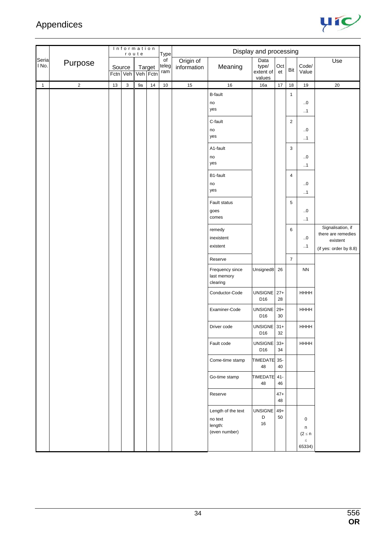

|                |            | Information<br>route<br><b>Type</b> |                    |    |                    |                                 |                          |                                                           | Display and processing               |                 |                |                                                      |                                                                               |
|----------------|------------|-------------------------------------|--------------------|----|--------------------|---------------------------------|--------------------------|-----------------------------------------------------------|--------------------------------------|-----------------|----------------|------------------------------------------------------|-------------------------------------------------------------------------------|
| Seria<br>I No. | Purpose    |                                     | Source<br>Fctn Veh |    | Target<br>Veh Fctn | $\overline{of}$<br>teleg<br>ram | Origin of<br>information | Meaning                                                   | Data<br>type/<br>extent of<br>values | Oct<br>et       | Bit            | Code/<br>Value                                       | Use                                                                           |
| $\mathbf{1}$   | $\sqrt{2}$ | 13                                  | 3                  | 9a | 14                 | 10                              | 15                       | 16                                                        | 16a                                  | 17              | $18$           | 19                                                   | 20                                                                            |
|                |            |                                     |                    |    |                    |                                 |                          | <b>B-fault</b><br>no<br>yes                               |                                      |                 | $\mathbf{1}$   | $\cdot .0$<br>$\cdot$ .1                             |                                                                               |
|                |            |                                     |                    |    |                    |                                 |                          | C-fault<br>no<br>yes                                      |                                      |                 | $\overline{c}$ | $0$<br>$\cdot$ .1                                    |                                                                               |
|                |            |                                     |                    |    |                    |                                 |                          | A1-fault<br>no<br>yes                                     |                                      |                 | 3              | $\ldots 0$<br>$\cdot$ .1                             |                                                                               |
|                |            |                                     |                    |    |                    |                                 |                          | B1-fault<br>no<br>yes                                     |                                      |                 | 4              | $\ldots 0$<br>$\cdot$ .1                             |                                                                               |
|                |            |                                     |                    |    |                    |                                 |                          | Fault status<br>goes<br>comes                             |                                      |                 | 5              | $\cdot .0$<br>$\cdot$ .1                             |                                                                               |
|                |            |                                     |                    |    |                    |                                 |                          | remedy<br>inexistent<br>existent                          |                                      |                 | 6              | $\cdot .0$<br>.1                                     | Signalisation, if<br>there are remedies<br>existent<br>(if yes: order by 8.8) |
|                |            |                                     |                    |    |                    |                                 |                          | Reserve                                                   |                                      |                 | $\overline{7}$ |                                                      |                                                                               |
|                |            |                                     |                    |    |                    |                                 |                          | Frequency since<br>last memory<br>clearing                | Unsigned <sub>8</sub>                | 26              |                | ${\sf NN}$                                           |                                                                               |
|                |            |                                     |                    |    |                    |                                 |                          | Conductor-Code                                            | <b>UNSIGNE</b><br>D16                | $27+$<br>28     |                | HHHH                                                 |                                                                               |
|                |            |                                     |                    |    |                    |                                 |                          | Examiner-Code                                             | UNSIGNE<br>D16                       | $29+$<br>$30\,$ |                | HHHH                                                 |                                                                               |
|                |            |                                     |                    |    |                    |                                 |                          | Driver code                                               | UNSIGNE 31+<br>D16                   | 32              |                | HHHH                                                 |                                                                               |
|                |            |                                     |                    |    |                    |                                 |                          | Fault code                                                | <b>UNSIGNE</b><br>D16                | $33+$<br>34     |                | <b>HHHH</b>                                          |                                                                               |
|                |            |                                     |                    |    |                    |                                 |                          | Come-time stamp                                           | <b>TIMEDATE</b><br>48                | $35-$<br>40     |                |                                                      |                                                                               |
|                |            |                                     |                    |    |                    |                                 |                          | Go-time stamp                                             | TIMEDATE 41-<br>48                   | 46              |                |                                                      |                                                                               |
|                |            |                                     |                    |    |                    |                                 |                          | Reserve                                                   |                                      | $47+$<br>48     |                |                                                      |                                                                               |
|                |            |                                     |                    |    |                    |                                 |                          | Length of the text<br>no text<br>length:<br>(even number) | <b>UNSIGNE</b><br>D<br>16            | $49+$<br>50     |                | $\mathbf 0$<br>n<br>$(2 \leq n)$<br>$\leq$<br>65334) |                                                                               |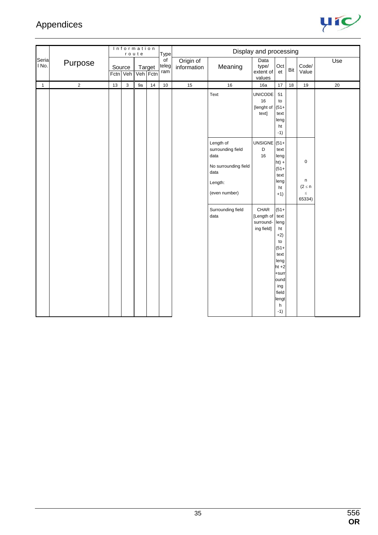

|                |                         |    | Information        | route |                           | Type                            |                          |                                                                                                    | Display and processing                        |                                                                                                                                            |     |                                                        |     |
|----------------|-------------------------|----|--------------------|-------|---------------------------|---------------------------------|--------------------------|----------------------------------------------------------------------------------------------------|-----------------------------------------------|--------------------------------------------------------------------------------------------------------------------------------------------|-----|--------------------------------------------------------|-----|
| Seria<br>I No. | Purpose                 |    | Source<br>Fctn Veh |       | <b>Target</b><br>Veh Fctn | $\overline{of}$<br>teleg<br>ram | Origin of<br>information | Meaning                                                                                            | Data<br>type/<br>extent of<br>values          | Oct<br>et                                                                                                                                  | Bit | Code/<br>Value                                         | Use |
| $\mathbf{1}$   | $\overline{\mathbf{c}}$ | 13 | $\mathsf 3$        | 9a    | $14$                      | $10\,$                          | 15                       | 16                                                                                                 | 16a                                           | 17                                                                                                                                         | 18  | 19                                                     | 20  |
|                |                         |    |                    |       |                           |                                 |                          | Text                                                                                               | <b>UNICODE</b><br>16<br>[lenght of<br>text]   | 51<br>to<br>$(51 +$<br>text<br>leng<br>ht<br>$-1)$                                                                                         |     |                                                        |     |
|                |                         |    |                    |       |                           |                                 |                          | Length of<br>surrounding field<br>data<br>No surrounding field<br>data<br>Length:<br>(even number) | UNSIGNE $(51+)$<br>D<br>16                    | text<br>leng<br>$ht) +$<br>$(51 +$<br>text<br>leng<br>ht<br>$+1)$                                                                          |     | $\pmb{0}$<br>$\sf n$<br>$(2 \le n$<br>$\leq$<br>65334) |     |
|                |                         |    |                    |       |                           |                                 |                          | Surrounding field<br>data                                                                          | CHAR<br>[Length of<br>surround-<br>ing field] | $(51 +$<br>text<br>leng<br>ht<br>$+2)$<br>to<br>$(51 +$<br>text<br>leng<br>$ht +2$<br>+surr<br>ound<br>ing<br>field<br>lengt<br>h<br>$-1)$ |     |                                                        |     |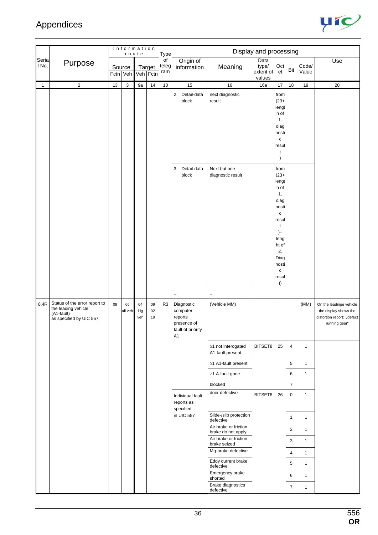

|                |                                                                                               | Information<br>Display and processing<br>route<br>Type |                    |                  |                    |                    |                                                                             |                                                             |                            |                                                                                                                                                                                 |                |                |                                                                                                 |
|----------------|-----------------------------------------------------------------------------------------------|--------------------------------------------------------|--------------------|------------------|--------------------|--------------------|-----------------------------------------------------------------------------|-------------------------------------------------------------|----------------------------|---------------------------------------------------------------------------------------------------------------------------------------------------------------------------------|----------------|----------------|-------------------------------------------------------------------------------------------------|
| Seria<br>l No. | Purpose                                                                                       |                                                        | Source<br>Fctn Veh |                  | Target<br>Veh Fctn | of<br>teleg<br>ram | Origin of<br>information                                                    | Meaning                                                     | Data<br>type/<br>extent of | Oct<br>et                                                                                                                                                                       | Bit            | Code/<br>Value | Use                                                                                             |
| $\mathbf{1}$   | $\sqrt{2}$                                                                                    | 13                                                     | $\mathsf 3$        | 9a               | 14                 | 10                 | 15                                                                          | 16                                                          | values<br>16a              | 17                                                                                                                                                                              | 18             | 19             | 20                                                                                              |
|                |                                                                                               |                                                        |                    |                  |                    |                    | 2. Detail-data<br>block                                                     | next diagnostic<br>result                                   |                            | from<br>$(23 +$<br>lengt<br>h of<br>1.<br>diag<br>nosti<br>$\mathbf c$<br>resul<br>t                                                                                            |                |                |                                                                                                 |
|                |                                                                                               |                                                        |                    |                  |                    |                    | Detail-data<br>3.<br>block<br>$\ldots$                                      | Next but one<br>diagnostic result<br>                       |                            | $\lambda$<br>from<br>$(23 +$<br>lengt<br>h of<br>1.<br>diag<br>nosti<br>$\mathbf c$<br>resul<br>t<br>$)+$<br>leng<br>ht of<br>2.<br>Diag<br>nosti<br>$\mathbf c$<br>resul<br>t) |                |                |                                                                                                 |
| 8.4R           | Status of the error report to<br>the leading vehicle<br>(A1-fault)<br>as specified by UIC 557 | 09                                                     | 66<br>all veh      | 64<br>Idg<br>veh | 09<br>02<br>19     | R3                 | Diagnostic<br>computer<br>reports<br>presence of<br>fault of priority<br>A1 | (Vehicle MM)                                                |                            |                                                                                                                                                                                 |                | (MM)           | On the leadinge vehicle<br>the display shows the<br>distortion report: "defect<br>running gear" |
|                |                                                                                               |                                                        |                    |                  |                    |                    |                                                                             | $\geq$ 1 not interogated<br>A1-fault present                | BITSET8                    | 25                                                                                                                                                                              | 4              | $\mathbf{1}$   |                                                                                                 |
|                |                                                                                               |                                                        |                    |                  |                    |                    |                                                                             | ≥1 A1-fault present                                         |                            |                                                                                                                                                                                 | 5              | $\mathbf{1}$   |                                                                                                 |
|                |                                                                                               |                                                        |                    |                  |                    |                    |                                                                             | ≥1 A-fault gone                                             |                            |                                                                                                                                                                                 | 6              | $\mathbf{1}$   |                                                                                                 |
|                |                                                                                               |                                                        |                    |                  |                    |                    |                                                                             | blocked                                                     |                            |                                                                                                                                                                                 | $\overline{7}$ |                |                                                                                                 |
|                |                                                                                               |                                                        |                    |                  |                    |                    | Individual fault<br>reports as<br>specified                                 | door defective                                              | BITSET8                    | 26                                                                                                                                                                              | $\mathbf 0$    | $\mathbf{1}$   |                                                                                                 |
|                |                                                                                               |                                                        |                    |                  |                    |                    | in UIC 557                                                                  | Slide-/slip protection<br>defective                         |                            |                                                                                                                                                                                 | $\mathbf{1}$   | $\mathbf{1}$   |                                                                                                 |
|                |                                                                                               |                                                        |                    |                  |                    |                    |                                                                             | Air brake or friction                                       |                            |                                                                                                                                                                                 | $\overline{2}$ | $\mathbf{1}$   |                                                                                                 |
|                |                                                                                               |                                                        |                    |                  |                    |                    |                                                                             | brake do not apply<br>Air brake or friction<br>brake seized |                            |                                                                                                                                                                                 | 3              | $\mathbf{1}$   |                                                                                                 |
|                |                                                                                               |                                                        |                    |                  |                    |                    |                                                                             | Mg-brake defective                                          |                            |                                                                                                                                                                                 | 4              | $\mathbf{1}$   |                                                                                                 |
|                |                                                                                               |                                                        |                    |                  |                    |                    |                                                                             | Eddy current brake<br>defective                             |                            |                                                                                                                                                                                 | 5              | $\mathbf{1}$   |                                                                                                 |
|                |                                                                                               |                                                        |                    |                  |                    |                    |                                                                             | Emergency brake<br>shorted                                  |                            |                                                                                                                                                                                 | 6              | $\mathbf{1}$   |                                                                                                 |
|                |                                                                                               |                                                        |                    |                  |                    |                    |                                                                             | Brake diagnostics<br>defective                              |                            |                                                                                                                                                                                 | $\overline{7}$ | $\mathbf{1}$   |                                                                                                 |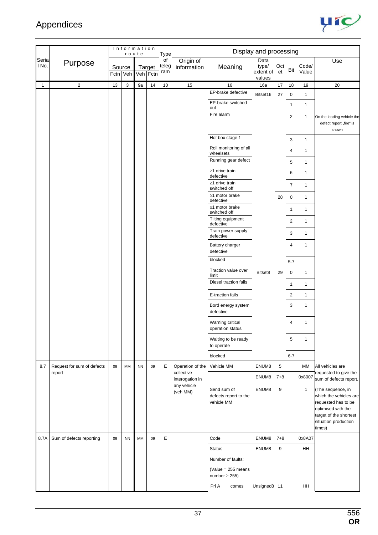

|                |                            |        |           | Information<br>route |        | <b>Type</b>        |                               |                                                    | Display and processing               |           |                         |                |                                                                                                                                                      |
|----------------|----------------------------|--------|-----------|----------------------|--------|--------------------|-------------------------------|----------------------------------------------------|--------------------------------------|-----------|-------------------------|----------------|------------------------------------------------------------------------------------------------------------------------------------------------------|
| Seria<br>l No. | Purpose                    | Source | Fctn Veh  | Veh Fctn             | Target | of<br>teleg<br>ram | Origin of<br>information      | Meaning                                            | Data<br>type/<br>extent of<br>values | Oct<br>et | Bit                     | Code/<br>Value | Use                                                                                                                                                  |
| $\mathbf{1}$   | $\overline{2}$             | $13$   | 3         | 9a                   | $14$   | 10                 | 15                            | 16                                                 | 16a                                  | 17        | 18                      | 19             | 20                                                                                                                                                   |
|                |                            |        |           |                      |        |                    |                               | EP-brake defective                                 | Bitset16                             | 27        | 0                       | $\mathbf{1}$   |                                                                                                                                                      |
|                |                            |        |           |                      |        |                    |                               | EP-brake switched<br>out                           |                                      |           | 1                       | $\mathbf{1}$   |                                                                                                                                                      |
|                |                            |        |           |                      |        |                    |                               | Fire alarm                                         |                                      |           | $\overline{\mathbf{c}}$ | 1              | On the leading vehicle the<br>defect report "fire" is<br>shown                                                                                       |
|                |                            |        |           |                      |        |                    |                               | Hot box stage 1                                    |                                      |           | 3                       | 1              |                                                                                                                                                      |
|                |                            |        |           |                      |        |                    |                               | Roll monitoring of all<br>wheelsets                |                                      |           | 4                       | $\mathbf{1}$   |                                                                                                                                                      |
|                |                            |        |           |                      |        |                    |                               | Running gear defect                                |                                      |           | 5                       | 1              |                                                                                                                                                      |
|                |                            |        |           |                      |        |                    |                               | $\geq$ 1 drive train<br>defective                  |                                      |           | 6                       | $\mathbf{1}$   |                                                                                                                                                      |
|                |                            |        |           |                      |        |                    |                               | $\geq$ 1 drive train<br>switched off               |                                      |           | $\overline{7}$          | 1              |                                                                                                                                                      |
|                |                            |        |           |                      |        |                    |                               | ≥1 motor brake<br>defective                        |                                      | 28        | 0                       | 1              |                                                                                                                                                      |
|                |                            |        |           |                      |        |                    |                               | ≥1 motor brake<br>switched off                     |                                      |           | 1                       | $\mathbf{1}$   |                                                                                                                                                      |
|                |                            |        |           |                      |        |                    |                               | Tilting equipment<br>defective                     |                                      |           | $\overline{\mathbf{c}}$ | 1              |                                                                                                                                                      |
|                |                            |        |           |                      |        |                    |                               | Train power supply<br>defective                    |                                      |           | 3                       | $\mathbf{1}$   |                                                                                                                                                      |
|                |                            |        |           |                      |        |                    |                               | Battery charger<br>defective                       |                                      |           | 4                       | $\mathbf{1}$   |                                                                                                                                                      |
|                |                            |        |           |                      |        |                    |                               | blocked                                            |                                      |           | $5 - 7$                 |                |                                                                                                                                                      |
|                |                            |        |           |                      |        |                    |                               | Traction value over<br>limit                       | Bitset8                              | 29        | 0                       | $\mathbf{1}$   |                                                                                                                                                      |
|                |                            |        |           |                      |        |                    |                               | Diesel traction fails                              |                                      |           | $\mathbf{1}$            | 1              |                                                                                                                                                      |
|                |                            |        |           |                      |        |                    |                               | E-traction fails                                   |                                      |           | $\overline{\mathbf{c}}$ | $\mathbf{1}$   |                                                                                                                                                      |
|                |                            |        |           |                      |        |                    |                               | Bord energy system<br>defective                    |                                      |           | 3                       | $\mathbf{1}$   |                                                                                                                                                      |
|                |                            |        |           |                      |        |                    |                               | Warning critical<br>operation status               |                                      |           | 4                       | $\mathbf{1}$   |                                                                                                                                                      |
|                |                            |        |           |                      |        |                    |                               | Waiting to be ready<br>to operate                  |                                      |           | 5                       | $\mathbf{1}$   |                                                                                                                                                      |
|                |                            |        |           |                      |        |                    |                               | blocked                                            |                                      |           | $6 - 7$                 |                |                                                                                                                                                      |
| 8.7            | Request for sum of defects | 09     | MM        | <b>NN</b>            | 09     | E                  | Operation of the              | Vehicle MM                                         | ENUM8                                | 5         |                         | MM             | All vehicles are                                                                                                                                     |
|                | report                     |        |           |                      |        |                    | collective<br>interogation in |                                                    | ENUM8                                | $7 + 8$   |                         | 0x8007         | requested to give the<br>sum of defects report.                                                                                                      |
|                |                            |        |           |                      |        |                    | any vehicle<br>(veh MM)       | Send sum of<br>defects report to the<br>vehicle MM | ENUM8                                | 9         |                         | $\mathbf{1}$   | (The sequence, in<br>which the vehicles are<br>requested has to be<br>optimised with the<br>target of the shortest<br>situation production<br>times) |
| 8.7A           | Sum of defects reporting   | 09     | <b>NN</b> | MM                   | 09     | E                  |                               | Code                                               | ENUM8                                | $7 + 8$   |                         | 0x8A07         |                                                                                                                                                      |
|                |                            |        |           |                      |        |                    |                               | <b>Status</b>                                      | ENUM8                                | 9         |                         | HH             |                                                                                                                                                      |
|                |                            |        |           |                      |        |                    |                               | Number of faults:                                  |                                      |           |                         |                |                                                                                                                                                      |
|                |                            |        |           |                      |        |                    |                               | (Value = $255$ means<br>number $\geq$ 255)         |                                      |           |                         |                |                                                                                                                                                      |
|                |                            |        |           |                      |        |                    |                               | Pri A<br>comes                                     | Unsigned8 11                         |           |                         | HH             |                                                                                                                                                      |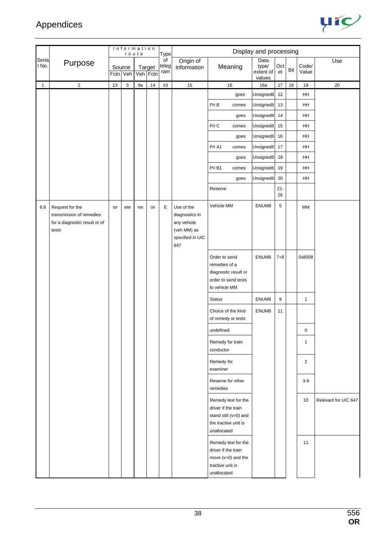

|                |                                                                                       |    |                    | Information |                    |                    |                                                                                       |                                                                                                            |                                      |                  |     |                |                      |
|----------------|---------------------------------------------------------------------------------------|----|--------------------|-------------|--------------------|--------------------|---------------------------------------------------------------------------------------|------------------------------------------------------------------------------------------------------------|--------------------------------------|------------------|-----|----------------|----------------------|
|                |                                                                                       |    |                    | route       |                    | Type               |                                                                                       |                                                                                                            | Display and processing               |                  |     |                |                      |
| Seria<br>I No. | Purpose                                                                               |    | Source<br>Fctn Veh |             | Target<br>Veh Fctn | of<br>teleg<br>ram | Origin of<br>information                                                              | Meaning                                                                                                    | Data<br>type/<br>extent of<br>values | Oct<br>et        | Bit | Code/<br>Value | Use                  |
| $\mathbf{1}$   | $\mathbf 2$                                                                           | 13 | $\sqrt{3}$         | 9a          | 14                 | $10\,$             | 15                                                                                    | 16                                                                                                         | 16a                                  | 17               | 18  | 19             | $20\,$               |
|                |                                                                                       |    |                    |             |                    |                    |                                                                                       | goes                                                                                                       | Unsigned8                            | 12               |     | HH             |                      |
|                |                                                                                       |    |                    |             |                    |                    |                                                                                       | Pri B<br>comes                                                                                             | Unsigned8                            | 13               |     | HH             |                      |
|                |                                                                                       |    |                    |             |                    |                    |                                                                                       | goes                                                                                                       | Unsigned8                            | 14               |     | HH             |                      |
|                |                                                                                       |    |                    |             |                    |                    |                                                                                       | Pri C<br>comes                                                                                             | Unsigned8                            | 15               |     | HH             |                      |
|                |                                                                                       |    |                    |             |                    |                    |                                                                                       | goes                                                                                                       | Unsigned8                            | 16               |     | HH             |                      |
|                |                                                                                       |    |                    |             |                    |                    |                                                                                       | Pri A1<br>comes                                                                                            | Unsigned8                            | 17               |     | HH             |                      |
|                |                                                                                       |    |                    |             |                    |                    |                                                                                       | goes                                                                                                       | Unsigned8                            | 18               |     | HH             |                      |
|                |                                                                                       |    |                    |             |                    |                    |                                                                                       | Pri B1<br>comes                                                                                            | Unsigned8                            | 19               |     | HH             |                      |
|                |                                                                                       |    |                    |             |                    |                    |                                                                                       | goes                                                                                                       | Unsigned8                            | 20               |     | HH             |                      |
|                |                                                                                       |    |                    |             |                    |                    |                                                                                       | Reserve                                                                                                    |                                      | $21 -$<br>$26\,$ |     |                |                      |
| 8.8            | Request for the<br>transmission of remedies<br>for a diagnostic result or of<br>tests | 09 | MM                 | ${\sf NN}$  | 09                 | Е                  | Use of the<br>diagnostics in<br>any vehicle<br>(veh MM) as<br>specified in UIC<br>647 | Vehicle MM                                                                                                 | ENUM8                                | $\sqrt{5}$       |     | MM             |                      |
|                |                                                                                       |    |                    |             |                    |                    |                                                                                       | Order to send<br>remedies of a<br>diagnostic result or<br>order to send tests<br>to vehicle MM             | ENUM8                                | $7 + 8$          |     | 0x8008         |                      |
|                |                                                                                       |    |                    |             |                    |                    |                                                                                       | <b>Status</b>                                                                                              | ENUM8                                | 9                |     | $\mathbf{1}$   |                      |
|                |                                                                                       |    |                    |             |                    |                    |                                                                                       | Choice of the kind<br>of remedy or tests                                                                   | ENUM8                                | 11               |     |                |                      |
|                |                                                                                       |    |                    |             |                    |                    |                                                                                       | undefined                                                                                                  |                                      |                  |     | 0              |                      |
|                |                                                                                       |    |                    |             |                    |                    |                                                                                       | Remedy for train<br>conductor                                                                              |                                      |                  |     | 1              |                      |
|                |                                                                                       |    |                    |             |                    |                    |                                                                                       | Remedy for<br>examiner                                                                                     |                                      |                  |     | $\overline{c}$ |                      |
|                |                                                                                       |    |                    |             |                    |                    |                                                                                       | Reserve for other<br>remedies                                                                              |                                      |                  |     | $3-9$          |                      |
|                |                                                                                       |    |                    |             |                    |                    |                                                                                       | Remedy text for the<br>driver if the train<br>stand still (v=0) and<br>the tractive unit is<br>unallocated |                                      |                  |     | 10             | Relevant for UIC 647 |
|                |                                                                                       |    |                    |             |                    |                    |                                                                                       | Remedy text for the<br>driver if the train<br>move (v>0) and the<br>tractive unit is<br>unallocated        |                                      |                  |     | 11             |                      |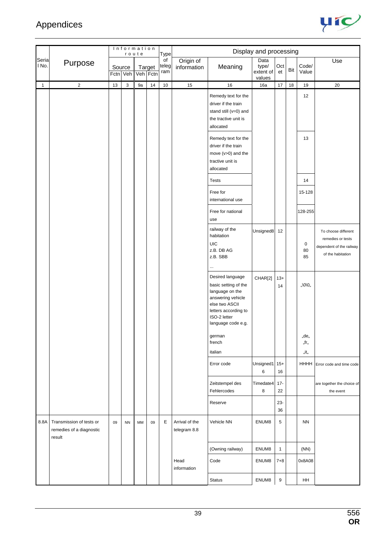

|                |                                                                |      |                    | Information<br>route |                    | Type               |                                |                                                                                                                                                                  | Display and processing               |              |     |                         |                                                                                           |
|----------------|----------------------------------------------------------------|------|--------------------|----------------------|--------------------|--------------------|--------------------------------|------------------------------------------------------------------------------------------------------------------------------------------------------------------|--------------------------------------|--------------|-----|-------------------------|-------------------------------------------------------------------------------------------|
| Seria<br>l No. | Purpose                                                        |      | Source<br>Fctn Veh |                      | Target<br>Veh Fctn | of<br>teleg<br>ram | Origin of<br>information       | Meaning                                                                                                                                                          | Data<br>type/<br>extent of<br>values | Oct<br>et    | Bit | Code/<br>Value          | Use                                                                                       |
| $\mathbf{1}$   | $\overline{2}$                                                 | $13$ | $\mathsf 3$        | 9a                   | $14\,$             | 10                 | 15                             | 16                                                                                                                                                               | 16a                                  | 17           | 18  | 19                      | $20\,$                                                                                    |
|                |                                                                |      |                    |                      |                    |                    |                                | Remedy text for the<br>driver if the train<br>stand still (v=0) and<br>the tractive unit is<br>allocated                                                         |                                      |              |     | 12                      |                                                                                           |
|                |                                                                |      |                    |                      |                    |                    |                                | Remedy text for the<br>driver if the train<br>move (v>0) and the<br>tractive unit is<br>allocated                                                                |                                      |              |     | 13                      |                                                                                           |
|                |                                                                |      |                    |                      |                    |                    |                                | <b>Tests</b>                                                                                                                                                     |                                      |              |     | 14                      |                                                                                           |
|                |                                                                |      |                    |                      |                    |                    |                                | Free for<br>international use                                                                                                                                    |                                      |              |     | 15-128                  |                                                                                           |
|                |                                                                |      |                    |                      |                    |                    |                                | Free for national<br>use                                                                                                                                         |                                      |              |     | 128-255                 |                                                                                           |
|                |                                                                |      |                    |                      |                    |                    |                                | railway of the<br>habitation<br>UIC<br>z.B. DB AG<br>z.B. SBB<br>$\cdots$                                                                                        | Unsigned8                            | 12           |     | $\mathbf 0$<br>80<br>85 | To choose different<br>remedies or tests<br>dependent of the railway<br>of the habitation |
|                |                                                                |      |                    |                      |                    |                    |                                | Desired language<br>basic setting of the<br>language on the<br>answering vehicle<br>else two ASCII<br>letters according to<br>ISO-2 letter<br>language code e.g. | CHAR[2]                              | $13+$<br>14  |     | ,,\0\0,,                |                                                                                           |
|                |                                                                |      |                    |                      |                    |                    |                                | german<br>french                                                                                                                                                 |                                      |              |     | "de"<br>,,fr,,          |                                                                                           |
|                |                                                                |      |                    |                      |                    |                    |                                | italian<br>Error code                                                                                                                                            | Unsigned1 15+<br>6                   | 16           |     | "it"                    | HHHH Error code and time code                                                             |
|                |                                                                |      |                    |                      |                    |                    |                                | Zeitstempel des<br>Fehlercodes                                                                                                                                   | Timedate4<br>8                       | $17 -$<br>22 |     |                         | are together the choice of<br>the event                                                   |
|                |                                                                |      |                    |                      |                    |                    |                                | Reserve                                                                                                                                                          |                                      | $23 -$<br>36 |     |                         |                                                                                           |
| 8.8A           | Transmission of tests or<br>remedies of a diagnostic<br>result | 09   | <b>NN</b>          | MM                   | 09                 | E                  | Arrival of the<br>telegram 8.8 | Vehicle NN                                                                                                                                                       | ENUM8                                | 5            |     | <b>NN</b>               |                                                                                           |
|                |                                                                |      |                    |                      |                    |                    |                                | (Owning railway)                                                                                                                                                 | ENUM8                                | $\mathbf{1}$ |     | (NN)                    |                                                                                           |
|                |                                                                |      |                    |                      |                    |                    | Head<br>information            | Code                                                                                                                                                             | ENUM8                                | $7 + 8$      |     | 0x8A08                  |                                                                                           |
|                |                                                                |      |                    |                      |                    |                    |                                | <b>Status</b>                                                                                                                                                    | ENUM8                                | 9            |     | HH                      |                                                                                           |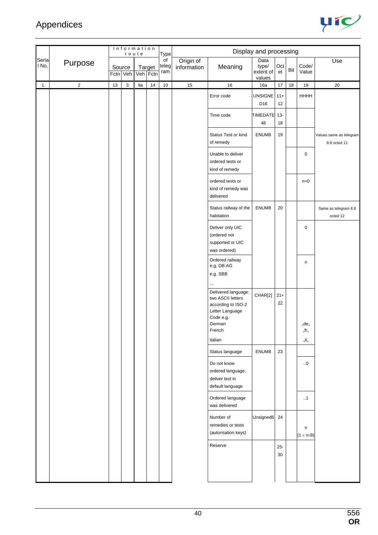

|                |                |    |                    | Information<br>route |                    | Type               |                          |                                                                                                                    | Display and processing               |              |     |                        |                                         |
|----------------|----------------|----|--------------------|----------------------|--------------------|--------------------|--------------------------|--------------------------------------------------------------------------------------------------------------------|--------------------------------------|--------------|-----|------------------------|-----------------------------------------|
| Seria<br>l No. | Purpose        |    | Source<br>Fctn Veh |                      | Target<br>Veh Fctn | of<br>teleg<br>ram | Origin of<br>information | Meaning                                                                                                            | Data<br>type/<br>extent of<br>values | Oct<br>et    | Bit | Code/<br>Value         | Use                                     |
| $\mathbf{1}$   | $\overline{2}$ | 13 | 3                  | 9a                   | 14                 | 10                 | 15                       | 16                                                                                                                 | 16a                                  | 17           | 18  | 19                     | $20\,$                                  |
|                |                |    |                    |                      |                    |                    |                          | Error code                                                                                                         | UNSIGNE 11+<br>D <sub>16</sub>       | 12           |     | HHHH                   |                                         |
|                |                |    |                    |                      |                    |                    |                          | Time code                                                                                                          | <b>TIMEDATE</b><br>48                | $13 -$<br>18 |     |                        |                                         |
|                |                |    |                    |                      |                    |                    |                          | Status Test or kind<br>of remedy                                                                                   | ENUM8                                | 19           |     |                        | Values same as telegram<br>8.8 octed 11 |
|                |                |    |                    |                      |                    |                    |                          | Unable to deliver<br>ordered tests or<br>kind of remedy                                                            |                                      |              |     | $\pmb{0}$              |                                         |
|                |                |    |                    |                      |                    |                    |                          | ordered tests or<br>kind of remedy was<br>delivered                                                                |                                      |              |     | n > 0                  |                                         |
|                |                |    |                    |                      |                    |                    |                          | Status railway of the<br>habitation                                                                                | ENUM8                                | 20           |     |                        | Same as telegram 8.8<br>octed 12        |
|                |                |    |                    |                      |                    |                    |                          | Deliver only UIC<br>(ordered not<br>supported or UIC<br>was ordered)                                               |                                      |              |     | $\pmb{0}$              |                                         |
|                |                |    |                    |                      |                    |                    |                          | Ordered railway<br>e.g. DB AG<br>e.g. SBB                                                                          |                                      |              |     | n                      |                                         |
|                |                |    |                    |                      |                    |                    |                          | Delivered language:<br>two ASCII letters<br>according to ISO-2<br>Letter Language<br>Code e.g.<br>German<br>French | CHAR[2]                              | $21+$<br>22  |     | "de"<br>"fr"           |                                         |
|                |                |    |                    |                      |                    |                    |                          | italian<br>Status language                                                                                         | ENUM8                                | 23           |     | "it"                   |                                         |
|                |                |    |                    |                      |                    |                    |                          | Do not know<br>ordered language,<br>deliver text in<br>default language                                            |                                      |              |     | 0.0                    |                                         |
|                |                |    |                    |                      |                    |                    |                          | Ordered language<br>was delivered                                                                                  |                                      |              |     | $\cdot$ .1             |                                         |
|                |                |    |                    |                      |                    |                    |                          | Number of<br>remedies or tests<br>(autorisation keys)                                                              | Unsigned8                            | 24           |     | n<br>$(1 \le n \le 8)$ |                                         |
|                |                |    |                    |                      |                    |                    |                          | Reserve                                                                                                            |                                      | $25 -$<br>30 |     |                        |                                         |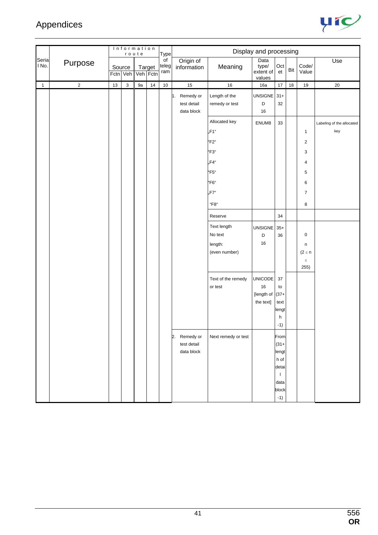

|                 |                |        | Information | route |                    | Type               |                                           |                                 | Display and processing               |               |     |                |                           |
|-----------------|----------------|--------|-------------|-------|--------------------|--------------------|-------------------------------------------|---------------------------------|--------------------------------------|---------------|-----|----------------|---------------------------|
| Serial<br>l No. | Purpose        | Source | Fctn Veh    |       | Target<br>Veh Fctn | of<br>teleg<br>ram | Origin of<br>information                  | Meaning                         | Data<br>type/<br>extent of<br>values | Oct<br>et     | Bit | Code/<br>Value | Use                       |
| $\mathbf{1}$    | $\overline{2}$ | 13     | $\mathsf 3$ | 9a    | $14$               | $10$               | 15                                        | 16                              | 16a                                  | $17$          | 18  | $19$           | $20\,$                    |
|                 |                |        |             |       |                    |                    | 1. Remedy or<br>test detail<br>data block | Length of the<br>remedy or test | UNSIGNE<br>D<br>16                   | $31 +$<br>32  |     |                |                           |
|                 |                |        |             |       |                    |                    |                                           | Allocated key                   | ENUM8                                | 33            |     |                | Labeling of the allocated |
|                 |                |        |             |       |                    |                    |                                           | "F1"                            |                                      |               |     | $\mathbf{1}$   | key                       |
|                 |                |        |             |       |                    |                    |                                           | "F2"                            |                                      |               |     | $\overline{2}$ |                           |
|                 |                |        |             |       |                    |                    |                                           | "F3"                            |                                      |               |     | 3              |                           |
|                 |                |        |             |       |                    |                    |                                           | "F4"                            |                                      |               |     | 4              |                           |
|                 |                |        |             |       |                    |                    |                                           | "F5"                            |                                      |               |     | 5              |                           |
|                 |                |        |             |       |                    |                    |                                           | "F6"                            |                                      |               |     | 6              |                           |
|                 |                |        |             |       |                    |                    |                                           | "F7"                            |                                      |               |     | $\overline{7}$ |                           |
|                 |                |        |             |       |                    |                    |                                           | $\mathrm{``F8''}$               |                                      |               |     | 8              |                           |
|                 |                |        |             |       |                    |                    |                                           | Reserve                         |                                      | 34            |     |                |                           |
|                 |                |        |             |       |                    |                    |                                           | Text length                     | UNSIGNE                              | $35+$         |     |                |                           |
|                 |                |        |             |       |                    |                    |                                           | No text                         | $\mathsf D$                          | 36            |     | $\pmb{0}$      |                           |
|                 |                |        |             |       |                    |                    |                                           | length:                         | $16\,$                               |               |     | $\sf n$        |                           |
|                 |                |        |             |       |                    |                    |                                           | (even number)                   |                                      |               |     | $(2 \leq n)$   |                           |
|                 |                |        |             |       |                    |                    |                                           |                                 |                                      |               |     | $\leq$<br>255) |                           |
|                 |                |        |             |       |                    |                    |                                           | Text of the remedy              | <b>UNICODE</b>                       | 37            |     |                |                           |
|                 |                |        |             |       |                    |                    |                                           | or test                         | 16                                   | to            |     |                |                           |
|                 |                |        |             |       |                    |                    |                                           |                                 | [length of<br>the text]              | $(37 +$       |     |                |                           |
|                 |                |        |             |       |                    |                    |                                           |                                 |                                      | text<br>lengt |     |                |                           |
|                 |                |        |             |       |                    |                    |                                           |                                 |                                      | h             |     |                |                           |
|                 |                |        |             |       |                    |                    |                                           |                                 |                                      | $-1)$         |     |                |                           |
|                 |                |        |             |       |                    |                    | 2.<br>Remedy or                           | Next remedy or test             |                                      | From          |     |                |                           |
|                 |                |        |             |       |                    |                    | test detail                               |                                 |                                      | $(31 +$       |     |                |                           |
|                 |                |        |             |       |                    |                    | data block                                |                                 |                                      | lengt<br>h of |     |                |                           |
|                 |                |        |             |       |                    |                    |                                           |                                 |                                      | detai         |     |                |                           |
|                 |                |        |             |       |                    |                    |                                           |                                 |                                      | $\mathbf{I}$  |     |                |                           |
|                 |                |        |             |       |                    |                    |                                           |                                 |                                      | data<br>block |     |                |                           |
|                 |                |        |             |       |                    |                    |                                           |                                 |                                      | $-1)$         |     |                |                           |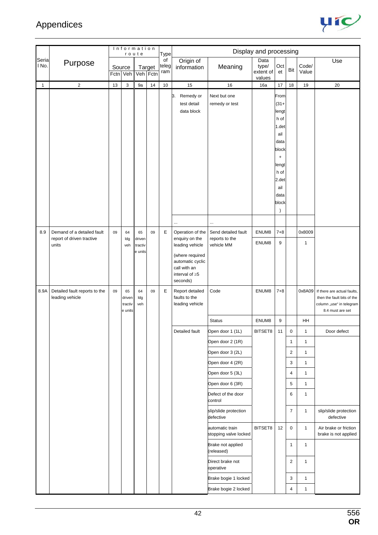

|                |                                                  |          |                                    | Information<br>route         |        | <b>Type</b>        |                                                                                                                              |                                          | Display and processing               |                                                                                                                                               |                |                |                                                                                                           |
|----------------|--------------------------------------------------|----------|------------------------------------|------------------------------|--------|--------------------|------------------------------------------------------------------------------------------------------------------------------|------------------------------------------|--------------------------------------|-----------------------------------------------------------------------------------------------------------------------------------------------|----------------|----------------|-----------------------------------------------------------------------------------------------------------|
| Seria<br>I No. | Purpose                                          | Fctn Veh | Source                             | Veh Fctn                     | Target | of<br>teleg<br>ram | Origin of<br>information                                                                                                     | Meaning                                  | Data<br>type/<br>extent of<br>values | Oct<br>et                                                                                                                                     | Bit            | Code/<br>Value | Use                                                                                                       |
| 1              | $\overline{c}$                                   | 13       | 3                                  | 9a                           | 14     | $10$               | 15                                                                                                                           | 16                                       | 16a                                  | 17                                                                                                                                            | 18             | 19             | 20                                                                                                        |
|                |                                                  |          |                                    |                              |        |                    | 3.<br>Remedy or<br>test detail<br>data block                                                                                 | Next but one<br>remedy or test           |                                      | From<br>$(31 +$<br>lengt<br>h of<br>1.det<br>ail<br>data<br>block<br>$\ddot{}$<br>lengt<br>h of<br>2.det<br>ail<br>data<br>block<br>$\lambda$ |                |                |                                                                                                           |
|                |                                                  |          |                                    |                              |        |                    | $\cdots$                                                                                                                     |                                          |                                      |                                                                                                                                               |                |                |                                                                                                           |
| 8.9            | Demand of a detailed fault                       | 09       | 64                                 | 65                           | 09     | Ε                  | Operation of the                                                                                                             | Send detailed fault                      | ENUM8                                | $7 + 8$                                                                                                                                       |                | 0x8009         |                                                                                                           |
|                | report of driven tractive<br>units               |          | Idg<br>veh                         | driven<br>tractiv<br>e units |        |                    | enquiry on the<br>leading vehicle<br>(where required<br>automatic cyclic<br>call with an<br>interval of $\geq 5$<br>seconds) | reports to the<br>vehicle MM             | ENUM8                                | 9                                                                                                                                             |                | 1              |                                                                                                           |
| 8.9A           | Detailed fault reports to the<br>leading vehicle | 09       | 65<br>driven<br>tractiv<br>e units | 64<br>Idg<br>veh             | 09     | E                  | Report detailed<br>faults to the<br>leading vehicle                                                                          | Code                                     | ENUM8                                | $7 + 8$                                                                                                                                       |                | 0x8A09         | If there are actual faults,<br>then the fault bits of the<br>column "use" in telegram<br>8.4 must are set |
|                |                                                  |          |                                    |                              |        |                    |                                                                                                                              | <b>Status</b>                            | ENUM8                                | 9                                                                                                                                             |                | HH             |                                                                                                           |
|                |                                                  |          |                                    |                              |        |                    | Detailed fault                                                                                                               | Open door 1 (1L)                         | BITSET8                              | 11                                                                                                                                            | 0              | $\mathbf{1}$   | Door defect                                                                                               |
|                |                                                  |          |                                    |                              |        |                    |                                                                                                                              | Open door 2 (1R)                         |                                      |                                                                                                                                               | $\mathbf{1}$   | $\mathbf{1}$   |                                                                                                           |
|                |                                                  |          |                                    |                              |        |                    |                                                                                                                              | Open door 3 (2L)                         |                                      |                                                                                                                                               | 2              | $\mathbf{1}$   |                                                                                                           |
|                |                                                  |          |                                    |                              |        |                    |                                                                                                                              | Open door 4 (2R)                         |                                      |                                                                                                                                               | 3              | $\mathbf{1}$   |                                                                                                           |
|                |                                                  |          |                                    |                              |        |                    |                                                                                                                              | Open door 5 (3L)                         |                                      |                                                                                                                                               | $\overline{4}$ | $\mathbf{1}$   |                                                                                                           |
|                |                                                  |          |                                    |                              |        |                    |                                                                                                                              | Open door 6 (3R)                         |                                      |                                                                                                                                               | 5              | $\mathbf{1}$   |                                                                                                           |
|                |                                                  |          |                                    |                              |        |                    |                                                                                                                              | Defect of the door<br>control            |                                      |                                                                                                                                               | 6              | $\mathbf{1}$   |                                                                                                           |
|                |                                                  |          |                                    |                              |        |                    |                                                                                                                              | slip/slide protection<br>defective       |                                      |                                                                                                                                               | $\overline{7}$ | $\mathbf{1}$   | slip/slide protection<br>defective                                                                        |
|                |                                                  |          |                                    |                              |        |                    |                                                                                                                              | automatic train<br>stopping valve locked | BITSET8                              | 12                                                                                                                                            | $\mathbf 0$    | $\mathbf{1}$   | Air brake or friction<br>brake is not applied                                                             |
|                |                                                  |          |                                    |                              |        |                    |                                                                                                                              | Brake not applied<br>(released)          |                                      |                                                                                                                                               | $\mathbf{1}$   | $\mathbf{1}$   |                                                                                                           |
|                |                                                  |          |                                    |                              |        |                    |                                                                                                                              | Direct brake not<br>operative            |                                      |                                                                                                                                               | 2              | 1              |                                                                                                           |
|                |                                                  |          |                                    |                              |        |                    |                                                                                                                              | Brake bogie 1 locked                     |                                      |                                                                                                                                               | 3              | $\mathbf{1}$   |                                                                                                           |
|                |                                                  |          |                                    |                              |        |                    |                                                                                                                              | Brake bogie 2 locked                     |                                      |                                                                                                                                               | 4              | $\mathbf{1}$   |                                                                                                           |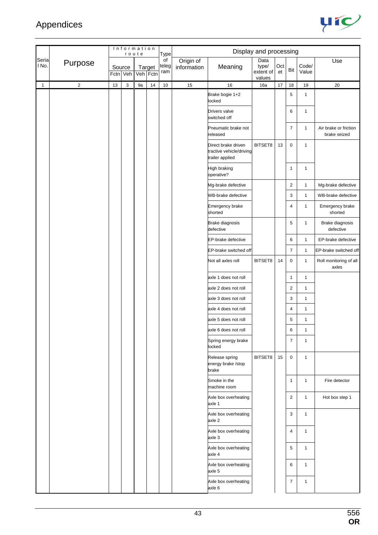

|                |            |    |                    | Information<br>route |        | <b>Type</b>        |                          |                                                                    | Display and processing               |           |                |                |                                       |
|----------------|------------|----|--------------------|----------------------|--------|--------------------|--------------------------|--------------------------------------------------------------------|--------------------------------------|-----------|----------------|----------------|---------------------------------------|
| Seria<br>l No. | Purpose    |    | Source<br>Fctn Veh | Veh Fctn             | Target | of<br>teleg<br>ram | Origin of<br>information | Meaning                                                            | Data<br>type/<br>extent of<br>values | Oct<br>et | Bit            | Code/<br>Value | Use                                   |
| $\mathbf{1}$   | $\sqrt{2}$ | 13 | 3                  | 9a                   | 14     | $10$               | 15                       | 16                                                                 | 16a                                  | 17        | 18             | 19             | 20                                    |
|                |            |    |                    |                      |        |                    |                          | Brake bogie 1+2<br>locked                                          |                                      |           | 5              | $\mathbf{1}$   |                                       |
|                |            |    |                    |                      |        |                    |                          | Drivers valve<br>switched off                                      |                                      |           | 6              | $\mathbf{1}$   |                                       |
|                |            |    |                    |                      |        |                    |                          | Pneumatic brake not<br>released                                    |                                      |           | 7              | $\mathbf{1}$   | Air brake or friction<br>brake seized |
|                |            |    |                    |                      |        |                    |                          | Direct brake driven<br>tractive vehicle/driving<br>trailer applied | BITSET8                              | 13        | 0              | $\mathbf{1}$   |                                       |
|                |            |    |                    |                      |        |                    |                          | High braking<br>operative?                                         |                                      |           | 1              | $\mathbf{1}$   |                                       |
|                |            |    |                    |                      |        |                    |                          | Mg-brake defective                                                 |                                      |           | 2              | $\mathbf{1}$   | Mg-brake defective                    |
|                |            |    |                    |                      |        |                    |                          | <b>WB-brake defective</b>                                          |                                      |           | 3              | $\mathbf{1}$   | WB-brake defective                    |
|                |            |    |                    |                      |        |                    |                          | Emergency brake<br>shorted                                         |                                      |           | 4              | $\mathbf{1}$   | Emergency brake<br>shorted            |
|                |            |    |                    |                      |        |                    |                          | <b>Brake diagnosis</b><br>defective                                |                                      |           | 5              | $\mathbf{1}$   | Brake diagnosis<br>defective          |
|                |            |    |                    |                      |        |                    |                          | EP-brake defective                                                 |                                      |           | 6              | $\mathbf{1}$   | EP-brake defective                    |
|                |            |    |                    |                      |        |                    |                          | EP-brake switched off                                              |                                      |           | 7              | $\mathbf{1}$   | EP-brake switched off                 |
|                |            |    |                    |                      |        |                    |                          | Not all axles roll                                                 | BITSET8                              | 14        | 0              | $\mathbf{1}$   | Roll monitoring of all<br>axles       |
|                |            |    |                    |                      |        |                    |                          | axle 1 does not roll                                               |                                      |           | 1              | $\mathbf{1}$   |                                       |
|                |            |    |                    |                      |        |                    |                          | axle 2 does not roll                                               |                                      |           | 2              | $\mathbf{1}$   |                                       |
|                |            |    |                    |                      |        |                    |                          | axle 3 does not roll                                               |                                      |           | 3              | $\mathbf{1}$   |                                       |
|                |            |    |                    |                      |        |                    |                          | axle 4 does not roll                                               |                                      |           | 4              | $\mathbf{1}$   |                                       |
|                |            |    |                    |                      |        |                    |                          | axle 5 does not roll                                               |                                      |           | 5              | $\mathbf{1}$   |                                       |
|                |            |    |                    |                      |        |                    |                          | axle 6 does not roll                                               |                                      |           | 6              | 1              |                                       |
|                |            |    |                    |                      |        |                    |                          | Spring energy brake<br>locked                                      |                                      |           | 7              | $\mathbf{1}$   |                                       |
|                |            |    |                    |                      |        |                    |                          | Release spring<br>energy brake /stop<br>brake                      | BITSET8                              | 15        | 0              | $\mathbf{1}$   |                                       |
|                |            |    |                    |                      |        |                    |                          | Smoke in the<br>machine room                                       |                                      |           | 1              | $\mathbf{1}$   | Fire detector                         |
|                |            |    |                    |                      |        |                    |                          | Axle box overheating<br>axle 1                                     |                                      |           | $\overline{c}$ | $\mathbf{1}$   | Hot box step 1                        |
|                |            |    |                    |                      |        |                    |                          | Axle box overheating<br>axle 2                                     |                                      |           | 3              | $\mathbf{1}$   |                                       |
|                |            |    |                    |                      |        |                    |                          | Axle box overheating<br>axle 3                                     |                                      |           | 4              | $\mathbf{1}$   |                                       |
|                |            |    |                    |                      |        |                    |                          | Axle box overheating<br>axle 4                                     |                                      |           | 5              | $\mathbf{1}$   |                                       |
|                |            |    |                    |                      |        |                    |                          | Axle box overheating<br>axle 5                                     |                                      |           | 6              | $\mathbf{1}$   |                                       |
|                |            |    |                    |                      |        |                    |                          | Axle box overheating<br>axle 6                                     |                                      |           | 7              | $\mathbf{1}$   |                                       |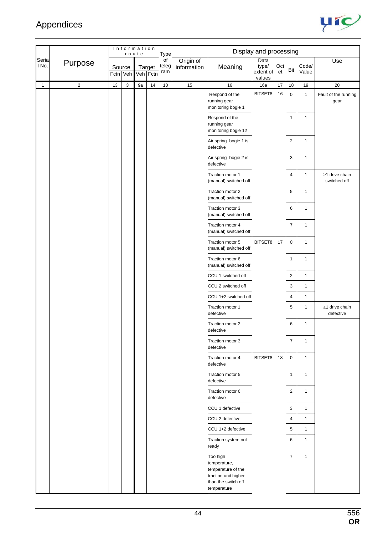

|                |                |          |        | Information<br>route |                    | <b>Type</b>        |                          |                                                                                                              | Display and processing               |           |                |                |                                      |
|----------------|----------------|----------|--------|----------------------|--------------------|--------------------|--------------------------|--------------------------------------------------------------------------------------------------------------|--------------------------------------|-----------|----------------|----------------|--------------------------------------|
| Seria<br>I No. | Purpose        | Fctn Veh | Source |                      | Target<br>Veh Fctn | of<br>teleg<br>ram | Origin of<br>information | Meaning                                                                                                      | Data<br>type/<br>extent of<br>values | Oct<br>et | Bit            | Code/<br>Value | Use                                  |
| $\mathbf{1}$   | $\overline{c}$ | 13       | 3      | 9a                   | 14                 | 10                 | 15                       | 16                                                                                                           | 16a                                  | 17        | 18             | 19             | 20                                   |
|                |                |          |        |                      |                    |                    |                          | Respond of the<br>running gear<br>monitoring bogie 1                                                         | BITSET8                              | 16        | 0              | $\mathbf{1}$   | Fault of the running<br>gear         |
|                |                |          |        |                      |                    |                    |                          | Respond of the<br>running gear<br>monitoring bogie 12                                                        |                                      |           | $\mathbf{1}$   | $\mathbf{1}$   |                                      |
|                |                |          |        |                      |                    |                    |                          | Air spring bogie 1 is<br>defective                                                                           |                                      |           | $\overline{2}$ | $\mathbf{1}$   |                                      |
|                |                |          |        |                      |                    |                    |                          | Air spring bogie 2 is<br>defective                                                                           |                                      |           | 3              | $\mathbf{1}$   |                                      |
|                |                |          |        |                      |                    |                    |                          | Traction motor 1<br>(manual) switched off                                                                    |                                      |           | 4              | $\mathbf{1}$   | $\geq$ 1 drive chain<br>switched off |
|                |                |          |        |                      |                    |                    |                          | Traction motor 2<br>(manual) switched off                                                                    |                                      |           | 5              | $\mathbf{1}$   |                                      |
|                |                |          |        |                      |                    |                    |                          | Traction motor 3<br>(manual) switched off                                                                    |                                      |           | 6              | $\mathbf{1}$   |                                      |
|                |                |          |        |                      |                    |                    |                          | Traction motor 4<br>(manual) switched off                                                                    |                                      |           | 7              | $\mathbf{1}$   |                                      |
|                |                |          |        |                      |                    |                    |                          | Traction motor 5<br>(manual) switched off                                                                    | BITSET8                              | 17        | 0              | $\mathbf{1}$   |                                      |
|                |                |          |        |                      |                    |                    |                          | Traction motor 6<br>(manual) switched off                                                                    |                                      |           | 1              | $\mathbf{1}$   |                                      |
|                |                |          |        |                      |                    |                    |                          | CCU 1 switched off                                                                                           |                                      |           | 2              | $\mathbf{1}$   |                                      |
|                |                |          |        |                      |                    |                    |                          | CCU 2 switched off                                                                                           |                                      |           | 3              | $\mathbf{1}$   |                                      |
|                |                |          |        |                      |                    |                    |                          | CCU 1+2 switched off                                                                                         |                                      |           | 4              | $\mathbf{1}$   |                                      |
|                |                |          |        |                      |                    |                    |                          | Traction motor 1<br>defective                                                                                |                                      |           | 5              | $\mathbf{1}$   | ≥1 drive chain<br>defective          |
|                |                |          |        |                      |                    |                    |                          | Traction motor 2<br>defective                                                                                |                                      |           | 6              | $\mathbf{1}$   |                                      |
|                |                |          |        |                      |                    |                    |                          | Traction motor 3<br>defective                                                                                |                                      |           | $\overline{7}$ | $\mathbf{1}$   |                                      |
|                |                |          |        |                      |                    |                    |                          | Traction motor 4<br>defective                                                                                | BITSET8                              | 18        | 0              | $\mathbf{1}$   |                                      |
|                |                |          |        |                      |                    |                    |                          | Traction motor 5<br>defective                                                                                |                                      |           | 1              | $\mathbf{1}$   |                                      |
|                |                |          |        |                      |                    |                    |                          | Traction motor 6<br>defective                                                                                |                                      |           | $\overline{2}$ | $\mathbf{1}$   |                                      |
|                |                |          |        |                      |                    |                    |                          | CCU 1 defective                                                                                              |                                      |           | 3              | $\mathbf{1}$   |                                      |
|                |                |          |        |                      |                    |                    |                          | CCU 2 defective                                                                                              |                                      |           | 4              | $\mathbf{1}$   |                                      |
|                |                |          |        |                      |                    |                    |                          | CCU 1+2 defective                                                                                            |                                      |           | 5              | $\mathbf{1}$   |                                      |
|                |                |          |        |                      |                    |                    |                          | Traction system not<br>ready                                                                                 |                                      |           | 6              | $\mathbf{1}$   |                                      |
|                |                |          |        |                      |                    |                    |                          | Too high<br>temperature,<br>temperature of the<br>traction unit higher<br>than the switch off<br>temperature |                                      |           | 7              | $\mathbf{1}$   |                                      |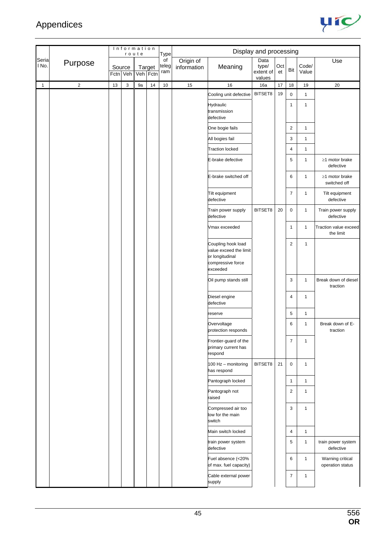

|                |                |    |                    | Information<br>route |                    | <b>Type</b>        |                          |                                                                                                  | Display and processing               |           |                         |                |                                      |
|----------------|----------------|----|--------------------|----------------------|--------------------|--------------------|--------------------------|--------------------------------------------------------------------------------------------------|--------------------------------------|-----------|-------------------------|----------------|--------------------------------------|
| Seria<br>I No. | Purpose        |    | Source<br>Fctn Veh |                      | Target<br>Veh Fctn | of<br>teleg<br>ram | Origin of<br>information | Meaning                                                                                          | Data<br>type/<br>extent of<br>values | Oct<br>et | Bit                     | Code/<br>Value | Use                                  |
| $\mathbf{1}$   | $\overline{2}$ | 13 | 3                  | 9a                   | 14                 | $10$               | 15                       | 16                                                                                               | 16a                                  | 17        | 18                      | 19             | 20                                   |
|                |                |    |                    |                      |                    |                    |                          | Cooling unit defective                                                                           | BITSET8                              | 19        | 0                       | $\mathbf{1}$   |                                      |
|                |                |    |                    |                      |                    |                    |                          | Hydraulic<br>transmission<br>defective                                                           |                                      |           | $\mathbf{1}$            | $\mathbf{1}$   |                                      |
|                |                |    |                    |                      |                    |                    |                          | One bogie fails                                                                                  |                                      |           | $\overline{c}$          | $\mathbf{1}$   |                                      |
|                |                |    |                    |                      |                    |                    |                          | All bogies fail                                                                                  |                                      |           | 3                       | $\mathbf{1}$   |                                      |
|                |                |    |                    |                      |                    |                    |                          | <b>Traction locked</b>                                                                           |                                      |           | 4                       | $\mathbf{1}$   |                                      |
|                |                |    |                    |                      |                    |                    |                          | E-brake defective                                                                                |                                      |           | 5                       | $\mathbf{1}$   | $\geq$ 1 motor brake<br>defective    |
|                |                |    |                    |                      |                    |                    |                          | E-brake switched off                                                                             |                                      |           | 6                       | $\mathbf{1}$   | $\geq$ 1 motor brake<br>switched off |
|                |                |    |                    |                      |                    |                    |                          | Tilt equipment<br>defective                                                                      |                                      |           | $\overline{7}$          | $\mathbf{1}$   | Tilt equipment<br>defective          |
|                |                |    |                    |                      |                    |                    |                          | Train power supply<br>defective                                                                  | BITSET8                              | 20        | 0                       | $\mathbf{1}$   | Train power supply<br>defective      |
|                |                |    |                    |                      |                    |                    |                          | Vmax exceeded                                                                                    |                                      |           | 1                       | $\mathbf{1}$   | Traction value exceed<br>the limit   |
|                |                |    |                    |                      |                    |                    |                          | Coupling hook load<br>value exceed the limit<br>or longitudinal<br>compressive force<br>exceeded |                                      |           | $\overline{c}$          | 1              |                                      |
|                |                |    |                    |                      |                    |                    |                          | Oil pump stands still                                                                            |                                      |           | 3                       | $\mathbf{1}$   | Break down of diesel<br>traction     |
|                |                |    |                    |                      |                    |                    |                          | Diesel engine<br>defective                                                                       |                                      |           | 4                       | $\mathbf{1}$   |                                      |
|                |                |    |                    |                      |                    |                    |                          | reserve                                                                                          |                                      |           | 5                       | $\mathbf{1}$   |                                      |
|                |                |    |                    |                      |                    |                    |                          | Overvoltage<br>protection responds                                                               |                                      |           | 6                       | $\mathbf{1}$   | Break down of E-<br>traction         |
|                |                |    |                    |                      |                    |                    |                          | Frontier-guard of the<br>primary current has<br>respond                                          |                                      |           | $\overline{7}$          | $\mathbf{1}$   |                                      |
|                |                |    |                    |                      |                    |                    |                          | 100 Hz - monitoring<br>has respond                                                               | BITSET8                              | 21        | 0                       | $\mathbf{1}$   |                                      |
|                |                |    |                    |                      |                    |                    |                          | Pantograph locked                                                                                |                                      |           | $\mathbf{1}$            | $\mathbf{1}$   |                                      |
|                |                |    |                    |                      |                    |                    |                          | Pantograph not<br>raised                                                                         |                                      |           | $\overline{\mathbf{c}}$ | $\mathbf{1}$   |                                      |
|                |                |    |                    |                      |                    |                    |                          | Compressed air too<br>low for the main<br>switch                                                 |                                      |           | 3                       | $\mathbf{1}$   |                                      |
|                |                |    |                    |                      |                    |                    |                          | Main switch locked                                                                               |                                      |           | 4                       | $\mathbf{1}$   |                                      |
|                |                |    |                    |                      |                    |                    |                          | train power system<br>defective                                                                  |                                      |           | 5                       | $\mathbf{1}$   | train power system<br>defective      |
|                |                |    |                    |                      |                    |                    |                          | Fuel absence (<20%<br>of max. fuel capacity)                                                     |                                      |           | 6                       | $\mathbf{1}$   | Warning critical<br>operation status |
|                |                |    |                    |                      |                    |                    |                          | Cable external power<br>supply                                                                   |                                      |           | 7                       | $\mathbf{1}$   |                                      |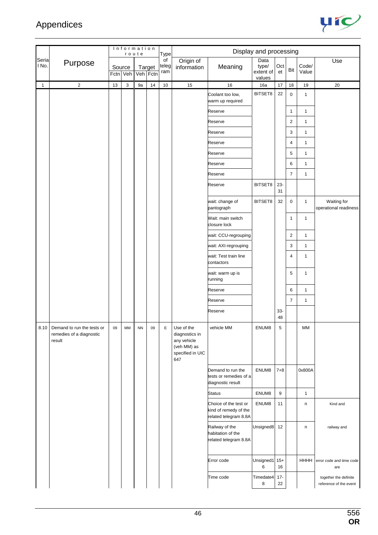

|                |                                                                       |          |        | Information<br>route |                    | <b>Type</b>        |                                                                                       |                                                                         | Display and processing               |                 |                |                |                                                 |
|----------------|-----------------------------------------------------------------------|----------|--------|----------------------|--------------------|--------------------|---------------------------------------------------------------------------------------|-------------------------------------------------------------------------|--------------------------------------|-----------------|----------------|----------------|-------------------------------------------------|
| Seria<br>I No. | Purpose                                                               | Fctn Veh | Source |                      | Target<br>Veh Fctn | of<br>teleg<br>ram | Origin of<br>information                                                              | Meaning                                                                 | Data<br>type/<br>extent of<br>values | Oct<br>et       | Bit            | Code/<br>Value | Use                                             |
| 1              | $\overline{2}$                                                        | 13       | 3      | 9a                   | 14                 | $10$               | 15                                                                                    | $16\,$                                                                  | 16a                                  | 17              | 18             | 19             | 20                                              |
|                |                                                                       |          |        |                      |                    |                    |                                                                                       | Coolant too low,<br>warm up required                                    | BITSET8                              | 22              | $\pmb{0}$      | $\mathbf{1}$   |                                                 |
|                |                                                                       |          |        |                      |                    |                    |                                                                                       | Reserve                                                                 |                                      |                 | 1              | $\mathbf{1}$   |                                                 |
|                |                                                                       |          |        |                      |                    |                    |                                                                                       | Reserve                                                                 |                                      |                 | 2              | $\mathbf{1}$   |                                                 |
|                |                                                                       |          |        |                      |                    |                    |                                                                                       | Reserve                                                                 |                                      |                 | 3              | $\mathbf{1}$   |                                                 |
|                |                                                                       |          |        |                      |                    |                    |                                                                                       | Reserve                                                                 |                                      |                 | 4              | $\mathbf{1}$   |                                                 |
|                |                                                                       |          |        |                      |                    |                    |                                                                                       | Reserve                                                                 |                                      |                 | 5              | $\mathbf{1}$   |                                                 |
|                |                                                                       |          |        |                      |                    |                    |                                                                                       | Reserve                                                                 |                                      |                 | 6              | $\mathbf{1}$   |                                                 |
|                |                                                                       |          |        |                      |                    |                    |                                                                                       | Reserve                                                                 |                                      |                 | $\overline{7}$ | $\mathbf{1}$   |                                                 |
|                |                                                                       |          |        |                      |                    |                    |                                                                                       | Reserve                                                                 | BITSET8                              | $23 -$<br>31    |                |                |                                                 |
|                |                                                                       |          |        |                      |                    |                    |                                                                                       | wait: change of<br>pantograph                                           | BITSET8                              | 32              | $\mathsf 0$    | $\mathbf{1}$   | Waiting for<br>operational readiness            |
|                |                                                                       |          |        |                      |                    |                    |                                                                                       | Wait: main switch<br>closure lock                                       |                                      |                 | 1              | $\mathbf{1}$   |                                                 |
|                |                                                                       |          |        |                      |                    |                    |                                                                                       | wait: CCU-regrouping                                                    |                                      |                 | 2              | 1              |                                                 |
|                |                                                                       |          |        |                      |                    |                    |                                                                                       | wait: AXI-regrouping                                                    |                                      |                 | 3              | $\mathbf{1}$   |                                                 |
|                |                                                                       |          |        |                      |                    |                    |                                                                                       | wait: Test train line<br>contactors                                     |                                      |                 | 4              | 1              |                                                 |
|                |                                                                       |          |        |                      |                    |                    |                                                                                       | wait: warm up is<br>running                                             |                                      |                 | 5              | $\mathbf{1}$   |                                                 |
|                |                                                                       |          |        |                      |                    |                    |                                                                                       | Reserve                                                                 |                                      |                 | 6              | $\mathbf{1}$   |                                                 |
|                |                                                                       |          |        |                      |                    |                    |                                                                                       | Reserve                                                                 |                                      |                 | $\overline{7}$ | $\mathbf{1}$   |                                                 |
|                |                                                                       |          |        |                      |                    |                    |                                                                                       | Reserve                                                                 |                                      | $33-$<br>48     |                |                |                                                 |
|                | 8.10 Demand to run the tests or<br>remedies of a diagnostic<br>result | 09       | MM     | <b>NN</b>            | 09                 | E                  | Use of the<br>diagnostics in<br>any vehicle<br>(veh MM) as<br>specified in UIC<br>647 | vehicle MM                                                              | ENUM8                                | $5\phantom{.0}$ |                | MM             |                                                 |
|                |                                                                       |          |        |                      |                    |                    |                                                                                       | Demand to run the<br>tests or remedies of a<br>diagnostic result        | ENUM8                                | $7 + 8$         |                | 0x800A         |                                                 |
|                |                                                                       |          |        |                      |                    |                    |                                                                                       | <b>Status</b>                                                           | ENUM8                                | 9               |                | $\mathbf{1}$   |                                                 |
|                |                                                                       |          |        |                      |                    |                    |                                                                                       | Choice of the test or<br>kind of remedy of the<br>related telegram 8.8A | ENUM8                                | 11              |                | n              | Kind and                                        |
|                |                                                                       |          |        |                      |                    |                    |                                                                                       | Railway of the<br>habitation of the<br>related telegram 8.8A            | Unsigned8                            | 12              |                | n              | railway and                                     |
|                |                                                                       |          |        |                      |                    |                    |                                                                                       | Error code                                                              | Unsigned1<br>6                       | $15+$<br>16     |                | <b>HHHH</b>    | error code and time code<br>are                 |
|                |                                                                       |          |        |                      |                    |                    |                                                                                       | Time code                                                               | Timedate4<br>8                       | $17 -$<br>22    |                |                | together the definite<br>reference of the event |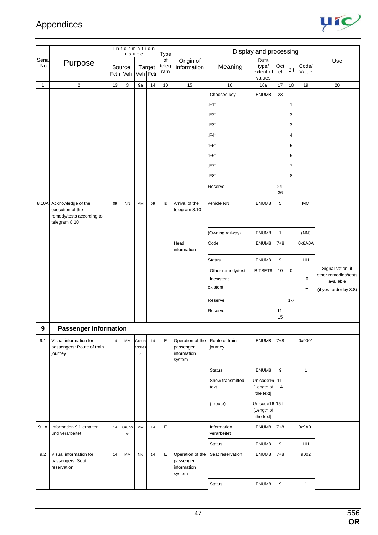

|                |                                                                                      |      | Information                                               | route                           |                           |                            |                                                        |                                                        | Display and processing                     |                  |                               |                   |                                                                                  |
|----------------|--------------------------------------------------------------------------------------|------|-----------------------------------------------------------|---------------------------------|---------------------------|----------------------------|--------------------------------------------------------|--------------------------------------------------------|--------------------------------------------|------------------|-------------------------------|-------------------|----------------------------------------------------------------------------------|
| Seria<br>I No. | Purpose                                                                              | Fctn | Source<br>Veh                                             |                                 | <b>Target</b><br>Veh Fctn | Type<br>of<br>teleg<br>ram | Origin of<br>information                               | Meaning                                                | Data<br>type/<br>extent of<br>values       | Oct<br>et        | Bit                           | Code/<br>Value    | Use                                                                              |
| $\mathbf{1}$   | 2                                                                                    | 13   | 3                                                         | 9a                              | 14                        | 10                         | 15                                                     | 16                                                     | 16a                                        | 17               | 18                            | 19                | 20                                                                               |
|                |                                                                                      |      |                                                           |                                 |                           |                            |                                                        | Choosed key<br>"F1"<br><b>F2"</b><br>"F3"<br>F4"       | ENUM8                                      | 23               | 1<br>$\overline{2}$<br>3<br>4 |                   |                                                                                  |
|                |                                                                                      |      |                                                           |                                 |                           |                            |                                                        | <b>'F5"</b><br>"F6"<br>F7"<br><b>'F8"</b>              |                                            |                  | 5<br>6<br>7<br>8              |                   |                                                                                  |
|                |                                                                                      |      |                                                           |                                 |                           |                            |                                                        | Reserve                                                |                                            | $24 -$<br>36     |                               |                   |                                                                                  |
| 8.10A          | Acknowledge of the<br>execution of the<br>remedy/tests according to<br>telegram 8.10 | 09   | <b>NN</b>                                                 | MM                              | 09                        | E                          | Arrival of the<br>telegram 8.10                        | vehicle NN                                             | ENUM8                                      | 5                |                               | МM                |                                                                                  |
|                |                                                                                      |      |                                                           |                                 |                           |                            |                                                        | (Owning railway)                                       | ENUM8                                      | $\mathbf{1}$     |                               | (NN)              |                                                                                  |
|                |                                                                                      |      |                                                           |                                 |                           |                            | Head<br>information                                    | Code                                                   | ENUM8                                      | $7 + 8$          |                               | 0x8A0A            |                                                                                  |
|                |                                                                                      |      |                                                           |                                 |                           |                            |                                                        | Status                                                 | ENUM8                                      | 9                |                               | HH                |                                                                                  |
|                |                                                                                      |      |                                                           |                                 |                           |                            |                                                        | Other remedy/test<br>Inexistent<br>existent<br>Reserve | BITSET8                                    | 10               | 0<br>$1 - 7$                  | 0.0<br>$\cdot$ .1 | Signalisation, if<br>other remedies/tests<br>available<br>(if yes: order by 8.8) |
|                |                                                                                      |      |                                                           |                                 |                           |                            |                                                        | Reserve                                                |                                            | $11 -$<br>15     |                               |                   |                                                                                  |
| 9              | <b>Passenger information</b>                                                         |      |                                                           |                                 |                           |                            |                                                        |                                                        |                                            |                  |                               |                   |                                                                                  |
| 9.1            | Visual information for<br>passengers: Route of train<br>journey                      | 14   | MM                                                        | Group<br>addres<br>$\mathsf{s}$ | 14                        | E                          | Operation of the<br>passenger<br>information<br>system | Route of train<br>journey                              | ENUM8                                      | $7 + 8$          |                               | 0x9001            |                                                                                  |
|                |                                                                                      |      |                                                           |                                 |                           |                            |                                                        | <b>Status</b>                                          | ENUM8                                      | 9                |                               | $\mathbf{1}$      |                                                                                  |
|                |                                                                                      |      |                                                           |                                 |                           |                            |                                                        | Show transmitted<br>text                               | Unicode16<br>[Length of<br>the text]       | $11 -$<br>14     |                               |                   |                                                                                  |
|                |                                                                                      |      |                                                           |                                 |                           |                            |                                                        | $(=route)$                                             | Unicode16 15 ff<br>[Length of<br>the text] |                  |                               |                   |                                                                                  |
| 9.1A           | Information 9.1 erhalten<br>und verarbeitet                                          | 14   | Grupp<br>$\mathbf{e}% _{t}\left  \mathbf{1}\right\rangle$ | MM                              | 14                        | E                          |                                                        | Information<br>verarbeitet                             | ENUM8                                      | $7 + 8$          |                               | 0x9A01            |                                                                                  |
|                |                                                                                      |      |                                                           |                                 |                           |                            |                                                        | <b>Status</b>                                          | ENUM8                                      | $\boldsymbol{9}$ |                               | HH                |                                                                                  |
| 9.2            | Visual information for<br>passengers: Seat<br>reservation                            | 14   | MM                                                        | <b>NN</b>                       | 14                        | E                          | Operation of the<br>passenger<br>information<br>system | Seat reservation                                       | ENUM8                                      | $7 + 8$          |                               | 9002              |                                                                                  |
|                |                                                                                      |      |                                                           |                                 |                           |                            |                                                        | <b>Status</b>                                          | ENUM8                                      | 9                |                               | $\mathbf{1}$      |                                                                                  |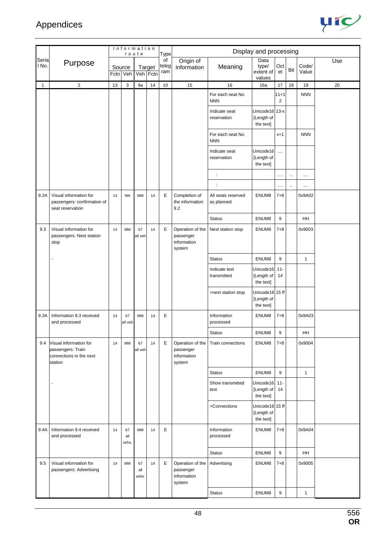

|                |                                                                                   |          | Information        | route              |    | Type               |                                                        |                                  | Display and processing                     |                            |           |                |     |
|----------------|-----------------------------------------------------------------------------------|----------|--------------------|--------------------|----|--------------------|--------------------------------------------------------|----------------------------------|--------------------------------------------|----------------------------|-----------|----------------|-----|
| Seria<br>I No. | Purpose                                                                           | Fctn Veh | Source             | Target<br>Veh Fctn |    | of<br>teleg<br>ram | Origin of<br>information                               | Meaning                          | Data<br>type/<br>extent of<br>values       | Oct<br>et                  | Bit       | Code/<br>Value | Use |
| $\mathbf{1}$   | $\sqrt{2}$                                                                        | 13       | 3                  | 9a                 | 14 | 10                 | 15                                                     | 16                               | 16a                                        | 17                         | 18        | 19             | 20  |
|                |                                                                                   |          |                    |                    |    |                    |                                                        | For each seat No.<br><b>NNN</b>  |                                            | $11 + 1$<br>$\overline{2}$ |           | <b>NNN</b>     |     |
|                |                                                                                   |          |                    |                    |    |                    |                                                        | Indicate seat<br>reservation     | Unicode16 13-x<br>[Length of<br>the text]  |                            |           |                |     |
|                |                                                                                   |          |                    |                    |    |                    |                                                        | For each seat No.<br><b>NNN</b>  |                                            | $x+1$                      |           | <b>NNN</b>     |     |
|                |                                                                                   |          |                    |                    |    |                    |                                                        | Indicate seat<br>reservation     | Unicode16<br>[Length of<br>the text]       | $\cdots$                   |           |                |     |
|                |                                                                                   |          |                    |                    |    |                    |                                                        | $\ddot{\cdot}$                   |                                            |                            | $\ddotsc$ | $\cdots$       |     |
|                |                                                                                   |          |                    |                    |    |                    |                                                        | $\ddot{\phantom{a}}$             |                                            |                            |           |                |     |
| 9.2A           | Visual information for<br>passengers: confirmation of<br>seat reservation         | 14       | <b>NN</b>          | MM                 | 14 | Е                  | Completion of<br>the information<br>9.2                | All seats reserved<br>as planned | ENUM8                                      | $7 + 8$                    |           | 0x9A02         |     |
|                |                                                                                   |          |                    |                    |    |                    |                                                        | <b>Status</b>                    | ENUM8                                      | 9                          |           | <b>HH</b>      |     |
| 9.3            | Visual information for<br>passengers: Next station<br>stop                        | 14       | MM                 | 67<br>all veh      | 14 | E                  | Operation of the<br>passenger<br>information<br>system | Next station stop                | ENUM8                                      | $7 + 8$                    |           | 0x9003         |     |
|                |                                                                                   |          |                    |                    |    |                    |                                                        | <b>Status</b>                    | ENUM8                                      | 9                          |           | $\mathbf{1}$   |     |
|                |                                                                                   |          |                    |                    |    |                    |                                                        | Indicate text<br>transmitted     | Unicode16<br>[Length of<br>the text]       | $11 -$<br>14               |           |                |     |
|                |                                                                                   |          |                    |                    |    |                    |                                                        | =next station stop               | Unicode16 15 ff<br>[Length of<br>the text] |                            |           |                |     |
| 9.3A           | Information 9.3 received<br>and processed                                         | 14       | 67<br>all veh      | MM                 | 14 | Е                  |                                                        | Information<br>processed         | ENUM8                                      | $7 + 8$                    |           | 0x9A03         |     |
|                |                                                                                   |          |                    |                    |    |                    |                                                        | <b>Status</b>                    | ENUM8                                      | 9                          |           | HH             |     |
| 9.4            | Visual information for<br>passengers: Train<br>connections in the next<br>station | 14       | MM                 | 67<br>all veh      | 14 | E                  | Operation of the<br>passenger<br>information<br>system | Train connections                | ENUM8                                      | $7 + 8$                    |           | 0x9004         |     |
|                |                                                                                   |          |                    |                    |    |                    |                                                        | <b>Status</b>                    | ENUM8                                      | 9                          |           | $\mathbf{1}$   |     |
|                | ä,                                                                                |          |                    |                    |    |                    |                                                        | Show transmitted<br>text         | Unicode16<br>[Length of<br>the text]       | $11 -$<br>14               |           |                |     |
|                |                                                                                   |          |                    |                    |    |                    |                                                        | =Connections                     | Unicode16 15 ff<br>[Length of<br>the text] |                            |           |                |     |
| 9.4A           | Information 9.4 received<br>and processed                                         | 14       | 67<br>all<br>vehs. | MM                 | 14 | E                  |                                                        | Information<br>processed         | ENUM8                                      | $7 + 8$                    |           | 0x9A04         |     |
|                |                                                                                   |          |                    |                    |    |                    |                                                        | <b>Status</b>                    | ENUM8                                      | 9                          |           | HH             |     |
| 9.5            | Visual information for<br>passengers: Advertising                                 | 14       | MM                 | 67<br>all<br>vehs. | 14 | Е                  | Operation of the<br>passenger<br>information<br>system | Advertising                      | ENUM8                                      | $7 + 8$                    |           | 0x9005         |     |
|                |                                                                                   |          |                    |                    |    |                    |                                                        | <b>Status</b>                    | ENUM8                                      | 9                          |           | $\mathbf{1}$   |     |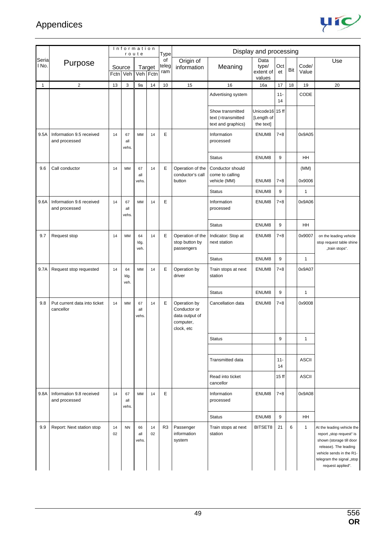

|                |                                           |          | Information        | route              |                    | Type               |                                                                           |                                                              | Display and processing                     |              |     |                |                                                                                                                                                                                           |
|----------------|-------------------------------------------|----------|--------------------|--------------------|--------------------|--------------------|---------------------------------------------------------------------------|--------------------------------------------------------------|--------------------------------------------|--------------|-----|----------------|-------------------------------------------------------------------------------------------------------------------------------------------------------------------------------------------|
| Seria<br>I No. | Purpose                                   |          | Source<br>Fctn Veh |                    | Target<br>Veh Fctn | of<br>teleg<br>ram | Origin of<br>information                                                  | Meaning                                                      | Data<br>type/<br>extent of<br>values       | Oct<br>et    | Bit | Code/<br>Value | Use                                                                                                                                                                                       |
| $\mathbf{1}$   | $\overline{c}$                            | 13       | 3                  | 9a                 | 14                 | 10                 | 15                                                                        | 16                                                           | 16a                                        | 17           | 18  | 19             | 20                                                                                                                                                                                        |
|                |                                           |          |                    |                    |                    |                    |                                                                           | Advertising system                                           |                                            | $11 -$<br>14 |     | CODE           |                                                                                                                                                                                           |
|                |                                           |          |                    |                    |                    |                    |                                                                           | Show transmitted<br>text (=transmitted<br>text and graphics) | Unicode16 15 ff<br>[Length of<br>the text] |              |     |                |                                                                                                                                                                                           |
| 9.5A           | Information 9.5 received<br>and processed | 14       | 67<br>all<br>vehs. | <b>MM</b>          | 14                 | E                  |                                                                           | Information<br>processed                                     | ENUM8                                      | $7 + 8$      |     | 0x9A05         |                                                                                                                                                                                           |
|                |                                           |          |                    |                    |                    |                    |                                                                           | <b>Status</b>                                                | ENUM8                                      | 9            |     | HH             |                                                                                                                                                                                           |
| 9.6            | Call conductor                            | 14       | MM                 | 67<br>all<br>vehs. | 14                 | E                  | Operation of the<br>conductor's call<br>button                            | Conductor should<br>come to calling<br>vehicle (MM)          | ENUM8                                      | 7+8          |     | (MM)<br>0x9006 |                                                                                                                                                                                           |
|                |                                           |          |                    |                    |                    |                    |                                                                           | <b>Status</b>                                                | ENUM8                                      | 9            |     | $\mathbf{1}$   |                                                                                                                                                                                           |
| 9.6A           | Information 9.6 received<br>and processed | 14       | 67<br>all<br>vehs. | <b>MM</b>          | 14                 | E                  |                                                                           | Information<br>processed                                     | ENUM8                                      | $7 + 8$      |     | 0x9A06         |                                                                                                                                                                                           |
|                |                                           |          |                    |                    |                    |                    |                                                                           | <b>Status</b>                                                | ENUM8                                      | 9            |     | HH             |                                                                                                                                                                                           |
| 9.7            | Request stop                              | 14       | MМ                 | 64<br>ldg.<br>veh. | 14                 | E                  | Operation of the<br>stop button by<br>passengers                          | Indicator: Stop at<br>next station                           | ENUM8                                      | $7 + 8$      |     | 0x9007         | on the leading vehicle<br>stop request table shine<br>"train stops".                                                                                                                      |
|                |                                           |          |                    |                    |                    |                    |                                                                           | <b>Status</b>                                                | ENUM8                                      | 9            |     | $\mathbf{1}$   |                                                                                                                                                                                           |
| 9.7A           | Request stop requested                    | 14       | 64<br>ldg.<br>veh. | <b>MM</b>          | 14                 | E                  | Operation by<br>driver                                                    | Train stops at next<br>station                               | ENUM8                                      | $7 + 8$      |     | 0x9A07         |                                                                                                                                                                                           |
|                |                                           |          |                    |                    |                    |                    |                                                                           | <b>Status</b>                                                | ENUM8                                      | 9            |     | $\mathbf{1}$   |                                                                                                                                                                                           |
| 9.8            | Put current data into ticket<br>cancellor | 14       | MM                 | 67<br>all<br>vehs. | 14                 | Е                  | Operation by<br>Conductor or<br>data output of<br>computer,<br>clock, etc | Cancellation data                                            | ENUM8                                      | $7 + 8$      |     | 0x9008         |                                                                                                                                                                                           |
|                |                                           |          |                    |                    |                    |                    |                                                                           | <b>Status</b>                                                |                                            | 9            |     | $\mathbf{1}$   |                                                                                                                                                                                           |
|                |                                           |          |                    |                    |                    |                    |                                                                           |                                                              |                                            |              |     |                |                                                                                                                                                                                           |
|                |                                           |          |                    |                    |                    |                    |                                                                           | Transmitted data                                             |                                            | $11 -$<br>14 |     | <b>ASCII</b>   |                                                                                                                                                                                           |
|                |                                           |          |                    |                    |                    |                    |                                                                           | Read into ticket<br>cancellor                                |                                            | 15 ff        |     | <b>ASCII</b>   |                                                                                                                                                                                           |
| 9.8A           | Information 9.8 received<br>and processed | 14       | 67<br>all<br>vehs. | MM                 | 14                 | E                  |                                                                           | Information<br>processed                                     | ENUM8                                      | $7 + 8$      |     | 0x9A08         |                                                                                                                                                                                           |
|                |                                           |          |                    |                    |                    |                    |                                                                           | <b>Status</b>                                                | ENUM8                                      | 9            |     | HH             |                                                                                                                                                                                           |
| 9.9            | Report: Next station stop                 | 14<br>02 | <b>NN</b>          | 66<br>all<br>vehs. | 14<br>02           | R <sub>3</sub>     | Passenger<br>information<br>system                                        | Train stops at next<br>station                               | BITSET8                                    | 21           | 6   | $\mathbf{1}$   | At the leading vehicle the<br>report "stop request" is<br>shown (storage till door<br>release). The leading<br>vehicle sends in the R1-<br>telegram the signal "stop<br>request applied". |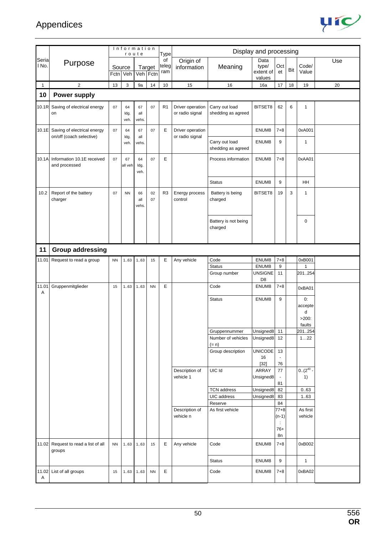

|              |                                                               |          |                    | Information<br>route |           | Type               |                                     |                                      | Display and processing               |                                   |     |                                          |     |
|--------------|---------------------------------------------------------------|----------|--------------------|----------------------|-----------|--------------------|-------------------------------------|--------------------------------------|--------------------------------------|-----------------------------------|-----|------------------------------------------|-----|
| Seria<br>No. | Purpose                                                       | Fctn Veh | Source             | Target<br>Veh Fctn   |           | of<br>teleg<br>ram | Origin of<br>information            | Meaning                              | Data<br>type/<br>extent of<br>values | Oct<br>et                         | Bit | Code/<br>Value                           | Use |
| $\mathbf{1}$ | $\sqrt{2}$                                                    | 13       | 3                  | 9a                   | 14        | 10                 | 15                                  | 16                                   | 16a                                  | 17                                | 18  | 19                                       | 20  |
| 10           | <b>Power supply</b>                                           |          |                    |                      |           |                    |                                     |                                      |                                      |                                   |     |                                          |     |
| 10.1R        | Saving of electrical energy<br>on                             | 07       | 64<br>ldg.<br>veh. | 67<br>all<br>vehs.   | 07        | R <sub>1</sub>     | Driver operation<br>or radio signal | Carry out load<br>shedding as agreed | BITSET8                              | 62                                | 6   | $\mathbf{1}$                             |     |
|              | 10.1E Saving of electrical energy<br>on/off (coach selective) | 07       | 64<br>ldg.         | 67<br>all            | 07        | E                  | Driver operation<br>or radio signal |                                      | ENUM8                                | $7 + 8$                           |     | 0xA001                                   |     |
|              |                                                               |          | veh.               | vehs.                |           |                    |                                     | Carry out load<br>shedding as agreed | ENUM8                                | 9                                 |     | $\mathbf{1}$                             |     |
| 10.1A        | Information 10.1E received<br>and processed                   | 07       | 67<br>all veh      | 64<br>Idg.<br>veh.   | 07        | E                  |                                     | Process information                  | ENUM8                                | $7 + 8$                           |     | 0xAA01                                   |     |
|              |                                                               |          |                    |                      |           |                    |                                     | <b>Status</b>                        | ENUM8                                | 9                                 |     | <b>HH</b>                                |     |
| 10.2         | Report of the battery<br>charger                              | 07       | <b>NN</b>          | 66<br>all<br>vehs.   | 02<br>07  | R <sub>3</sub>     | Energy process<br>control           | Battery is being<br>charged          | BITSET8                              | 19                                | 3   | $\mathbf{1}$                             |     |
|              |                                                               |          |                    |                      |           |                    |                                     | Battery is not being<br>charged      |                                      |                                   |     | $\mathbf 0$                              |     |
| 11           | <b>Group addressing</b>                                       |          |                    |                      |           |                    |                                     |                                      |                                      |                                   |     |                                          |     |
| 11.01        | Request to read a group                                       | NN       | 163                | 1.63                 | 15        | E                  | Any vehicle                         | Code                                 | ENUM8                                | $7 + 8$                           |     | 0xB001                                   |     |
|              |                                                               |          |                    |                      |           |                    |                                     | <b>Status</b>                        | ENUM8                                | 9                                 |     | $\mathbf{1}$                             |     |
|              |                                                               |          |                    |                      |           |                    |                                     | Group number                         | <b>UNSIGNE</b><br>D <sub>8</sub>     | 11                                |     | 201254                                   |     |
| 11.01<br>Α   | Gruppenmitglieder                                             | 15       | 1.63               | 1.63                 | <b>NN</b> | E                  |                                     | Code                                 | ENUM8                                | $7 + 8$                           |     | 0xBA01                                   |     |
|              |                                                               |          |                    |                      |           |                    |                                     | <b>Status</b>                        | ENUM8                                | 9                                 |     | 0:<br>accepte<br>d<br>$>200$ :<br>faults |     |
|              |                                                               |          |                    |                      |           |                    |                                     | Gruppennummer                        | Unsigned8                            | 11                                |     | 201254                                   |     |
|              |                                                               |          |                    |                      |           |                    |                                     | Number of vehicles<br>$(= n)$        | Unsigned8                            | 12                                |     | 122                                      |     |
|              |                                                               |          |                    |                      |           |                    |                                     | Group description                    | <b>UNICODE</b><br>16                 | 13<br>$\blacksquare$              |     |                                          |     |
|              |                                                               |          |                    |                      |           |                    |                                     |                                      | $[32]$                               | 76                                |     |                                          |     |
|              |                                                               |          |                    |                      |           |                    | Description of<br>vehicle 1         | UIC Id                               | ARRAY<br>Unsigned8                   | $77\,$                            |     | $0.(2^{40}$<br>1)                        |     |
|              |                                                               |          |                    |                      |           |                    |                                     |                                      |                                      | 81                                |     |                                          |     |
|              |                                                               |          |                    |                      |           |                    |                                     | <b>TCN address</b><br>UIC address    | Unsigned8                            | 82<br>83                          |     | 0.63                                     |     |
|              |                                                               |          |                    |                      |           |                    |                                     | Reserve                              | Unsigned8                            | 84                                |     | 1.63                                     |     |
|              |                                                               |          |                    |                      |           |                    | Description of<br>vehicle n         | As first vehicle                     |                                      | $77 + 8$<br>$(n-1)$<br>÷<br>$76+$ |     | As first<br>vehicle                      |     |
|              | 11.02 Request to read a list of all<br>groups                 | NN       | 163                | 163                  | 15        | Е                  | Any vehicle                         | Code                                 | ENUM8                                | 8n<br>$7 + 8$                     |     | 0xB002                                   |     |
|              |                                                               |          |                    |                      |           |                    |                                     | <b>Status</b>                        | ENUM8                                | 9                                 |     | $\mathbf{1}$                             |     |
| Α            | 11.02 List of all groups                                      | 15       | 163                | 163                  | <b>NN</b> | E                  |                                     | Code                                 | ENUM8                                | $7 + 8$                           |     | 0xBA02                                   |     |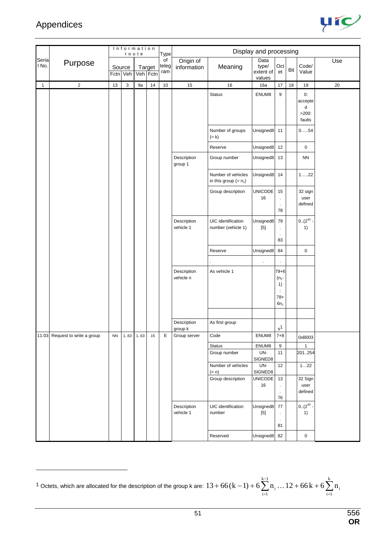$\overline{a}$ 



|                |                                |           |                    | Information<br>route |                    | Type               |                          |                                               | Display and processing                                                                                                                                                                             |                                                                       |     |                                          |     |
|----------------|--------------------------------|-----------|--------------------|----------------------|--------------------|--------------------|--------------------------|-----------------------------------------------|----------------------------------------------------------------------------------------------------------------------------------------------------------------------------------------------------|-----------------------------------------------------------------------|-----|------------------------------------------|-----|
| Seria<br>I No. | Purpose                        |           | Source<br>Fctn Veh |                      | Target<br>Veh Fctn | of<br>teleg<br>ram | Origin of<br>information | Meaning                                       | Data<br>type/<br>extent of<br>values                                                                                                                                                               | Oct<br>et                                                             | Bit | Code/<br>Value                           | Use |
| $\overline{1}$ | $\overline{2}$                 | 13        | $\mathsf 3$        | 9a                   | $14\,$             | $10$               | 15                       | 16                                            | 16a                                                                                                                                                                                                | $17$                                                                  | 18  | 19                                       | 20  |
|                |                                |           |                    |                      |                    |                    |                          | <b>Status</b>                                 | ENUM8                                                                                                                                                                                              | $\boldsymbol{9}$                                                      |     | 0:<br>accepte<br>d<br>$>200$ :<br>faults |     |
|                |                                |           |                    |                      |                    |                    |                          | Number of groups<br>$(= k)$                   | Unsigned8                                                                                                                                                                                          | 11                                                                    |     | $0.\dots .54$                            |     |
|                |                                |           |                    |                      |                    |                    |                          | Reserve                                       | Unsigned8                                                                                                                                                                                          | 12                                                                    |     | 0                                        |     |
|                |                                |           |                    |                      |                    |                    | Description<br>group 1   | Group number                                  | Unsigned8                                                                                                                                                                                          | 13                                                                    |     | <b>NN</b>                                |     |
|                |                                |           |                    |                      |                    |                    |                          | Number of vehicles<br>in this group $(= n_1)$ | Unsigned8                                                                                                                                                                                          | 14                                                                    |     | $122$                                    |     |
|                |                                |           |                    |                      |                    |                    |                          | Group description                             | <b>UNICODE</b><br>16                                                                                                                                                                               | 15<br>$\bullet$<br>$\epsilon$<br>78                                   |     | 32 sign<br>user<br>defined               |     |
|                |                                |           |                    |                      |                    |                    | Description<br>vehicle 1 | UIC identification<br>number (vehicle 1)      | Unsigned8<br>$[5] % \begin{center} \includegraphics[width=\linewidth]{imagesSupplemental/Imit} \caption{The image shows the image shows a single number of times.} \label{fig:limal} \end{center}$ | 79<br>$\epsilon$<br>$\bullet$<br>83                                   |     | $0.(2^{40} -$<br>1)                      |     |
|                |                                |           |                    |                      |                    |                    |                          | Reserve                                       | Unsigned8                                                                                                                                                                                          | 84                                                                    |     | 0                                        |     |
|                |                                |           |                    |                      |                    |                    |                          |                                               | $\cdot$                                                                                                                                                                                            | $\epsilon$                                                            |     |                                          |     |
|                |                                |           |                    |                      |                    |                    | Description<br>vehicle n | As vehicle 1                                  |                                                                                                                                                                                                    | $79 + 6$<br>$(n_1 -$<br>1)<br>$\ddot{\phantom{a}}$<br>$78+$<br>$6n_1$ |     |                                          |     |
|                |                                |           |                    |                      |                    |                    |                          |                                               |                                                                                                                                                                                                    |                                                                       |     |                                          |     |
|                |                                |           |                    |                      |                    |                    | Description<br>group k   | As first group                                |                                                                                                                                                                                                    | $s^1$                                                                 |     |                                          |     |
|                | 11.03 Request to write a group | <b>NN</b> | 1.63               | 163                  | 15                 | Е                  | Group server             | Code                                          | ENUM8                                                                                                                                                                                              | $7 + 8$                                                               |     | 0xB003                                   |     |
|                |                                |           |                    |                      |                    |                    |                          | Status                                        | ENUM8                                                                                                                                                                                              | $\boldsymbol{9}$                                                      |     | $\mathbf{1}$                             |     |
|                |                                |           |                    |                      |                    |                    |                          | Group number                                  | UN-<br>SIGNED8                                                                                                                                                                                     | 11                                                                    |     | 201254                                   |     |
|                |                                |           |                    |                      |                    |                    |                          | Number of vehicles<br>$(= n)$                 | UN-<br>SIGNED8                                                                                                                                                                                     | $12\,$                                                                |     | 122                                      |     |
|                |                                |           |                    |                      |                    |                    |                          | Group description                             | UNICODE<br>16                                                                                                                                                                                      | 13<br>$\epsilon$<br>$\sim$<br>76                                      |     | 32 Sign<br>user<br>defined               |     |
|                |                                |           |                    |                      |                    |                    | Description<br>vehicle 1 | UIC identification<br>number                  | Unsigned8                                                                                                                                                                                          | 77<br>$\epsilon$<br>$\epsilon$<br>81                                  |     | $0.(2^{40} \cdot$<br>1)                  |     |
|                |                                |           |                    |                      |                    |                    |                          | Reserved                                      | Unsigned8                                                                                                                                                                                          | 82                                                                    |     | 0                                        |     |

 $^{1}$  Octets, which are allocated for the description of the group k are:  $13+66(k-1)+6\sum_{i=1}^{k-1}n_i\ldots12+66k+6\sum_{i=1}^{k-1}n_i$ =  $+66(k-1)+6\sum n_i...12+66k+$ k  $i = 1$ i  $k-1$  $i = 1$  $13 + 66(k - 1) + 6\sum n_i \ldots 12 + 66k + 6\sum n_i$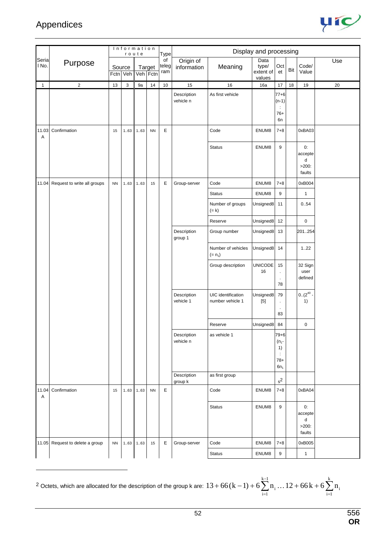$\overline{a}$ 



|                |                                 |           | Information        | route |                    | Type               |                          |                                        | Display and processing               |                                                                     |     |                                                  |     |
|----------------|---------------------------------|-----------|--------------------|-------|--------------------|--------------------|--------------------------|----------------------------------------|--------------------------------------|---------------------------------------------------------------------|-----|--------------------------------------------------|-----|
| Seria<br>I No. | Purpose                         |           | Source<br>Fctn Veh |       | Target<br>Veh Fctn | of<br>teleg<br>ram | Origin of<br>information | Meaning                                | Data<br>type/<br>extent of<br>values | Oct<br>et                                                           | Bit | Code/<br>Value                                   | Use |
| $\mathbf{1}$   | $\overline{2}$                  | 13        | 3                  | 9a    | 14                 | 10                 | 15                       | 16                                     | 16a                                  | 17                                                                  | 18  | 19                                               | 20  |
|                |                                 |           |                    |       |                    |                    | Description<br>vehicle n | As first vehicle                       |                                      | $77 + 6$<br>$(n-1)$<br>÷<br>$76+$<br>6n                             |     |                                                  |     |
| 11.03<br>Α     | Confirmation                    | 15        | 163                | 1.63  | <b>NN</b>          | E                  |                          | Code                                   | ENUM8                                | $7 + 8$                                                             |     | 0xBA03                                           |     |
|                |                                 |           |                    |       |                    |                    |                          | <b>Status</b>                          | ENUM8                                | 9                                                                   |     | 0:<br>accepte<br>d<br>$>200$ :<br>faults         |     |
| 11.04          | Request to write all groups     | <b>NN</b> | 163                | 163   | 15                 | E                  | Group-server             | Code                                   | ENUM8                                | $7 + 8$                                                             |     | 0xB004                                           |     |
|                |                                 |           |                    |       |                    |                    |                          | <b>Status</b>                          | ENUM8                                | $\boldsymbol{9}$                                                    |     | $\mathbf{1}$                                     |     |
|                |                                 |           |                    |       |                    |                    |                          | Number of groups<br>$(= k)$            | Unsigned8                            | 11                                                                  |     | 0.54                                             |     |
|                |                                 |           |                    |       |                    |                    |                          | Reserve                                | Unsigned8                            | 12                                                                  |     | $\mathsf 0$                                      |     |
|                |                                 |           |                    |       |                    |                    | Description<br>group 1   | Group number                           | Unsigned8                            | 13                                                                  |     | 201.254                                          |     |
|                |                                 |           |                    |       |                    |                    |                          | Number of vehicles<br>$(= n_1)$        | Unsigned8                            | 14                                                                  |     | 1.22                                             |     |
|                |                                 |           |                    |       |                    |                    |                          | Group description                      | <b>UNICODE</b><br>16                 | 15<br>$\cdot$<br>78                                                 |     | 32 Sign<br>user<br>defined                       |     |
|                |                                 |           |                    |       |                    |                    | Description<br>vehicle 1 | UIC identification<br>number vehicle 1 | Unsigned8<br>$[5]$                   | 79<br>$\cdot$<br>83                                                 |     | $0.(2^{40} \cdot$<br>1)                          |     |
|                |                                 |           |                    |       |                    |                    |                          | Reserve                                | Unsigned8                            | 84                                                                  |     | $\mathbf 0$                                      |     |
|                |                                 |           |                    |       |                    |                    | Description<br>vehicle n | as vehicle 1                           |                                      | $79 + 6$<br>$(n_1 -$<br>1)<br>$\ddot{\phantom{a}}$<br>78+<br>$6n_1$ |     |                                                  |     |
|                |                                 |           |                    |       |                    |                    | Description<br>group k   | as first group                         |                                      | $\rm s^2$                                                           |     |                                                  |     |
| 11.04<br>Α     | Confirmation                    | 15        | 163                | 163   | <b>NN</b>          | $\mathsf E$        |                          | Code                                   | ENUM8                                | $7 + 8$                                                             |     | 0xBA04                                           |     |
|                |                                 |           |                    |       |                    |                    |                          | <b>Status</b>                          | ENUM8                                | 9                                                                   |     | 0:<br>accepte<br>${\sf d}$<br>$>200$ :<br>faults |     |
|                | 11.05 Request to delete a group | <b>NN</b> | 163                | 163   | 15                 | Е                  | Group-server             | Code                                   | ENUM8                                | $7 + 8$                                                             |     | 0xB005                                           |     |
|                |                                 |           |                    |       |                    |                    |                          | <b>Status</b>                          | ENUM8                                | 9                                                                   |     | $\mathbf{1}$                                     |     |

 $^{2}$  Octets, which are allocated for the description of the group k are:  $13+66(k-1)+6\sum_{i=1}^{k-1}n_i\ldots12+66k+6\sum_{i=1}^{k-1}n_i$ =  $+66(k-1)+6\sum n_i...12+66k+$ k  $i = 1$ i  $k-1$  $i = 1$  $13 + 66(k - 1) + 6\sum n_i \ldots 12 + 66k + 6\sum n_i$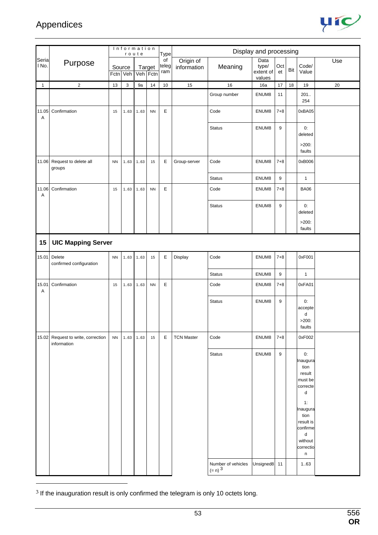

|                |                                                   | Information<br>route<br>Source<br>Target |      | <b>Type</b> |            |                    | Display and processing   |                                            |                                      |                  |     |                                                                                                                                                   |        |
|----------------|---------------------------------------------------|------------------------------------------|------|-------------|------------|--------------------|--------------------------|--------------------------------------------|--------------------------------------|------------------|-----|---------------------------------------------------------------------------------------------------------------------------------------------------|--------|
| Seria<br>l No. | Purpose                                           | Fctn Veh                                 |      | Veh Fctn    |            | of<br>teleg<br>ram | Origin of<br>information | Meaning                                    | Data<br>type/<br>extent of<br>values | Oct<br>et        | Bit | Code/<br>Value                                                                                                                                    | Use    |
| $\mathbf{1}$   | $\sqrt{2}$                                        | $13$                                     | 3    | 9a          | 14         | $10\,$             | 15                       | 16                                         | 16a                                  | $17$             | 18  | 19                                                                                                                                                | $20\,$ |
|                |                                                   |                                          |      |             |            |                    |                          | Group number                               | ENUM8                                | 11               |     | 201.<br>254                                                                                                                                       |        |
| 11.05<br>Α     | Confirmation                                      | 15                                       | 163  | 163         | <b>NN</b>  | $\mathsf E$        |                          | Code                                       | ENUM8                                | $7 + 8$          |     | 0xBA05                                                                                                                                            |        |
|                |                                                   |                                          |      |             |            |                    |                          | <b>Status</b>                              | ENUM8                                | 9                |     | 0:<br>deleted                                                                                                                                     |        |
|                |                                                   |                                          |      |             |            |                    |                          |                                            |                                      |                  |     | $>200$ :<br>faults                                                                                                                                |        |
| 11.06          | Request to delete all<br>groups                   | ${\sf NN}$                               | 163  | 163         | 15         | Е                  | Group-server             | Code                                       | ENUM8                                | $7 + 8$          |     | 0xB006                                                                                                                                            |        |
|                |                                                   |                                          |      |             |            |                    |                          | <b>Status</b>                              | ENUM8                                | 9                |     | $\mathbf{1}$                                                                                                                                      |        |
| 11.06<br>Α     | Confirmation                                      | 15                                       | 163  | 1.63        | ${\sf NN}$ | E                  |                          | Code                                       | ENUM8                                | $7 + 8$          |     | <b>BA06</b>                                                                                                                                       |        |
|                |                                                   |                                          |      |             |            |                    |                          | <b>Status</b>                              | ENUM8                                | 9                |     | 0:<br>deleted                                                                                                                                     |        |
|                |                                                   |                                          |      |             |            |                    |                          |                                            |                                      |                  |     | $>200$ :<br>faults                                                                                                                                |        |
| 15             | <b>UIC Mapping Server</b>                         |                                          |      |             |            |                    |                          |                                            |                                      |                  |     |                                                                                                                                                   |        |
| 15.01          | Delete<br>confirmed configuration                 | ${\sf NN}$                               | 163  | 163         | 15         | E                  | Display                  | Code                                       | ENUM8                                | $7 + 8$          |     | 0xF001                                                                                                                                            |        |
|                |                                                   |                                          |      |             |            |                    |                          | <b>Status</b>                              | ENUM8                                | $\boldsymbol{9}$ |     | $\mathbf{1}$                                                                                                                                      |        |
| 15.01<br>Α     | Confirmation                                      | 15                                       | 163  | 163         | <b>NN</b>  | $\mathsf E$        |                          | Code                                       | ENUM8                                | 7+8              |     | 0xFA01                                                                                                                                            |        |
|                |                                                   |                                          |      |             |            |                    |                          | <b>Status</b>                              | ENUM8                                | 9                |     | 0:<br>accepte<br>d<br>$>200$ :                                                                                                                    |        |
|                |                                                   |                                          |      |             |            |                    |                          |                                            |                                      |                  |     | faults                                                                                                                                            |        |
|                | 15.02 Request to write, correction<br>information | ${\sf NN}$                               | 1.63 | 163         | 15         | E                  | <b>TCN Master</b>        | Code                                       | ENUM8                                | $7 + 8$          |     | 0xF002                                                                                                                                            |        |
|                |                                                   |                                          |      |             |            |                    |                          | <b>Status</b>                              | ENUM8                                | $\boldsymbol{9}$ |     | 0:<br>Inaugura<br>tion<br>result<br>must be<br>correcte<br>d<br>1:<br>Inaugura<br>tion<br>result is<br>confirme<br>d<br>without<br>correctio<br>n |        |
|                |                                                   |                                          |      |             |            |                    |                          | Number of vehicles<br>$(= n)$ <sup>3</sup> | Unsigned8                            | 11               |     | 1.63                                                                                                                                              |        |

 $3$  If the inauguration result is only confirmed the telegram is only 10 octets long.

 $\overline{a}$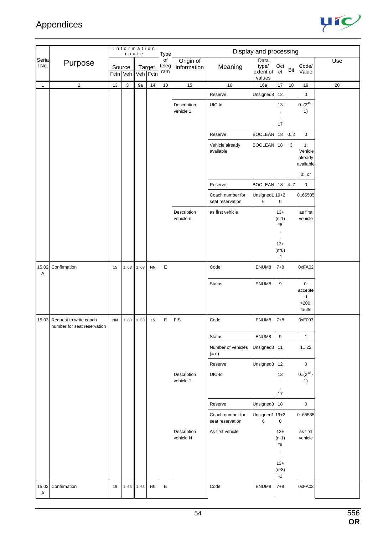

|                |                                                             |           | Information | route    |           | Type               |                          |                                      | Display and processing               |                                          |              |                                       |     |
|----------------|-------------------------------------------------------------|-----------|-------------|----------|-----------|--------------------|--------------------------|--------------------------------------|--------------------------------------|------------------------------------------|--------------|---------------------------------------|-----|
| Seria<br>I No. | Purpose                                                     | Source    | Fctn Veh    | Veh Fctn | Target    | of<br>teleg<br>ram | Origin of<br>information | Meaning                              | Data<br>type/<br>extent of<br>values | Oct<br>et                                | Bit          | Code/<br>Value                        | Use |
| $\mathbf{1}$   | $\sqrt{2}$                                                  | 13        | 3           | 9a       | 14        | $10$               | 15                       | 16                                   | 16a                                  | 17                                       | 18           | $19$                                  | 20  |
|                |                                                             |           |             |          |           |                    |                          | Reserve                              | Unsigned8                            | 12                                       |              | 0                                     |     |
|                |                                                             |           |             |          |           |                    | Description<br>vehicle 1 | UIC Id                               |                                      | 13<br>$\cdot$<br>$\blacksquare$          |              | $0.(2^{40} \cdot$<br>1)               |     |
|                |                                                             |           |             |          |           |                    |                          |                                      |                                      | 17                                       |              |                                       |     |
|                |                                                             |           |             |          |           |                    |                          | Reserve                              | <b>BOOLEAN</b>                       | 18                                       | 0.2          | $\mathbf 0$                           |     |
|                |                                                             |           |             |          |           |                    |                          | Vehicle already<br>available         | <b>BOOLEAN</b>                       | 18                                       | $\mathbf{3}$ | 1:<br>Vehicle<br>already<br>available |     |
|                |                                                             |           |             |          |           |                    |                          |                                      |                                      |                                          |              | $0:$ or                               |     |
|                |                                                             |           |             |          |           |                    |                          | Reserve                              | <b>BOOLEAN</b>                       | 18                                       | 4.7          | $\mathbf 0$                           |     |
|                |                                                             |           |             |          |           |                    |                          | Coach number for<br>seat reservation | Unsigned1 19+2<br>6                  | 0                                        |              | 0.65535                               |     |
|                |                                                             |           |             |          |           |                    | Description<br>vehicle n | as first vehicle                     |                                      | $13+$<br>$(n-1)$<br>*8                   |              | as first<br>vehicle                   |     |
|                |                                                             |           |             |          |           |                    |                          |                                      |                                      | $13+$<br>$(n*8)$<br>$-1$                 |              |                                       |     |
| 15.02<br>Α     | Confirmation                                                | 15        | 163         | 163      | <b>NN</b> | E                  |                          | Code                                 | ENUM8                                | $7 + 8$                                  |              | 0xFA02                                |     |
|                |                                                             |           |             |          |           |                    |                          | <b>Status</b>                        | ENUM8                                | $\boldsymbol{9}$                         |              | 0:<br>accepte<br>d                    |     |
|                |                                                             |           |             |          |           |                    |                          |                                      |                                      |                                          |              | $>200$ :<br>faults                    |     |
|                | 15.03 Request to write coach<br>number for seat reservation | <b>NN</b> | 163         | 163      | 15        | E                  | <b>FIS</b>               | Code                                 | ENUM8                                | $7 + 8$                                  |              | 0xF003                                |     |
|                |                                                             |           |             |          |           |                    |                          | <b>Status</b>                        | ENUM8                                | 9                                        |              | $\mathbf{1}$                          |     |
|                |                                                             |           |             |          |           |                    |                          | Number of vehicles<br>$(= n)$        | Unsigned8                            | 11                                       |              | 122                                   |     |
|                |                                                             |           |             |          |           |                    |                          | Reserve                              | Unsigned8                            | 12                                       |              | $\pmb{0}$                             |     |
|                |                                                             |           |             |          |           |                    | Description<br>vehicle 1 | UIC-Id                               |                                      | 13<br>$\cdot$                            |              | $0.(2^{40} \cdot$<br>1)               |     |
|                |                                                             |           |             |          |           |                    |                          |                                      |                                      | $\cdot$<br>17                            |              |                                       |     |
|                |                                                             |           |             |          |           |                    |                          | Reserve                              | Unsigned8                            | 18                                       |              | $\mathbf 0$                           |     |
|                |                                                             |           |             |          |           |                    |                          | Coach number for<br>seat reservation | Unsigned1 19+2<br>6                  | 0                                        |              | 0.65535                               |     |
|                |                                                             |           |             |          |           |                    | Description<br>vehicle N | As first vehicle                     |                                      | $13+$<br>$(n-1)$<br>*8<br>$\blacksquare$ |              | as first<br>vehicle                   |     |
|                |                                                             |           |             |          |           |                    |                          |                                      |                                      | $13+$<br>$(n*8)$<br>$-1$                 |              |                                       |     |
| 15.03<br>Α     | Confirmation                                                | 15        | 1.63        | 163      | <b>NN</b> | E                  |                          | Code                                 | ENUM8                                | $7 + 8$                                  |              | 0xFA03                                |     |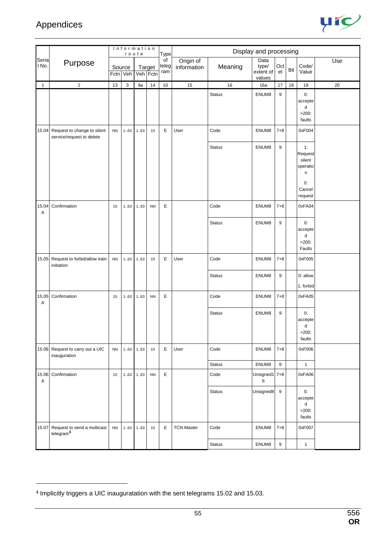$\overline{a}$ 



|                |                                                                |           |                    | Information<br>route |                    | <b>Type</b>        |                          |               | Display and processing               |                  |     |                                                                     |     |
|----------------|----------------------------------------------------------------|-----------|--------------------|----------------------|--------------------|--------------------|--------------------------|---------------|--------------------------------------|------------------|-----|---------------------------------------------------------------------|-----|
| Seria<br>I No. | Purpose                                                        |           | Source<br>Fctn Veh |                      | Target<br>Veh Fctn | of<br>teleg<br>ram | Origin of<br>information | Meaning       | Data<br>type/<br>extent of<br>values | Oct<br>et        | Bit | Code/<br>Value                                                      | Use |
| $\mathbf{1}$   | $\overline{2}$                                                 | 13        | 3                  | 9a                   | $14$               | $10$               | 15                       | 16            | 16a                                  | 17               | 18  | 19                                                                  | 20  |
|                |                                                                |           |                    |                      |                    |                    |                          | <b>Status</b> | ENUM8                                | 9                |     | 0:<br>accepte<br>d<br>$>200$ :<br>faults                            |     |
|                | 15.04 Request to change to silent<br>service/request to delete | NN        | 163                | 163                  | 15                 | E                  | User                     | Code          | ENUM8                                | $7 + 8$          |     | 0xF004                                                              |     |
|                |                                                                |           |                    |                      |                    |                    |                          | <b>Status</b> | ENUM8                                | 9                |     | 1:<br>Request<br>silent<br>operatio<br>n<br>0:<br>Cancel<br>request |     |
| 15.04<br>Α     | Confirmation                                                   | 15        | 163                | 163                  | <b>NN</b>          | E                  |                          | Code          | ENUM8                                | $7 + 8$          |     | 0xFA04                                                              |     |
|                |                                                                |           |                    |                      |                    |                    |                          | <b>Status</b> | ENUM8                                | 9                |     | 0:<br>accepte<br>d<br>$>200$ :<br>Faults                            |     |
| 15.05          | Request to forbid/allow train<br>initiation                    | NN        | 163                | 163                  | 15                 | E                  | User                     | Code          | ENUM8                                | $7 + 8$          |     | 0xF005                                                              |     |
|                |                                                                |           |                    |                      |                    |                    |                          | <b>Status</b> | ENUM8                                | 9                |     | 0: allow<br>1: forbid                                               |     |
| 15.05<br>Α     | Confirmation                                                   | 15        | 1.63               | 163                  | <b>NN</b>          | E                  |                          | Code          | ENUM8                                | $7 + 8$          |     | 0xFA05                                                              |     |
|                |                                                                |           |                    |                      |                    |                    |                          | <b>Status</b> | ENUM8                                | 9                |     | 0:<br>accepte<br>d<br>$>200$ :<br>faults                            |     |
|                | 15.06 Request to carry out a UIC<br>inauguration               | <b>NN</b> | 163                | 163                  | 15                 | E                  | User                     | Code          | ENUM8                                | $7 + 8$          |     | 0xF006                                                              |     |
|                |                                                                |           |                    |                      |                    |                    |                          | <b>Status</b> | ENUM8                                | 9                |     | $\mathbf{1}$                                                        |     |
| Α              | 15.06 Confirmation                                             | 15        | 1.63               | 1.63                 | <b>NN</b>          | E                  |                          | Code          | Unsigned1 7+8<br>6                   |                  |     | 0xFA06                                                              |     |
|                |                                                                |           |                    |                      |                    |                    |                          | <b>Status</b> | Unsigned8                            | 9                |     | 0:<br>accepte<br>d<br>$>200$ :<br>faults                            |     |
| 15.07          | Request to send a multicast<br>telegram $4$                    | <b>NN</b> | 163                | 1.63                 | 15                 | E                  | <b>TCN Master</b>        | Code          | ENUM8                                | $7 + 8$          |     | 0xF007                                                              |     |
|                |                                                                |           |                    |                      |                    |                    |                          | <b>Status</b> | ENUM8                                | $\boldsymbol{9}$ |     | $\mathbf{1}$                                                        |     |

<sup>4</sup> Implicitly triggers a UIC inauguratation with the sent telegrams 15.02 and 15.03.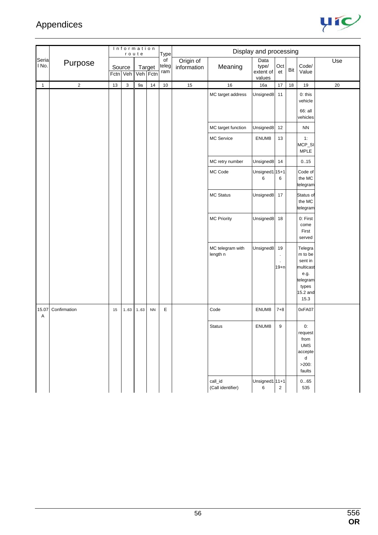

|                |              |        |             | Information<br>route |                    | Type               |                          |                              | Display and processing               |                         |     |                                                                                             |        |
|----------------|--------------|--------|-------------|----------------------|--------------------|--------------------|--------------------------|------------------------------|--------------------------------------|-------------------------|-----|---------------------------------------------------------------------------------------------|--------|
| Seria<br>I No. | Purpose      | Source | Fctn Veh    |                      | Target<br>Veh Fctn | of<br>teleg<br>ram | Origin of<br>information | Meaning                      | Data<br>type/<br>extent of<br>values | Oct<br>et               | Bit | Code/<br>Value                                                                              | Use    |
| $\mathbf{1}$   | $\sqrt{2}$   | $13$   | $\mathsf 3$ | 9a                   | 14                 | $10$               | 15                       | 16                           | 16a                                  | 17                      | 18  | 19                                                                                          | $20\,$ |
|                |              |        |             |                      |                    |                    |                          | MC target address            | Unsigned8                            | 11                      |     | $0:$ this<br>vehicle<br>66: all                                                             |        |
|                |              |        |             |                      |                    |                    |                          |                              |                                      |                         |     | vehicles                                                                                    |        |
|                |              |        |             |                      |                    |                    |                          | MC target function           | Unsigned8                            | 12                      |     | <b>NN</b>                                                                                   |        |
|                |              |        |             |                      |                    |                    |                          | MC Service                   | ENUM8                                | 13                      |     | 1:<br>MCP_SI<br><b>MPLE</b>                                                                 |        |
|                |              |        |             |                      |                    |                    |                          | MC retry number              | Unsigned8                            | 14                      |     | 0.15                                                                                        |        |
|                |              |        |             |                      |                    |                    |                          | MC Code                      | Unsigned1 15+1<br>6                  | 6                       |     | Code of<br>the MC<br>telegram                                                               |        |
|                |              |        |             |                      |                    |                    |                          | MC Status                    | Unsigned8                            | 17                      |     | Status of<br>the MC<br>telegram                                                             |        |
|                |              |        |             |                      |                    |                    |                          | <b>MC Priority</b>           | Unsigned8                            | 18                      |     | 0: First<br>come<br>First<br>served                                                         |        |
|                |              |        |             |                      |                    |                    |                          | MC telegram with<br>length n | Unsigned8                            | 19<br>$\cdot$<br>$19+n$ |     | Telegra<br>m to be<br>sent in<br>multicast<br>e.g.<br>telegram<br>types<br>15.2 and<br>15.3 |        |
| 15.07<br>Α     | Confirmation | 15     | 163         | 1.63                 | ${\sf NN}$         | E                  |                          | Code                         | ENUM8                                | $7 + 8$                 |     | 0xFA07                                                                                      |        |
|                |              |        |             |                      |                    |                    |                          | <b>Status</b>                | ENUM8                                | 9                       |     | 0:<br>request<br>from<br><b>UMS</b><br>accepte<br>d<br>$>200$ :<br>faults                   |        |
|                |              |        |             |                      |                    |                    |                          | call_id<br>(Call identifier) | Unsigned1 11+1<br>6                  | $\overline{2}$          |     | 065<br>535                                                                                  |        |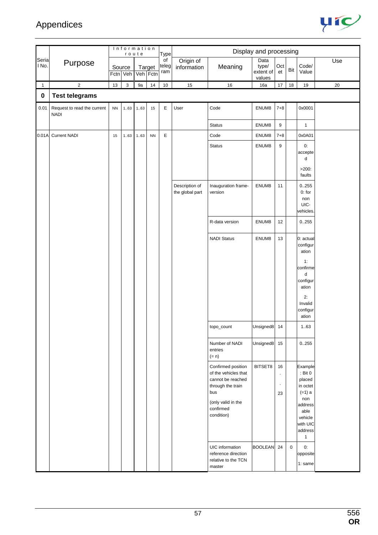

|                |                                            |           |              | Information<br>route |            | Type                            |                                   |                                                                         | Display and processing               |                  |             |                                                                   |        |
|----------------|--------------------------------------------|-----------|--------------|----------------------|------------|---------------------------------|-----------------------------------|-------------------------------------------------------------------------|--------------------------------------|------------------|-------------|-------------------------------------------------------------------|--------|
| Seria<br>I No. | Purpose                                    |           | Source       | Fctn Veh Veh Fctn    | Target     | $\overline{of}$<br>teleg<br>ram | Origin of<br>information          | Meaning                                                                 | Data<br>type/<br>extent of<br>values | Oct<br>et        | Bit         | Code/<br>Value                                                    | Use    |
| $\mathbf{1}$   | $\overline{\mathbf{c}}$                    | 13        | $\mathbf{3}$ | 9a                   | 14         | $10\,$                          | 15                                | $16\,$                                                                  | 16a                                  | 17               | 18          | 19                                                                | $20\,$ |
| $\pmb{0}$      | <b>Test telegrams</b>                      |           |              |                      |            |                                 |                                   |                                                                         |                                      |                  |             |                                                                   |        |
| 0.01           | Request to read the current<br><b>NADI</b> | <b>NN</b> |              | $163$ 163            | 15         | $\mathsf E$                     | User                              | Code                                                                    | ENUM8                                | $7 + 8$          |             | 0x0001                                                            |        |
|                |                                            |           |              |                      |            |                                 |                                   | <b>Status</b>                                                           | ENUM8                                | $\boldsymbol{9}$ |             | $\mathbf{1}$                                                      |        |
| 0.01A          | <b>Current NADI</b>                        | 15        | 163          | 163                  | ${\sf NN}$ | $\mathsf E$                     |                                   | Code                                                                    | ENUM8                                | $7 + 8$          |             | 0x0A01                                                            |        |
|                |                                            |           |              |                      |            |                                 |                                   | <b>Status</b>                                                           | ENUM8                                | 9                |             | 0:<br>accepte<br>d                                                |        |
|                |                                            |           |              |                      |            |                                 |                                   |                                                                         |                                      |                  |             | $>200$ :<br>faults                                                |        |
|                |                                            |           |              |                      |            |                                 | Description of<br>the global part | Inauguration frame-<br>version                                          | ENUM8                                | 11               |             | 0.255<br>$0:$ for<br>non<br>UIC-<br>vehicles.                     |        |
|                |                                            |           |              |                      |            |                                 |                                   | R-data version                                                          | ENUM8                                | 12               |             | 0.255                                                             |        |
|                |                                            |           |              |                      |            |                                 |                                   | <b>NADI Status</b>                                                      | ENUM8                                | 13               |             | 0: actual<br>configur<br>ation                                    |        |
|                |                                            |           |              |                      |            |                                 |                                   |                                                                         |                                      |                  |             | 1:<br>confirme<br>${\sf d}$                                       |        |
|                |                                            |           |              |                      |            |                                 |                                   |                                                                         |                                      |                  |             | configur<br>ation                                                 |        |
|                |                                            |           |              |                      |            |                                 |                                   |                                                                         |                                      |                  |             | 2:<br>Invalid<br>configur<br>ation                                |        |
|                |                                            |           |              |                      |            |                                 |                                   | $topo\_count$                                                           | Unsigned8                            | 14               |             | 1.63                                                              |        |
|                |                                            |           |              |                      |            |                                 |                                   | Number of NADI<br>entries<br>$(= n)$                                    | Unsigned8 15                         |                  |             | 0.255                                                             |        |
|                |                                            |           |              |                      |            |                                 |                                   | Confirmed position<br>of the vehicles that<br>cannot be reached         | BITSET8                              | 16<br>$\cdot$    |             | Example<br>$:$ Bit 0<br>placed                                    |        |
|                |                                            |           |              |                      |            |                                 |                                   | through the train<br>bus                                                |                                      | $\cdot$<br>23    |             | in octet<br>$(=1) a$<br>non                                       |        |
|                |                                            |           |              |                      |            |                                 |                                   | (only valid in the<br>confirmed<br>condition)                           |                                      |                  |             | address<br>able<br>vehicle<br>with UIC<br>address<br>$\mathbf{1}$ |        |
|                |                                            |           |              |                      |            |                                 |                                   | UIC information<br>reference direction<br>relative to the TCN<br>master | BOOLEAN 24                           |                  | $\mathbf 0$ | 0:<br>opposite<br>1: same                                         |        |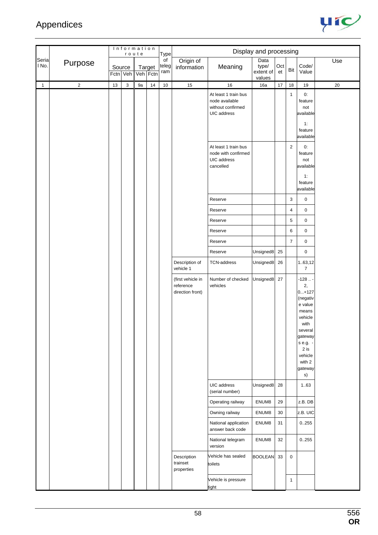

|                |            |        | Information | route    |        | Type               |                                                    |                                                                            | Display and processing               |           |                |                                                                                                                                                              |        |
|----------------|------------|--------|-------------|----------|--------|--------------------|----------------------------------------------------|----------------------------------------------------------------------------|--------------------------------------|-----------|----------------|--------------------------------------------------------------------------------------------------------------------------------------------------------------|--------|
| Seria<br>I No. | Purpose    | Source | Fctn Veh    | Veh Fctn | Target | of<br>teleg<br>ram | Origin of<br>information                           | Meaning                                                                    | Data<br>type/<br>extent of<br>values | Oct<br>et | Bit            | Code/<br>Value                                                                                                                                               | Use    |
| 1              | $\sqrt{2}$ | 13     | 3           | 9a       | 14     | 10                 | 15                                                 | 16                                                                         | 16a                                  | $17$      | $18$           | 19                                                                                                                                                           | $20\,$ |
|                |            |        |             |          |        |                    |                                                    | At least 1 train bus<br>node available<br>without confirmed<br>UIC address |                                      |           | $\mathbf{1}$   | 0:<br>feature<br>not<br>available<br>1:<br>feature<br>available                                                                                              |        |
|                |            |        |             |          |        |                    |                                                    | At least 1 train bus<br>node with confirmed<br>UIC address<br>cancelled    |                                      |           | $\overline{2}$ | 0:<br>feature<br>not<br>available<br>1:<br>feature<br>available                                                                                              |        |
|                |            |        |             |          |        |                    |                                                    | Reserve                                                                    |                                      |           | 3              | $\pmb{0}$                                                                                                                                                    |        |
|                |            |        |             |          |        |                    |                                                    | Reserve                                                                    |                                      |           | 4              | $\pmb{0}$                                                                                                                                                    |        |
|                |            |        |             |          |        |                    |                                                    | Reserve                                                                    |                                      |           | 5              | $\pmb{0}$                                                                                                                                                    |        |
|                |            |        |             |          |        |                    |                                                    | Reserve                                                                    |                                      |           | 6              | $\pmb{0}$                                                                                                                                                    |        |
|                |            |        |             |          |        |                    |                                                    | Reserve                                                                    |                                      |           | $\overline{7}$ | $\pmb{0}$                                                                                                                                                    |        |
|                |            |        |             |          |        |                    |                                                    | Reserve                                                                    | Unsigned8                            | 25        |                | 0                                                                                                                                                            |        |
|                |            |        |             |          |        |                    | Description of<br>vehicle 1                        | <b>TCN-address</b>                                                         | Unsigned8                            | 26        |                | 1.63,12<br>$\overline{7}$                                                                                                                                    |        |
|                |            |        |             |          |        |                    | (first vehicle in<br>reference<br>direction front) | Number of checked<br>vehicles                                              | Unsigned8                            | 27        |                | $-128$<br>2,<br>$0+127$<br>(negativ<br>e value<br>means<br>vehicle<br>with<br>several<br>gateway<br>s e.g. -<br>$2$ is<br>vehicle<br>with 2<br>gateway<br>s) |        |
|                |            |        |             |          |        |                    |                                                    | UIC address<br>(serial number)                                             | Unsigned8                            | 28        |                | 1.63                                                                                                                                                         |        |
|                |            |        |             |          |        |                    |                                                    | Operating railway                                                          | ENUM8                                | 29        |                | z.B. DB                                                                                                                                                      |        |
|                |            |        |             |          |        |                    |                                                    | Owning railway                                                             | ENUM8                                | 30        |                | z.B. UIC                                                                                                                                                     |        |
|                |            |        |             |          |        |                    |                                                    | National application<br>answer back code                                   | ENUM8                                | 31        |                | 0.255                                                                                                                                                        |        |
|                |            |        |             |          |        |                    |                                                    | National telegram<br>version                                               | ENUM8                                | 32        |                | 0.255                                                                                                                                                        |        |
|                |            |        |             |          |        |                    | Description<br>trainset<br>properties              | Vehicle has sealed<br>toilets                                              | <b>BOOLEAN</b>                       | 33        | $\mathbf 0$    |                                                                                                                                                              |        |
|                |            |        |             |          |        |                    |                                                    | Vehicle is pressure<br>tight                                               |                                      |           | $\mathbf{1}$   |                                                                                                                                                              |        |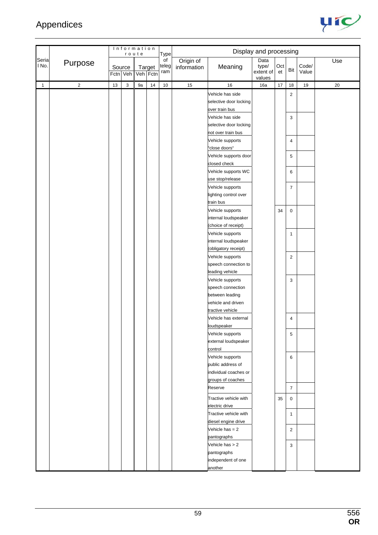

|                |             |        |          | Information<br>route |        | Type               |                          |                                                                  | Display and processing               |           |                               |                |     |
|----------------|-------------|--------|----------|----------------------|--------|--------------------|--------------------------|------------------------------------------------------------------|--------------------------------------|-----------|-------------------------------|----------------|-----|
| Seria<br>I No. | Purpose     | Source | Fctn Veh | Veh Fctn             | Target | of<br>teleg<br>ram | Origin of<br>information | Meaning                                                          | Data<br>type/<br>extent of<br>values | Oct<br>et | Bit                           | Code/<br>Value | Use |
| $\mathbf{1}$   | $\mathbf 2$ | 13     | 3        | 9a                   | 14     | 10                 | 15                       | 16                                                               | 16a                                  | 17        | 18                            | $19$           | 20  |
|                |             |        |          |                      |        |                    |                          | Vehicle has side<br>selective door locking<br>over train bus     |                                      |           | $\overline{2}$                |                |     |
|                |             |        |          |                      |        |                    |                          | Vehicle has side<br>selective door locking<br>not over train bus |                                      |           | 3                             |                |     |
|                |             |        |          |                      |        |                    |                          | Vehicle supports<br>"close doors"                                |                                      |           | $\overline{4}$                |                |     |
|                |             |        |          |                      |        |                    |                          | Vehicle supports door<br>closed check                            |                                      |           | 5                             |                |     |
|                |             |        |          |                      |        |                    |                          | Vehicle supports WC<br>use stop/release                          |                                      |           | 6                             |                |     |
|                |             |        |          |                      |        |                    |                          | Vehicle supports<br>lighting control over<br>train bus           |                                      |           | $\overline{7}$                |                |     |
|                |             |        |          |                      |        |                    |                          | Vehicle supports<br>internal loudspeaker<br>(choice of receipt)  |                                      | 34        | $\pmb{0}$                     |                |     |
|                |             |        |          |                      |        |                    |                          | Vehicle supports<br>internal loudspeaker<br>(obligatory receipt) |                                      |           | $\mathbf{1}$                  |                |     |
|                |             |        |          |                      |        |                    |                          | Vehicle supports<br>speech connection to<br>leading vehicle      |                                      |           | $\sqrt{2}$                    |                |     |
|                |             |        |          |                      |        |                    |                          | Vehicle supports<br>speech connection<br>between leading         |                                      |           | 3                             |                |     |
|                |             |        |          |                      |        |                    |                          | vehicle and driven<br>tractive vehicle                           |                                      |           |                               |                |     |
|                |             |        |          |                      |        |                    |                          | Vehicle has external<br>loudspeaker                              |                                      |           | 4                             |                |     |
|                |             |        |          |                      |        |                    |                          | Vehicle supports<br>external loudspeaker<br>control              |                                      |           | 5                             |                |     |
|                |             |        |          |                      |        |                    |                          | Vehicle supports<br>public address of                            |                                      |           | 6                             |                |     |
|                |             |        |          |                      |        |                    |                          | individual coaches or<br>groups of coaches                       |                                      |           |                               |                |     |
|                |             |        |          |                      |        |                    |                          | Reserve<br>Tractive vehicle with                                 |                                      | 35        | $\overline{7}$<br>$\mathbf 0$ |                |     |
|                |             |        |          |                      |        |                    |                          | electric drive<br>Tractive vehicle with                          |                                      |           | $\mathbf{1}$                  |                |     |
|                |             |        |          |                      |        |                    |                          | diesel engine drive<br>Vehicle has $= 2$<br>pantographs          |                                      |           | $\overline{2}$                |                |     |
|                |             |        |          |                      |        |                    |                          | Vehicle has > 2<br>pantographs                                   |                                      |           | 3                             |                |     |
|                |             |        |          |                      |        |                    |                          | independent of one<br>another                                    |                                      |           |                               |                |     |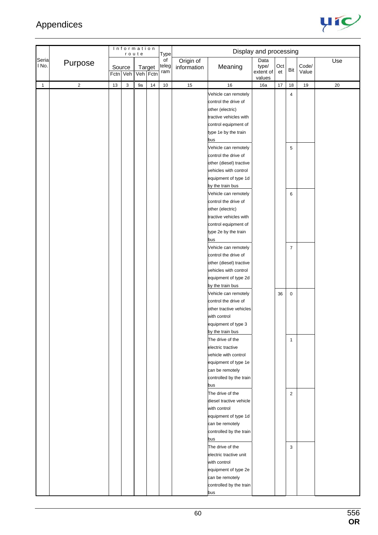

|                |                |        | Information | route |                    | Type               |                          |                                                                                                                                                              | Display and processing               |           |                     |                |        |
|----------------|----------------|--------|-------------|-------|--------------------|--------------------|--------------------------|--------------------------------------------------------------------------------------------------------------------------------------------------------------|--------------------------------------|-----------|---------------------|----------------|--------|
| Seria<br>l No. | Purpose        | Source | Fctn Veh    |       | Target<br>Veh Fctn | of<br>teleg<br>ram | Origin of<br>information | Meaning                                                                                                                                                      | Data<br>type/<br>extent of<br>values | Oct<br>et | Bit                 | Code/<br>Value | Use    |
| $\mathbf{1}$   | $\overline{2}$ | 13     | 3           | 9a    | 14                 | $10\,$             | 15                       | 16                                                                                                                                                           | 16a                                  | $17$      | 18                  | $19$           | $20\,$ |
|                |                |        |             |       |                    |                    |                          | Vehicle can remotely<br>control the drive of<br>other (electric)<br>tractive vehicles with<br>control equipment of<br>type 1e by the train                   |                                      |           | 4                   |                |        |
|                |                |        |             |       |                    |                    |                          | bus                                                                                                                                                          |                                      |           |                     |                |        |
|                |                |        |             |       |                    |                    |                          | Vehicle can remotely<br>control the drive of<br>other (diesel) tractive<br>vehicles with control<br>equipment of type 1d<br>by the train bus                 |                                      |           | 5                   |                |        |
|                |                |        |             |       |                    |                    |                          | Vehicle can remotely<br>control the drive of<br>other (electric)<br>tractive vehicles with<br>control equipment of<br>type 2e by the train                   |                                      |           | 6                   |                |        |
|                |                |        |             |       |                    |                    |                          | bus<br>Vehicle can remotely<br>control the drive of<br>other (diesel) tractive<br>vehicles with control<br>equipment of type 2d<br>by the train bus          |                                      |           | $\overline{7}$      |                |        |
|                |                |        |             |       |                    |                    |                          | Vehicle can remotely<br>control the drive of<br>other tractive vehicles<br>with control<br>equipment of type 3<br>by the train bus                           |                                      | 36        | $\pmb{0}$           |                |        |
|                |                |        |             |       |                    |                    |                          | The drive of the<br>electric tractive<br>vehicle with control<br>equipment of type 1e<br>can be remotely<br>controlled by the train<br>bus                   |                                      |           | $\mathbf{1}$        |                |        |
|                |                |        |             |       |                    |                    |                          | The drive of the<br>diesel tractive vehicle<br>with control<br>equipment of type 1d<br>can be remotely<br>controlled by the train<br>bus<br>The drive of the |                                      |           | $\overline{2}$<br>3 |                |        |
|                |                |        |             |       |                    |                    |                          | electric tractive unit<br>with control<br>equipment of type 2e<br>can be remotely<br>controlled by the train<br>bus                                          |                                      |           |                     |                |        |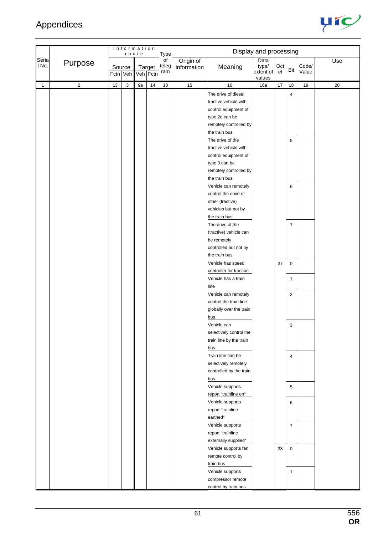

|                |                |    | Information        | route    |        | Type               |                          |                                                | Display and processing     |           |                  |                |        |
|----------------|----------------|----|--------------------|----------|--------|--------------------|--------------------------|------------------------------------------------|----------------------------|-----------|------------------|----------------|--------|
| Seria<br>l No. | Purpose        |    | Source<br>Fctn Veh | Veh Fctn | Target | of<br>teleg<br>ram | Origin of<br>information | Meaning                                        | Data<br>type/<br>extent of | Oct<br>et | Bit              | Code/<br>Value | Use    |
| $\mathbf{1}$   | $\overline{2}$ | 13 | 3                  | 9a       | $14$   | $10\,$             | 15                       | 16                                             | values<br>16a              | $17\,$    | 18               | 19             | $20\,$ |
|                |                |    |                    |          |        |                    |                          | The drive of diesel                            |                            |           | $\overline{4}$   |                |        |
|                |                |    |                    |          |        |                    |                          | tractive vehicle with                          |                            |           |                  |                |        |
|                |                |    |                    |          |        |                    |                          | control equipment of                           |                            |           |                  |                |        |
|                |                |    |                    |          |        |                    |                          | type 2d can be                                 |                            |           |                  |                |        |
|                |                |    |                    |          |        |                    |                          | remotely controlled by                         |                            |           |                  |                |        |
|                |                |    |                    |          |        |                    |                          | the train bus                                  |                            |           |                  |                |        |
|                |                |    |                    |          |        |                    |                          | The drive of the                               |                            |           | 5                |                |        |
|                |                |    |                    |          |        |                    |                          | tractive vehicle with                          |                            |           |                  |                |        |
|                |                |    |                    |          |        |                    |                          | control equipment of                           |                            |           |                  |                |        |
|                |                |    |                    |          |        |                    |                          | type 3 can be                                  |                            |           |                  |                |        |
|                |                |    |                    |          |        |                    |                          | remotely controlled by                         |                            |           |                  |                |        |
|                |                |    |                    |          |        |                    |                          | the train bus                                  |                            |           |                  |                |        |
|                |                |    |                    |          |        |                    |                          | Vehicle can remotely                           |                            |           | 6                |                |        |
|                |                |    |                    |          |        |                    |                          | control the drive of                           |                            |           |                  |                |        |
|                |                |    |                    |          |        |                    |                          | other (tractive)                               |                            |           |                  |                |        |
|                |                |    |                    |          |        |                    |                          | vehicles but not by                            |                            |           |                  |                |        |
|                |                |    |                    |          |        |                    |                          | the train bus                                  |                            |           |                  |                |        |
|                |                |    |                    |          |        |                    |                          | The drive of the                               |                            |           | $\overline{7}$   |                |        |
|                |                |    |                    |          |        |                    |                          | (tractive) vehicle can                         |                            |           |                  |                |        |
|                |                |    |                    |          |        |                    |                          | be remotely                                    |                            |           |                  |                |        |
|                |                |    |                    |          |        |                    |                          | controlled but not by                          |                            |           |                  |                |        |
|                |                |    |                    |          |        |                    |                          | the train bus                                  |                            |           |                  |                |        |
|                |                |    |                    |          |        |                    |                          | Vehicle has speed                              |                            | 37        | $\pmb{0}$        |                |        |
|                |                |    |                    |          |        |                    |                          | controller for traction<br>Vehicle has a train |                            |           |                  |                |        |
|                |                |    |                    |          |        |                    |                          | line                                           |                            |           | $\mathbf{1}$     |                |        |
|                |                |    |                    |          |        |                    |                          | Vehicle can remotely                           |                            |           | $\overline{c}$   |                |        |
|                |                |    |                    |          |        |                    |                          | control the train line                         |                            |           |                  |                |        |
|                |                |    |                    |          |        |                    |                          | globally over the train                        |                            |           |                  |                |        |
|                |                |    |                    |          |        |                    |                          | bus                                            |                            |           |                  |                |        |
|                |                |    |                    |          |        |                    |                          | Vehicle can                                    |                            |           | 3                |                |        |
|                |                |    |                    |          |        |                    |                          | selectively control the                        |                            |           |                  |                |        |
|                |                |    |                    |          |        |                    |                          | train line by the train                        |                            |           |                  |                |        |
|                |                |    |                    |          |        |                    |                          | bus                                            |                            |           |                  |                |        |
|                |                |    |                    |          |        |                    |                          | Train line can be                              |                            |           | 4                |                |        |
|                |                |    |                    |          |        |                    |                          | selectively remotely                           |                            |           |                  |                |        |
|                |                |    |                    |          |        |                    |                          | controlled by the train                        |                            |           |                  |                |        |
|                |                |    |                    |          |        |                    |                          | bus                                            |                            |           |                  |                |        |
|                |                |    |                    |          |        |                    |                          | Vehicle supports                               |                            |           | 5                |                |        |
|                |                |    |                    |          |        |                    |                          | report "trainline on"                          |                            |           |                  |                |        |
|                |                |    |                    |          |        |                    |                          | Vehicle supports                               |                            |           | 6                |                |        |
|                |                |    |                    |          |        |                    |                          | report "trainline                              |                            |           |                  |                |        |
|                |                |    |                    |          |        |                    |                          | earthed"                                       |                            |           |                  |                |        |
|                |                |    |                    |          |        |                    |                          | Vehicle supports                               |                            |           | $\boldsymbol{7}$ |                |        |
|                |                |    |                    |          |        |                    |                          | report "trainline                              |                            |           |                  |                |        |
|                |                |    |                    |          |        |                    |                          | externally supplied"                           |                            |           |                  |                |        |
|                |                |    |                    |          |        |                    |                          | Vehicle supports fan                           |                            | 38        | $\mathbf 0$      |                |        |
|                |                |    |                    |          |        |                    |                          | remote control by                              |                            |           |                  |                |        |
|                |                |    |                    |          |        |                    |                          | train bus                                      |                            |           |                  |                |        |
|                |                |    |                    |          |        |                    |                          | Vehicle supports                               |                            |           | $\mathbf{1}$     |                |        |
|                |                |    |                    |          |        |                    |                          | compressor remote<br>control by train bus      |                            |           |                  |                |        |
|                |                |    |                    |          |        |                    |                          |                                                |                            |           |                  |                |        |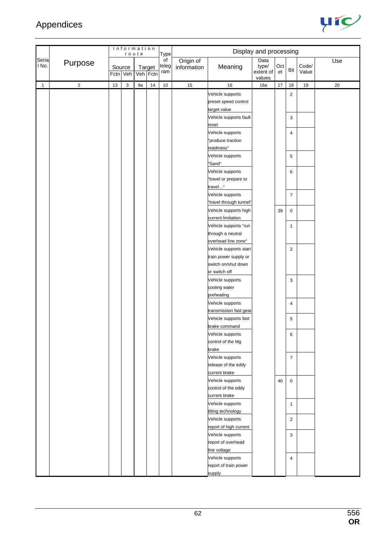

|                |                |        | Information<br>route |          |        | Type               |                          |                                                          | Display and processing               |           |                |                |     |
|----------------|----------------|--------|----------------------|----------|--------|--------------------|--------------------------|----------------------------------------------------------|--------------------------------------|-----------|----------------|----------------|-----|
| Seria<br>I No. | Purpose        | Source | Fctn Veh             | Veh Fctn | Target | of<br>teleg<br>ram | Origin of<br>information | Meaning                                                  | Data<br>type/<br>extent of<br>values | Oct<br>et | Bit            | Code/<br>Value | Use |
| $\mathbf{1}$   | $\overline{2}$ | 13     | 3                    | 9a       | 14     | $10$               | 15                       | 16                                                       | 16a                                  | 17        | $18$           | 19             | 20  |
|                |                |        |                      |          |        |                    |                          | Vehicle supports<br>preset speed control<br>target value |                                      |           | $\overline{2}$ |                |     |
|                |                |        |                      |          |        |                    |                          | Vehicle supports fault<br>reset                          |                                      |           | 3              |                |     |
|                |                |        |                      |          |        |                    |                          | Vehicle supports<br>"produce traction                    |                                      |           | 4              |                |     |
|                |                |        |                      |          |        |                    |                          | readiness"                                               |                                      |           |                |                |     |
|                |                |        |                      |          |        |                    |                          | Vehicle supports                                         |                                      |           | 5              |                |     |
|                |                |        |                      |          |        |                    |                          | "Sand"<br>Vehicle supports                               |                                      |           | 6              |                |     |
|                |                |        |                      |          |        |                    |                          | "travel or prepare to                                    |                                      |           |                |                |     |
|                |                |        |                      |          |        |                    |                          | travel"<br>Vehicle supports                              |                                      |           | $\overline{7}$ |                |     |
|                |                |        |                      |          |        |                    |                          | "travel through tunnel"                                  |                                      |           |                |                |     |
|                |                |        |                      |          |        |                    |                          | Vehicle supports high                                    |                                      | 39        | $\mathbf 0$    |                |     |
|                |                |        |                      |          |        |                    |                          | current limitation                                       |                                      |           |                |                |     |
|                |                |        |                      |          |        |                    |                          | Vehicle supports "run                                    |                                      |           | $\mathbf{1}$   |                |     |
|                |                |        |                      |          |        |                    |                          | through a neutral                                        |                                      |           |                |                |     |
|                |                |        |                      |          |        |                    |                          | overhead line zone"                                      |                                      |           |                |                |     |
|                |                |        |                      |          |        |                    |                          | Vehicle supports start<br>train power supply or          |                                      |           | $\overline{2}$ |                |     |
|                |                |        |                      |          |        |                    |                          | switch on/shut down                                      |                                      |           |                |                |     |
|                |                |        |                      |          |        |                    |                          | or switch off                                            |                                      |           |                |                |     |
|                |                |        |                      |          |        |                    |                          | Vehicle supports                                         |                                      |           | 3              |                |     |
|                |                |        |                      |          |        |                    |                          | cooling water                                            |                                      |           |                |                |     |
|                |                |        |                      |          |        |                    |                          | preheating                                               |                                      |           |                |                |     |
|                |                |        |                      |          |        |                    |                          | Vehicle supports                                         |                                      |           | 4              |                |     |
|                |                |        |                      |          |        |                    |                          | transmission fast gear                                   |                                      |           |                |                |     |
|                |                |        |                      |          |        |                    |                          | Vehicle supports fast                                    |                                      |           | 5              |                |     |
|                |                |        |                      |          |        |                    |                          | brake command                                            |                                      |           |                |                |     |
|                |                |        |                      |          |        |                    |                          | Vehicle supports<br>control of the Mg                    |                                      |           | 6              |                |     |
|                |                |        |                      |          |        |                    |                          | brake                                                    |                                      |           |                |                |     |
|                |                |        |                      |          |        |                    |                          | Vehicle supports                                         |                                      |           | $\overline{7}$ |                |     |
|                |                |        |                      |          |        |                    |                          | release of the eddy                                      |                                      |           |                |                |     |
|                |                |        |                      |          |        |                    |                          | current brake                                            |                                      |           |                |                |     |
|                |                |        |                      |          |        |                    |                          | Vehicle supports                                         |                                      | 40        | $\mathsf 0$    |                |     |
|                |                |        |                      |          |        |                    |                          | control of the eddy                                      |                                      |           |                |                |     |
|                |                |        |                      |          |        |                    |                          | current brake                                            |                                      |           |                |                |     |
|                |                |        |                      |          |        |                    |                          | Vehicle supports                                         |                                      |           | $\mathbf{1}$   |                |     |
|                |                |        |                      |          |        |                    |                          | tilting technology                                       |                                      |           |                |                |     |
|                |                |        |                      |          |        |                    |                          | Vehicle supports<br>report of high current               |                                      |           | $\overline{2}$ |                |     |
|                |                |        |                      |          |        |                    |                          | Vehicle supports                                         |                                      |           | 3              |                |     |
|                |                |        |                      |          |        |                    |                          | report of overhead                                       |                                      |           |                |                |     |
|                |                |        |                      |          |        |                    |                          | line voltage                                             |                                      |           |                |                |     |
|                |                |        |                      |          |        |                    |                          | Vehicle supports                                         |                                      |           | 4              |                |     |
|                |                |        |                      |          |        |                    |                          | report of train power                                    |                                      |           |                |                |     |
|                |                |        |                      |          |        |                    |                          | supply                                                   |                                      |           |                |                |     |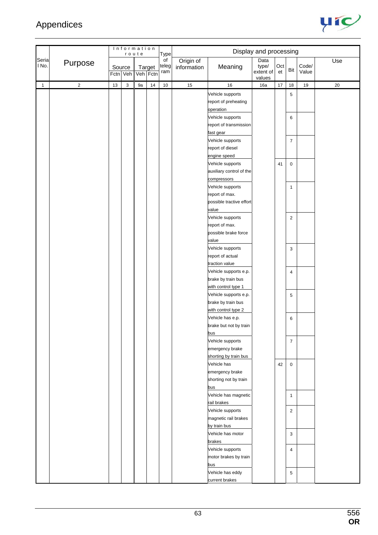

|                |                |                    | Information | route    |        | Type               |                          |                                                                               | Display and processing               |           |                |                |        |
|----------------|----------------|--------------------|-------------|----------|--------|--------------------|--------------------------|-------------------------------------------------------------------------------|--------------------------------------|-----------|----------------|----------------|--------|
| Seria<br>I No. | Purpose        | Source<br>Fctn Veh |             | Veh Fctn | Target | of<br>teleg<br>ram | Origin of<br>information | Meaning                                                                       | Data<br>type/<br>extent of<br>values | Oct<br>et | Bit            | Code/<br>Value | Use    |
| 1              | $\overline{2}$ | $13$               | 3           | 9a       | 14     | $10\,$             | 15                       | 16                                                                            | 16a                                  | 17        | $18$           | 19             | $20\,$ |
|                |                |                    |             |          |        |                    |                          | Vehicle supports<br>report of preheating<br>operation                         |                                      |           | 5              |                |        |
|                |                |                    |             |          |        |                    |                          | Vehicle supports<br>report of transmission<br>fast gear                       |                                      |           | 6              |                |        |
|                |                |                    |             |          |        |                    |                          | Vehicle supports<br>report of diesel<br>engine speed                          |                                      |           | $\overline{7}$ |                |        |
|                |                |                    |             |          |        |                    |                          | Vehicle supports<br>auxiliary control of the                                  |                                      | 41        | 0              |                |        |
|                |                |                    |             |          |        |                    |                          | compressors<br>Vehicle supports<br>report of max.<br>possible tractive effort |                                      |           | $\mathbf{1}$   |                |        |
|                |                |                    |             |          |        |                    |                          | value<br>Vehicle supports<br>report of max.                                   |                                      |           | $\overline{c}$ |                |        |
|                |                |                    |             |          |        |                    |                          | possible brake force<br>value                                                 |                                      |           |                |                |        |
|                |                |                    |             |          |        |                    |                          | Vehicle supports<br>report of actual<br>traction value                        |                                      |           | 3              |                |        |
|                |                |                    |             |          |        |                    |                          | Vehicle supports e.p.<br>brake by train bus<br>with control type 1            |                                      |           | 4              |                |        |
|                |                |                    |             |          |        |                    |                          | Vehicle supports e.p.<br>brake by train bus<br>with control type 2            |                                      |           | 5              |                |        |
|                |                |                    |             |          |        |                    |                          | Vehicle has e.p.<br>brake but not by train<br>bus                             |                                      |           | 6              |                |        |
|                |                |                    |             |          |        |                    |                          | Vehicle supports<br>emergency brake<br>shorting by train bus                  |                                      |           | $\overline{7}$ |                |        |
|                |                |                    |             |          |        |                    |                          | Vehicle has<br>emergency brake<br>shorting not by train<br>bus                |                                      | 42        | 0              |                |        |
|                |                |                    |             |          |        |                    |                          | Vehicle has magnetic<br>rail brakes                                           |                                      |           | $\mathbf{1}$   |                |        |
|                |                |                    |             |          |        |                    |                          | Vehicle supports<br>magnetic rail brakes<br>by train bus                      |                                      |           | $\overline{c}$ |                |        |
|                |                |                    |             |          |        |                    |                          | Vehicle has motor<br>brakes                                                   |                                      |           | 3              |                |        |
|                |                |                    |             |          |        |                    |                          | Vehicle supports<br>motor brakes by train<br>bus                              |                                      |           | 4              |                |        |
|                |                |                    |             |          |        |                    |                          | Vehicle has eddy<br>current brakes                                            |                                      |           | 5              |                |        |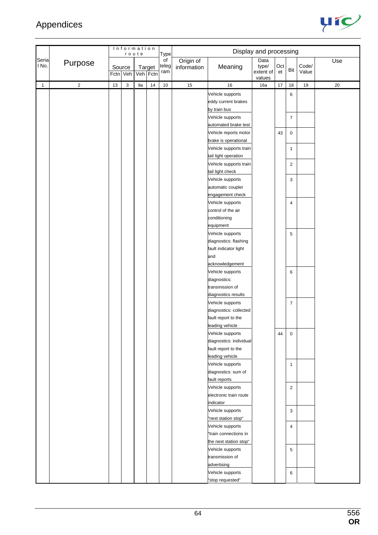

|                |                         |                    | Information | route              |    | Type               |                          |                                                                                       | Display and processing               |           |                     |                |        |
|----------------|-------------------------|--------------------|-------------|--------------------|----|--------------------|--------------------------|---------------------------------------------------------------------------------------|--------------------------------------|-----------|---------------------|----------------|--------|
| Seria<br>I No. | Purpose                 | Source<br>Fctn Veh |             | Target<br>Veh Fctn |    | of<br>teleg<br>ram | Origin of<br>information | Meaning                                                                               | Data<br>type/<br>extent of<br>values | Oct<br>et | Bit                 | Code/<br>Value | Use    |
| $\mathbf{1}$   | $\overline{\mathbf{c}}$ | 13                 | $\mathsf 3$ | 9a                 | 14 | $10$               | 15                       | 16                                                                                    | 16a                                  | 17        | 18                  | $19$           | $20\,$ |
|                |                         |                    |             |                    |    |                    |                          | Vehicle supports<br>eddy current brakes<br>by train bus<br>Vehicle supports           |                                      |           | 6<br>$\overline{7}$ |                |        |
|                |                         |                    |             |                    |    |                    |                          | automated brake test<br>Vehicle reports motor                                         |                                      |           |                     |                |        |
|                |                         |                    |             |                    |    |                    |                          | brake is operational                                                                  |                                      | 43        | 0                   |                |        |
|                |                         |                    |             |                    |    |                    |                          | Vehicle supports train<br>tail light operation                                        |                                      |           | 1                   |                |        |
|                |                         |                    |             |                    |    |                    |                          | Vehicle supports train<br>tail light check                                            |                                      |           | $\overline{2}$      |                |        |
|                |                         |                    |             |                    |    |                    |                          | Vehicle supports<br>automatic coupler                                                 |                                      |           | 3                   |                |        |
|                |                         |                    |             |                    |    |                    |                          | engagement check<br>Vehicle supports                                                  |                                      |           | 4                   |                |        |
|                |                         |                    |             |                    |    |                    |                          | control of the air<br>conditioning<br>equipment                                       |                                      |           |                     |                |        |
|                |                         |                    |             |                    |    |                    |                          | Vehicle supports<br>diagnostics: flashing                                             |                                      |           | 5                   |                |        |
|                |                         |                    |             |                    |    |                    |                          | fault indicator light<br>and<br>acknowledgement                                       |                                      |           |                     |                |        |
|                |                         |                    |             |                    |    |                    |                          | Vehicle supports<br>diagnostics:                                                      |                                      |           | 6                   |                |        |
|                |                         |                    |             |                    |    |                    |                          | transmission of<br>diagnostics results                                                |                                      |           |                     |                |        |
|                |                         |                    |             |                    |    |                    |                          | Vehicle supports<br>diagnostics: collected                                            |                                      |           | $\overline{7}$      |                |        |
|                |                         |                    |             |                    |    |                    |                          | fault report to the<br>leading vehicle                                                |                                      |           |                     |                |        |
|                |                         |                    |             |                    |    |                    |                          | Vehicle supports<br>diagnostics: individual<br>fault report to the<br>leading vehicle |                                      | 44        | $\mathbf 0$         |                |        |
|                |                         |                    |             |                    |    |                    |                          | Vehicle supports<br>diagnostics: sum of<br>fault reports                              |                                      |           | $\mathbf{1}$        |                |        |
|                |                         |                    |             |                    |    |                    |                          | Vehicle supports<br>electronic train route                                            |                                      |           | $\overline{2}$      |                |        |
|                |                         |                    |             |                    |    |                    |                          | indicator<br>Vehicle supports<br>"next station stop"                                  |                                      |           | 3                   |                |        |
|                |                         |                    |             |                    |    |                    |                          | Vehicle supports<br>"train connections in<br>the next station stop"                   |                                      |           | 4                   |                |        |
|                |                         |                    |             |                    |    |                    |                          | Vehicle supports<br>transmission of                                                   |                                      |           | 5                   |                |        |
|                |                         |                    |             |                    |    |                    |                          | advertising<br>Vehicle supports<br>"stop requested"                                   |                                      |           | 6                   |                |        |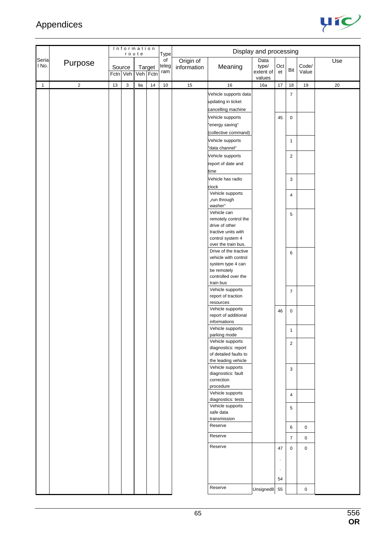

|                |             |          |             | Information<br>route |        | Type               |                          |                                                                                                          | Display and processing               |                 |                             |                            |        |
|----------------|-------------|----------|-------------|----------------------|--------|--------------------|--------------------------|----------------------------------------------------------------------------------------------------------|--------------------------------------|-----------------|-----------------------------|----------------------------|--------|
| Seria<br>I No. | Purpose     | Fctn Veh | Source      | Veh Fctn             | Target | of<br>teleg<br>ram | Origin of<br>information | Meaning                                                                                                  | Data<br>type/<br>extent of<br>values | Oct<br>et       | Bit                         | Code/<br>Value             | Use    |
| $\mathbf{1}$   | $\mathbf 2$ | 13       | $\mathsf 3$ | 9a                   | 14     | $10$               | 15                       | 16                                                                                                       | 16a                                  | $17$            | 18                          | 19                         | $20\,$ |
|                |             |          |             |                      |        |                    |                          | Vehicle supports data<br>updating in ticket<br>cancelling machine<br>Vehicle supports                    |                                      | 45              | $\overline{7}$<br>$\pmb{0}$ |                            |        |
|                |             |          |             |                      |        |                    |                          | "energy saving"<br>(collective command)                                                                  |                                      |                 |                             |                            |        |
|                |             |          |             |                      |        |                    |                          | Vehicle supports<br>"data channel"                                                                       |                                      |                 | $\mathbf{1}$                |                            |        |
|                |             |          |             |                      |        |                    |                          | Vehicle supports<br>report of date and<br>time                                                           |                                      |                 | $\overline{c}$              |                            |        |
|                |             |          |             |                      |        |                    |                          | Vehicle has radio<br>clock<br>Vehicle supports                                                           |                                      |                 | 3                           |                            |        |
|                |             |          |             |                      |        |                    |                          | "run through<br>washer"<br>Vehicle can                                                                   |                                      |                 | 4<br>5                      |                            |        |
|                |             |          |             |                      |        |                    |                          | remotely control the<br>drive of other<br>tractive units with<br>control system 4<br>over the train bus. |                                      |                 |                             |                            |        |
|                |             |          |             |                      |        |                    |                          | Drive of the tractive<br>vehicle with control<br>system type 4 can<br>be remotely                        |                                      |                 | 6                           |                            |        |
|                |             |          |             |                      |        |                    |                          | controlled over the<br>train bus<br>Vehicle supports                                                     |                                      |                 | $\overline{7}$              |                            |        |
|                |             |          |             |                      |        |                    |                          | report of traction<br>resources<br>Vehicle supports                                                      |                                      | 46              | $\pmb{0}$                   |                            |        |
|                |             |          |             |                      |        |                    |                          | report of additional<br>informations<br>Vehicle supports                                                 |                                      |                 | 1                           |                            |        |
|                |             |          |             |                      |        |                    |                          | parking mode<br>Vehicle supports<br>diagnostics: report                                                  |                                      |                 | $\overline{2}$              |                            |        |
|                |             |          |             |                      |        |                    |                          | of detailed faults to<br>the leading vehicle<br>Vehicle supports                                         |                                      |                 |                             |                            |        |
|                |             |          |             |                      |        |                    |                          | diagnostics: fault<br>correction<br>procedure                                                            |                                      |                 | 3                           |                            |        |
|                |             |          |             |                      |        |                    |                          | Vehicle supports<br>diagnostics: tests                                                                   |                                      |                 | $\overline{4}$              |                            |        |
|                |             |          |             |                      |        |                    |                          | Vehicle supports<br>safe data<br>transmission                                                            |                                      |                 | 5                           |                            |        |
|                |             |          |             |                      |        |                    |                          | Reserve<br>Reserve                                                                                       |                                      |                 | 6<br>$\overline{7}$         | $\mathbf 0$<br>$\mathbf 0$ |        |
|                |             |          |             |                      |        |                    |                          | Reserve                                                                                                  |                                      | 47<br>$\bullet$ | $\mathbf 0$                 | $\mathbf 0$                |        |
|                |             |          |             |                      |        |                    |                          |                                                                                                          |                                      | $\cdot$<br>54   |                             |                            |        |
|                |             |          |             |                      |        |                    |                          | Reserve                                                                                                  | Unsigned8                            | 55              |                             | $\mathbf 0$                |        |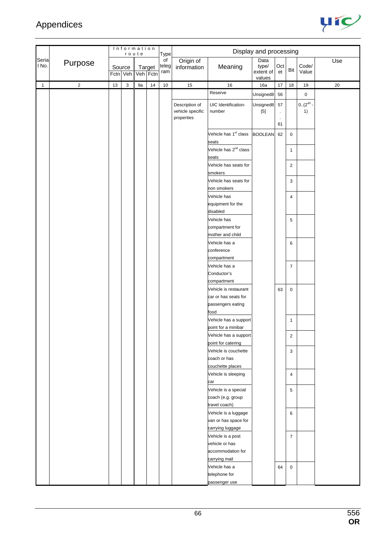

|                |                |          | Information | route    |        | Type               |                                                  |                                            | Display and processing               |                       |                |                         |     |
|----------------|----------------|----------|-------------|----------|--------|--------------------|--------------------------------------------------|--------------------------------------------|--------------------------------------|-----------------------|----------------|-------------------------|-----|
| Seria<br>l No. | Purpose        | Fctn Veh | Source      | Veh Fctn | Target | of<br>teleg<br>ram | Origin of<br>information                         | Meaning                                    | Data<br>type/<br>extent of<br>values | Oct<br>et             | Bit            | Code/<br>Value          | Use |
| $\mathbf{1}$   | $\overline{2}$ | 13       | 3           | 9a       | $14$   | $10$               | 15                                               | $16\,$                                     | 16a                                  | 17                    | 18             | 19                      | 20  |
|                |                |          |             |          |        |                    |                                                  | Reserve                                    | Unsigned <sub>8</sub>                | 56                    |                | $\mathbf 0$             |     |
|                |                |          |             |          |        |                    | Description of<br>vehicle specific<br>properties | UIC Identification-<br>number              | Unsigned8<br>$[5]$                   | 57<br>$\bullet$<br>61 |                | $0.(2^{40} \cdot$<br>1) |     |
|                |                |          |             |          |        |                    |                                                  | Vehicle has 1 <sup>st</sup> class          | <b>BOOLEAN</b>                       | 62                    | $\mathbf 0$    |                         |     |
|                |                |          |             |          |        |                    |                                                  | seats<br>Vehicle has 2 <sup>nd</sup> class |                                      |                       | $\mathbf{1}$   |                         |     |
|                |                |          |             |          |        |                    |                                                  | seats                                      |                                      |                       |                |                         |     |
|                |                |          |             |          |        |                    |                                                  | Vehicle has seats for<br>smokers           |                                      |                       | $\overline{c}$ |                         |     |
|                |                |          |             |          |        |                    |                                                  | Vehicle has seats for<br>non smokers       |                                      |                       | 3              |                         |     |
|                |                |          |             |          |        |                    |                                                  | Vehicle has                                |                                      |                       | 4              |                         |     |
|                |                |          |             |          |        |                    |                                                  | equipment for the<br>disabled              |                                      |                       |                |                         |     |
|                |                |          |             |          |        |                    |                                                  | Vehicle has                                |                                      |                       | 5              |                         |     |
|                |                |          |             |          |        |                    |                                                  | compartment for                            |                                      |                       |                |                         |     |
|                |                |          |             |          |        |                    |                                                  | mother and child                           |                                      |                       |                |                         |     |
|                |                |          |             |          |        |                    |                                                  | Vehicle has a                              |                                      |                       | 6              |                         |     |
|                |                |          |             |          |        |                    |                                                  | conference                                 |                                      |                       |                |                         |     |
|                |                |          |             |          |        |                    |                                                  | compartment                                |                                      |                       |                |                         |     |
|                |                |          |             |          |        |                    |                                                  | Vehicle has a                              |                                      |                       | $\overline{7}$ |                         |     |
|                |                |          |             |          |        |                    |                                                  | Conductor's                                |                                      |                       |                |                         |     |
|                |                |          |             |          |        |                    |                                                  | compartment<br>Vehicle is restaurant       |                                      |                       |                |                         |     |
|                |                |          |             |          |        |                    |                                                  | car or has seats for                       |                                      | 63                    | $\pmb{0}$      |                         |     |
|                |                |          |             |          |        |                    |                                                  | passengers eating                          |                                      |                       |                |                         |     |
|                |                |          |             |          |        |                    |                                                  | food                                       |                                      |                       |                |                         |     |
|                |                |          |             |          |        |                    |                                                  | Vehicle has a support                      |                                      |                       | 1              |                         |     |
|                |                |          |             |          |        |                    |                                                  | point for a minibar                        |                                      |                       |                |                         |     |
|                |                |          |             |          |        |                    |                                                  | Vehicle has a support                      |                                      |                       | $\overline{c}$ |                         |     |
|                |                |          |             |          |        |                    |                                                  | point for catering                         |                                      |                       |                |                         |     |
|                |                |          |             |          |        |                    |                                                  | Vehicle is couchette                       |                                      |                       | 3              |                         |     |
|                |                |          |             |          |        |                    |                                                  | coach or has                               |                                      |                       |                |                         |     |
|                |                |          |             |          |        |                    |                                                  | couchette places<br>Vehicle is sleeping    |                                      |                       | $\overline{4}$ |                         |     |
|                |                |          |             |          |        |                    |                                                  | car                                        |                                      |                       |                |                         |     |
|                |                |          |             |          |        |                    |                                                  | Vehicle is a special                       |                                      |                       | 5              |                         |     |
|                |                |          |             |          |        |                    |                                                  | coach (e.g. group                          |                                      |                       |                |                         |     |
|                |                |          |             |          |        |                    |                                                  | travel coach)                              |                                      |                       |                |                         |     |
|                |                |          |             |          |        |                    |                                                  | Vehicle is a luggage                       |                                      |                       | 6              |                         |     |
|                |                |          |             |          |        |                    |                                                  | van or has space for                       |                                      |                       |                |                         |     |
|                |                |          |             |          |        |                    |                                                  | carrying luggage                           |                                      |                       |                |                         |     |
|                |                |          |             |          |        |                    |                                                  | Vehicle is a post                          |                                      |                       | $\overline{7}$ |                         |     |
|                |                |          |             |          |        |                    |                                                  | vehicle or has                             |                                      |                       |                |                         |     |
|                |                |          |             |          |        |                    |                                                  | accommodation for<br>carrying mail         |                                      |                       |                |                         |     |
|                |                |          |             |          |        |                    |                                                  | Vehicle has a                              |                                      | 64                    | $\mathbf 0$    |                         |     |
|                |                |          |             |          |        |                    |                                                  | telephone for                              |                                      |                       |                |                         |     |
|                |                |          |             |          |        |                    |                                                  | passenger use                              |                                      |                       |                |                         |     |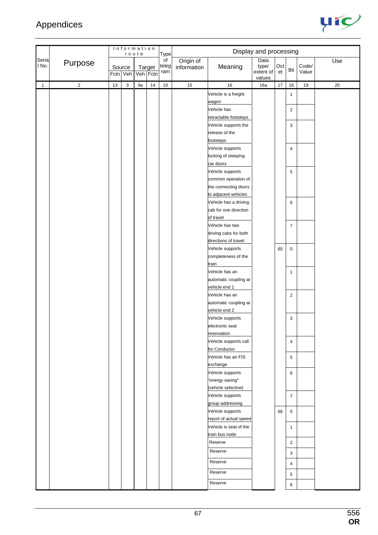

|                |                |    |                    | Information<br>route |        | Type               |                          |                                   | Display and processing     |           |                         |                |     |
|----------------|----------------|----|--------------------|----------------------|--------|--------------------|--------------------------|-----------------------------------|----------------------------|-----------|-------------------------|----------------|-----|
| Seria<br>I No. | Purpose        |    | Source<br>Fctn Veh | Veh Fctn             | Target | of<br>teleg<br>ram | Origin of<br>information | Meaning                           | Data<br>type/<br>extent of | Oct<br>et | Bit                     | Code/<br>Value | Use |
| $\mathbf{1}$   | $\overline{2}$ | 13 | $\mathsf 3$        | 9a                   | $14\,$ | $10$               | 15                       | 16                                | values<br>16a              | $17$      | 18                      | $19$           | 20  |
|                |                |    |                    |                      |        |                    |                          | Vehicle is a freight              |                            |           |                         |                |     |
|                |                |    |                    |                      |        |                    |                          | wagon                             |                            |           | $\mathbf{1}$            |                |     |
|                |                |    |                    |                      |        |                    |                          | Vehicle has                       |                            |           | $\overline{\mathbf{c}}$ |                |     |
|                |                |    |                    |                      |        |                    |                          | retractable footsteps             |                            |           |                         |                |     |
|                |                |    |                    |                      |        |                    |                          | Vehicle supports the              |                            |           | $\mathsf 3$             |                |     |
|                |                |    |                    |                      |        |                    |                          | release of the                    |                            |           |                         |                |     |
|                |                |    |                    |                      |        |                    |                          | footsteps                         |                            |           |                         |                |     |
|                |                |    |                    |                      |        |                    |                          | Vehicle supports                  |                            |           | $\overline{4}$          |                |     |
|                |                |    |                    |                      |        |                    |                          | locking of sleeping               |                            |           |                         |                |     |
|                |                |    |                    |                      |        |                    |                          | car doors                         |                            |           |                         |                |     |
|                |                |    |                    |                      |        |                    |                          | Vehicle supports                  |                            |           | 5                       |                |     |
|                |                |    |                    |                      |        |                    |                          | common operation of               |                            |           |                         |                |     |
|                |                |    |                    |                      |        |                    |                          | the connecting doors              |                            |           |                         |                |     |
|                |                |    |                    |                      |        |                    |                          | to adjacent vehicles              |                            |           |                         |                |     |
|                |                |    |                    |                      |        |                    |                          | Vehicle has a driving             |                            |           | 6                       |                |     |
|                |                |    |                    |                      |        |                    |                          | cab for one direction             |                            |           |                         |                |     |
|                |                |    |                    |                      |        |                    |                          | of travel                         |                            |           |                         |                |     |
|                |                |    |                    |                      |        |                    |                          | Vehicle has two                   |                            |           | $\overline{7}$          |                |     |
|                |                |    |                    |                      |        |                    |                          | driving cabs for both             |                            |           |                         |                |     |
|                |                |    |                    |                      |        |                    |                          | directions of travel              |                            |           |                         |                |     |
|                |                |    |                    |                      |        |                    |                          | Vehicle supports                  |                            | 65        | $\pmb{0}$               |                |     |
|                |                |    |                    |                      |        |                    |                          | completeness of the               |                            |           |                         |                |     |
|                |                |    |                    |                      |        |                    |                          | train                             |                            |           |                         |                |     |
|                |                |    |                    |                      |        |                    |                          | Vehicle has an                    |                            |           | $\mathbf{1}$            |                |     |
|                |                |    |                    |                      |        |                    |                          | automatic coupling at             |                            |           |                         |                |     |
|                |                |    |                    |                      |        |                    |                          | vehicle end 1                     |                            |           |                         |                |     |
|                |                |    |                    |                      |        |                    |                          | Vehicle has an                    |                            |           | $\overline{2}$          |                |     |
|                |                |    |                    |                      |        |                    |                          | automatic coupling at             |                            |           |                         |                |     |
|                |                |    |                    |                      |        |                    |                          | vehicle end 2<br>Vehicle supports |                            |           |                         |                |     |
|                |                |    |                    |                      |        |                    |                          | electronic seat                   |                            |           | 3                       |                |     |
|                |                |    |                    |                      |        |                    |                          | reservation                       |                            |           |                         |                |     |
|                |                |    |                    |                      |        |                    |                          | Vehicle supports call             |                            |           | 4                       |                |     |
|                |                |    |                    |                      |        |                    |                          | for Conductor                     |                            |           |                         |                |     |
|                |                |    |                    |                      |        |                    |                          | Vehicle has an FIS                |                            |           | $\overline{5}$          |                |     |
|                |                |    |                    |                      |        |                    |                          | exchange                          |                            |           |                         |                |     |
|                |                |    |                    |                      |        |                    |                          | Vehicle supports                  |                            |           | 6                       |                |     |
|                |                |    |                    |                      |        |                    |                          | "energy saving"                   |                            |           |                         |                |     |
|                |                |    |                    |                      |        |                    |                          | (vehicle selective)               |                            |           |                         |                |     |
|                |                |    |                    |                      |        |                    |                          | Vehicle supports                  |                            |           | $\overline{7}$          |                |     |
|                |                |    |                    |                      |        |                    |                          | group addressing                  |                            |           |                         |                |     |
|                |                |    |                    |                      |        |                    |                          | Vehicle supports                  |                            | 66        | $\mathbf 0$             |                |     |
|                |                |    |                    |                      |        |                    |                          | report of actual speed            |                            |           |                         |                |     |
|                |                |    |                    |                      |        |                    |                          | Vehicle is seat of the            |                            |           | $\mathbf{1}$            |                |     |
|                |                |    |                    |                      |        |                    |                          | train bus node                    |                            |           |                         |                |     |
|                |                |    |                    |                      |        |                    |                          | Reserve                           |                            |           | $\overline{2}$          |                |     |
|                |                |    |                    |                      |        |                    |                          | Reserve                           |                            |           | 3                       |                |     |
|                |                |    |                    |                      |        |                    |                          | Reserve                           |                            |           | 4                       |                |     |
|                |                |    |                    |                      |        |                    |                          | Reserve                           |                            |           | 5                       |                |     |
|                |                |    |                    |                      |        |                    |                          | Reserve                           |                            |           | 6                       |                |     |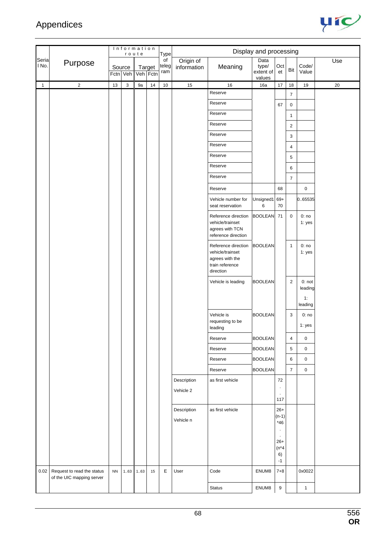

|                |                                                         |           |                    | Information<br>route |                    | Type               |                          |                                                                                            | Display and processing               |                                |                |                     |     |
|----------------|---------------------------------------------------------|-----------|--------------------|----------------------|--------------------|--------------------|--------------------------|--------------------------------------------------------------------------------------------|--------------------------------------|--------------------------------|----------------|---------------------|-----|
| Seria<br>l No. | Purpose                                                 |           | Source<br>Fctn Veh |                      | Target<br>Veh Fctn | of<br>teleg<br>ram | Origin of<br>information | Meaning                                                                                    | Data<br>type/<br>extent of<br>values | Oct<br>et                      | Bit            | Code/<br>Value      | Use |
| $\mathbf{1}$   | $\overline{2}$                                          | 13        | $\sqrt{3}$         | 9a                   | 14                 | $10$               | 15                       | 16                                                                                         | 16a                                  | $17$                           | 18             | 19                  | 20  |
|                |                                                         |           |                    |                      |                    |                    |                          | Reserve                                                                                    |                                      |                                | $\overline{7}$ |                     |     |
|                |                                                         |           |                    |                      |                    |                    |                          | Reserve                                                                                    |                                      | 67                             | $\pmb{0}$      |                     |     |
|                |                                                         |           |                    |                      |                    |                    |                          | Reserve                                                                                    |                                      |                                | $\mathbf{1}$   |                     |     |
|                |                                                         |           |                    |                      |                    |                    |                          | Reserve                                                                                    |                                      |                                | $\sqrt{2}$     |                     |     |
|                |                                                         |           |                    |                      |                    |                    |                          | Reserve                                                                                    |                                      |                                | 3              |                     |     |
|                |                                                         |           |                    |                      |                    |                    |                          | Reserve                                                                                    |                                      |                                | 4              |                     |     |
|                |                                                         |           |                    |                      |                    |                    |                          | Reserve                                                                                    |                                      |                                | 5              |                     |     |
|                |                                                         |           |                    |                      |                    |                    |                          | Reserve                                                                                    |                                      |                                | 6              |                     |     |
|                |                                                         |           |                    |                      |                    |                    |                          | Reserve                                                                                    |                                      |                                | $\overline{7}$ |                     |     |
|                |                                                         |           |                    |                      |                    |                    |                          | Reserve                                                                                    |                                      | 68                             |                | 0                   |     |
|                |                                                         |           |                    |                      |                    |                    |                          | Vehicle number for<br>seat reservation                                                     | Unsigned1<br>6                       | $69+$<br>70                    |                | 0.65535             |     |
|                |                                                         |           |                    |                      |                    |                    |                          | Reference direction<br>vehicle/trainset<br>agrees with TCN<br>reference direction          | BOOLEAN 71                           |                                | $\mathbf 0$    | 0:no<br>1: yes      |     |
|                |                                                         |           |                    |                      |                    |                    |                          | Reference direction<br>vehicle/trainset<br>agrees with the<br>train reference<br>direction | <b>BOOLEAN</b>                       |                                | $\mathbf{1}$   | 0:no<br>1: yes      |     |
|                |                                                         |           |                    |                      |                    |                    |                          | Vehicle is leading                                                                         | <b>BOOLEAN</b>                       |                                | $\overline{2}$ | $0:$ not<br>leading |     |
|                |                                                         |           |                    |                      |                    |                    |                          |                                                                                            |                                      |                                |                | 1:<br>leading       |     |
|                |                                                         |           |                    |                      |                    |                    |                          | Vehicle is<br>requesting to be<br>leading                                                  | <b>BOOLEAN</b>                       |                                | 3              | 0:no<br>1: yes      |     |
|                |                                                         |           |                    |                      |                    |                    |                          | Reserve                                                                                    | <b>BOOLEAN</b>                       |                                | $\overline{4}$ | 0                   |     |
|                |                                                         |           |                    |                      |                    |                    |                          | Reserve                                                                                    | <b>BOOLEAN</b>                       |                                | 5              | 0                   |     |
|                |                                                         |           |                    |                      |                    |                    |                          | Reserve                                                                                    | <b>BOOLEAN</b>                       |                                | 6              | $\mathbf 0$         |     |
|                |                                                         |           |                    |                      |                    |                    |                          | Reserve                                                                                    | <b>BOOLEAN</b>                       |                                | $\overline{7}$ | 0                   |     |
|                |                                                         |           |                    |                      |                    |                    | Description              | as first vehicle                                                                           |                                      | 72                             |                |                     |     |
|                |                                                         |           |                    |                      |                    |                    | Vehicle 2                |                                                                                            |                                      |                                |                |                     |     |
|                |                                                         |           |                    |                      |                    |                    |                          |                                                                                            |                                      | $\cdot$<br>117                 |                |                     |     |
|                |                                                         |           |                    |                      |                    |                    | Description<br>Vehicle n | as first vehicle                                                                           |                                      | $26+$<br>$(n-1)$               |                |                     |     |
|                |                                                         |           |                    |                      |                    |                    |                          |                                                                                            |                                      | *46                            |                |                     |     |
|                |                                                         |           |                    |                      |                    |                    |                          |                                                                                            |                                      | $26+$<br>$(n*4)$<br>6)<br>$-1$ |                |                     |     |
| 0.02           | Request to read the status<br>of the UIC mapping server | <b>NN</b> | 163                | 1.63                 | 15                 | E                  | User                     | Code                                                                                       | ENUM8                                | $7 + 8$                        |                | 0x0022              |     |
|                |                                                         |           |                    |                      |                    |                    |                          | Status                                                                                     | ENUM8                                | $\boldsymbol{9}$               |                | $\mathbf{1}$        |     |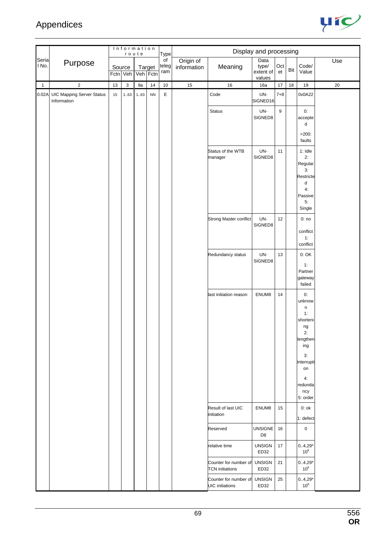

|                |                                                 |    |                           | Information<br>route |                    | Type                            |                          |                                                 | Display and processing               |           |      |                                                                                                                                  |     |
|----------------|-------------------------------------------------|----|---------------------------|----------------------|--------------------|---------------------------------|--------------------------|-------------------------------------------------|--------------------------------------|-----------|------|----------------------------------------------------------------------------------------------------------------------------------|-----|
| Seria<br>I No. | Purpose                                         |    | Source<br>Fctn Veh        |                      | Target<br>Veh Fctn | $\overline{of}$<br>teleg<br>ram | Origin of<br>information | Meaning                                         | Data<br>type/<br>extent of<br>values | Oct<br>et | Bit  | Code/<br>Value                                                                                                                   | Use |
| $\mathbf{1}$   | $\mathbf 2$                                     | 13 | $\ensuremath{\mathsf{3}}$ | 9a                   | 14                 | $10\,$                          | 15                       | 16                                              | 16a                                  | 17        | $18$ | 19                                                                                                                               | 20  |
| 0.02A          | <b>UIC Mapping Server Status</b><br>Information | 15 | 163                       | 163                  | ${\sf NN}$         | $\mathsf E$                     |                          | Code                                            | UN-<br>SIGNED16                      | $7 + 8$   |      | 0x0A22                                                                                                                           |     |
|                |                                                 |    |                           |                      |                    |                                 |                          | Status                                          | UN-<br>SIGNED8                       | 9         |      | 0:<br>accepte<br>d                                                                                                               |     |
|                |                                                 |    |                           |                      |                    |                                 |                          |                                                 |                                      |           |      | $>200$ :<br>faults                                                                                                               |     |
|                |                                                 |    |                           |                      |                    |                                 |                          | Status of the WTB<br>manager                    | UN-<br>SIGNED8                       | 11        |      | $1:$ Idle<br>2:<br>Regular<br>3:<br>Restricte<br>d<br>4:                                                                         |     |
|                |                                                 |    |                           |                      |                    |                                 |                          |                                                 |                                      |           |      | Passive<br>5:<br>Single                                                                                                          |     |
|                |                                                 |    |                           |                      |                    |                                 |                          | Strong Master conflict                          | UN-<br>SIGNED8                       | 12        |      | 0:no<br>conflict<br>1:<br>conflict                                                                                               |     |
|                |                                                 |    |                           |                      |                    |                                 |                          | Redundancy status                               | UN-<br>SIGNED8                       | 13        |      | 0:OK<br>1:<br>Partner<br>gateway<br>failed                                                                                       |     |
|                |                                                 |    |                           |                      |                    |                                 |                          | last initiation reason                          | ENUM8                                | 14        |      | 0:<br>unknow<br>n<br>1:<br>shorteni<br>ng<br>2:<br>lengthen<br>ing<br>3:<br>interrupti<br>on<br>4:<br>redunda<br>ncy<br>5: order |     |
|                |                                                 |    |                           |                      |                    |                                 |                          | Result of last UIC<br>initiation                | ENUM8                                | 15        |      | $0:$ ok<br>1: defect                                                                                                             |     |
|                |                                                 |    |                           |                      |                    |                                 |                          | Reserved                                        | <b>UNSIGNE</b><br>D <sub>8</sub>     | 16        |      | $\mathbf 0$                                                                                                                      |     |
|                |                                                 |    |                           |                      |                    |                                 |                          | relative time                                   | <b>UNSIGN</b><br>ED32                | 17        |      | $0.4,29*$<br>10 <sup>9</sup>                                                                                                     |     |
|                |                                                 |    |                           |                      |                    |                                 |                          | Counter for number of<br><b>TCN</b> initiations | <b>UNSIGN</b><br>ED32                | 21        |      | $0.4,29*$<br>10 <sup>9</sup>                                                                                                     |     |
|                |                                                 |    |                           |                      |                    |                                 |                          | Counter for number of<br><b>UIC</b> initiations | <b>UNSIGN</b><br>ED32                | 25        |      | $0.4,29*$<br>$10^9$                                                                                                              |     |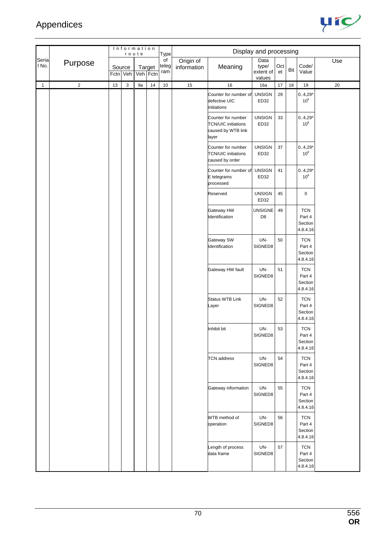

|                |                |      |                    | Information<br>route |                    | Type               |                          |                                                                                 | Display and processing               |           |     |                                             |        |
|----------------|----------------|------|--------------------|----------------------|--------------------|--------------------|--------------------------|---------------------------------------------------------------------------------|--------------------------------------|-----------|-----|---------------------------------------------|--------|
| Seria<br>I No. | Purpose        |      | Source<br>Fctn Veh |                      | Target<br>Veh Fctn | of<br>teleg<br>ram | Origin of<br>information | Meaning                                                                         | Data<br>type/<br>extent of<br>values | Oct<br>et | Bit | Code/<br>Value                              | Use    |
| $\mathbf{1}$   | $\overline{2}$ | $13$ | $\sqrt{3}$         | 9a                   | $14$               | $10\,$             | 15                       | $16\,$                                                                          | 16a                                  | 17        | 18  | $19$                                        | $20\,$ |
|                |                |      |                    |                      |                    |                    |                          | Counter for number of<br>defective UIC<br>initiations                           | <b>UNSIGN</b><br>ED32                | 29        |     | $0.4,29*$<br>10 <sup>9</sup>                |        |
|                |                |      |                    |                      |                    |                    |                          | Counter for number<br><b>TCN/UIC</b> initiations<br>caused by WTB link<br>layer | <b>UNSIGN</b><br>ED32                | 33        |     | $0.4,29*$<br>10 <sup>9</sup>                |        |
|                |                |      |                    |                      |                    |                    |                          | Counter for number<br><b>TCN/UIC</b> initiations<br>caused by order             | <b>UNSIGN</b><br>ED32                | 37        |     | $0.4,29*$<br>10 <sup>9</sup>                |        |
|                |                |      |                    |                      |                    |                    |                          | Counter for number of<br>E telegrams<br>processed                               | <b>UNSIGN</b><br>ED32                | 41        |     | $0.4,29*$<br>10 <sup>9</sup>                |        |
|                |                |      |                    |                      |                    |                    |                          | Reserved                                                                        | <b>UNSIGN</b><br>ED32                | 45        |     | 0                                           |        |
|                |                |      |                    |                      |                    |                    |                          | Gateway HW<br>Identification                                                    | <b>UNSIGNE</b><br>D <sub>8</sub>     | 49        |     | <b>TCN</b><br>Part 4<br>Section<br>4.8.4.16 |        |
|                |                |      |                    |                      |                    |                    |                          | Gateway SW<br>Identification                                                    | UN-<br>SIGNED8                       | 50        |     | <b>TCN</b><br>Part 4<br>Section<br>4.8.4.16 |        |
|                |                |      |                    |                      |                    |                    |                          | Gateway HW fault                                                                | UN-<br>SIGNED8                       | 51        |     | <b>TCN</b><br>Part 4<br>Section<br>4.8.4.16 |        |
|                |                |      |                    |                      |                    |                    |                          | <b>Status WTB Link</b><br>Layer                                                 | UN-<br>SIGNED8                       | 52        |     | <b>TCN</b><br>Part 4<br>Section<br>4.8.4.16 |        |
|                |                |      |                    |                      |                    |                    |                          | Inhibit bit                                                                     | UN-<br>SIGNED8                       | 53        |     | <b>TCN</b><br>Part 4<br>Section<br>4.8.4.16 |        |
|                |                |      |                    |                      |                    |                    |                          | <b>TCN</b> address                                                              | UN-<br>SIGNED8                       | 54        |     | <b>TCN</b><br>Part 4<br>Section<br>4.8.4.16 |        |
|                |                |      |                    |                      |                    |                    |                          | Gateway information                                                             | UN-<br>SIGNED8                       | 55        |     | <b>TCN</b><br>Part 4<br>Section<br>4.8.4.16 |        |
|                |                |      |                    |                      |                    |                    |                          | WTB method of<br>operation                                                      | UN-<br>SIGNED8                       | 56        |     | <b>TCN</b><br>Part 4<br>Section<br>4.8.4.16 |        |
|                |                |      |                    |                      |                    |                    |                          | Length of process<br>data frame                                                 | UN-<br>SIGNED8                       | 57        |     | <b>TCN</b><br>Part 4<br>Section<br>4.8.4.16 |        |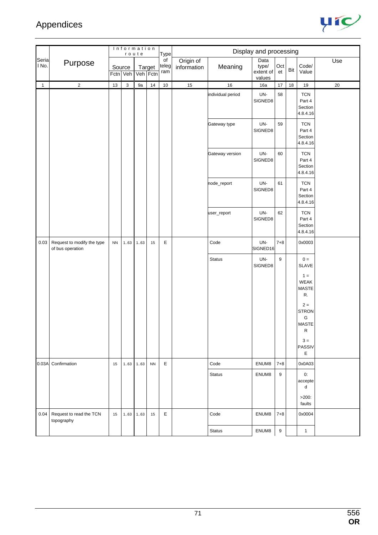

|                |                                                |           |                    | Information<br>route |                    | Type               |                          |                   | Display and processing               |           |     |                                                      |     |
|----------------|------------------------------------------------|-----------|--------------------|----------------------|--------------------|--------------------|--------------------------|-------------------|--------------------------------------|-----------|-----|------------------------------------------------------|-----|
| Seria<br>l No. | Purpose                                        |           | Source<br>Fctn Veh |                      | Target<br>Veh Fctn | of<br>teleg<br>ram | Origin of<br>information | Meaning           | Data<br>type/<br>extent of<br>values | Oct<br>et | Bit | Code/<br>Value                                       | Use |
| $\mathbf{1}$   | $\overline{2}$                                 | $13$      | $\mathbf 3$        | 9a                   | 14                 | $10\,$             | 15                       | $16\,$            | 16a                                  | 17        | 18  | $19$                                                 | 20  |
|                |                                                |           |                    |                      |                    |                    |                          | individual period | UN-<br>SIGNED8                       | 58        |     | <b>TCN</b><br>Part 4<br>Section<br>4.8.4.16          |     |
|                |                                                |           |                    |                      |                    |                    |                          | Gateway type      | UN-<br>SIGNED8                       | 59        |     | <b>TCN</b><br>Part 4<br>Section<br>4.8.4.16          |     |
|                |                                                |           |                    |                      |                    |                    |                          | Gateway version   | UN-<br>SIGNED8                       | 60        |     | <b>TCN</b><br>Part 4<br>Section<br>4.8.4.16          |     |
|                |                                                |           |                    |                      |                    |                    |                          | node_report       | UN-<br>SIGNED8                       | 61        |     | <b>TCN</b><br>Part 4<br>Section<br>4.8.4.16          |     |
|                |                                                |           |                    |                      |                    |                    |                          | user_report       | UN-<br>SIGNED8                       | 62        |     | <b>TCN</b><br>Part 4<br>Section<br>4.8.4.16          |     |
| 0.03           | Request to modify the type<br>of bus operation | <b>NN</b> | 163                | 163                  | 15                 | E                  |                          | Code              | UN-<br>SIGNED16                      | $7 + 8$   |     | 0x0003                                               |     |
|                |                                                |           |                    |                      |                    |                    |                          | <b>Status</b>     | UN-<br>SIGNED8                       | 9         |     | $0 =$<br>SLAVE<br>$1 =$                              |     |
|                |                                                |           |                    |                      |                    |                    |                          |                   |                                      |           |     | WEAK<br>MASTE<br>R.                                  |     |
|                |                                                |           |                    |                      |                    |                    |                          |                   |                                      |           |     | $2 =$<br><b>STRON</b><br>${\mathsf G}$<br>MASTE<br>R |     |
|                |                                                |           |                    |                      |                    |                    |                          |                   |                                      |           |     | $3 =$<br>PASSIV<br>Е                                 |     |
|                | 0.03A Confirmation                             | 15        | 1.63               | 163                  | <b>NN</b>          | E.                 |                          | Code              | ENUM8                                | $7 + 8$   |     | 0x0A03                                               |     |
|                |                                                |           |                    |                      |                    |                    |                          | <b>Status</b>     | ENUM8                                | 9         |     | 0:<br>accepte<br>d                                   |     |
|                |                                                |           |                    |                      |                    |                    |                          |                   |                                      |           |     | $>200$ :<br>faults                                   |     |
| 0.04           | Request to read the TCN<br>topography          | 15        | 163                | 163                  | 15                 | E                  |                          | Code              | ENUM8                                | $7 + 8$   |     | 0x0004                                               |     |
|                |                                                |           |                    |                      |                    |                    |                          | Status            | ENUM8                                | $9\,$     |     | $\mathbf{1}$                                         |     |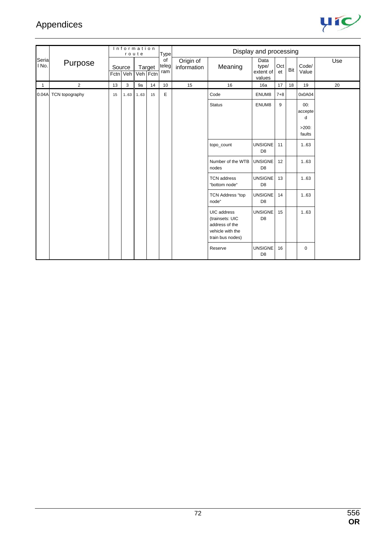

|                |                |    |                    | Information<br>route |                    | Type               |                          |                                                                                          | Display and processing               |           |     |                                           |     |
|----------------|----------------|----|--------------------|----------------------|--------------------|--------------------|--------------------------|------------------------------------------------------------------------------------------|--------------------------------------|-----------|-----|-------------------------------------------|-----|
| Seria<br>No.   | Purpose        |    | Source<br>Fctn Veh |                      | Target<br>Veh Fctn | of<br>teleg<br>ram | Origin of<br>information | Meaning                                                                                  | Data<br>type/<br>extent of<br>values | Oct<br>et | Bit | Code/<br>Value                            | Use |
| $\overline{1}$ | $\overline{2}$ | 13 | 3                  | 9a                   | 14                 | 10                 | 15                       | 16                                                                                       | 16a                                  | 17        | 18  | 19                                        | 20  |
| 0.04A          | TCN topography | 15 | 163                | 163                  | 15                 | E                  |                          | Code                                                                                     | ENUM8                                | $7 + 8$   |     | 0x0A04                                    |     |
|                |                |    |                    |                      |                    |                    |                          | <b>Status</b>                                                                            | ENUM8                                | 9         |     | 00:<br>accepte<br>d<br>$>200$ :<br>faults |     |
|                |                |    |                    |                      |                    |                    |                          | topo_count                                                                               | <b>UNSIGNE</b><br>D <sub>8</sub>     | 11        |     | 1.63                                      |     |
|                |                |    |                    |                      |                    |                    |                          | Number of the WTB<br>nodes                                                               | <b>UNSIGNE</b><br>D <sub>8</sub>     | 12        |     | 1.63                                      |     |
|                |                |    |                    |                      |                    |                    |                          | <b>TCN</b> address<br>"bottom node"                                                      | <b>UNSIGNE</b><br>D <sub>8</sub>     | 13        |     | 1.63                                      |     |
|                |                |    |                    |                      |                    |                    |                          | <b>TCN Address "top</b><br>node"                                                         | <b>UNSIGNE</b><br>D <sub>8</sub>     | 14        |     | 1.63                                      |     |
|                |                |    |                    |                      |                    |                    |                          | UIC address<br>(trainsets: UIC<br>address of the<br>vehicle with the<br>train bus nodes) | <b>UNSIGNE</b><br>D <sub>8</sub>     | 15        |     | 1.63                                      |     |
|                |                |    |                    |                      |                    |                    |                          | Reserve                                                                                  | <b>UNSIGNE</b><br>D <sub>8</sub>     | 16        |     | 0                                         |     |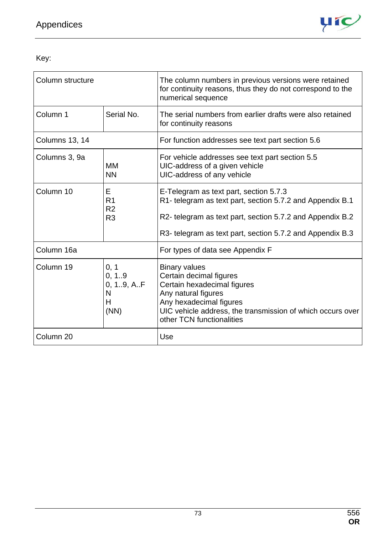

Key:

| Column structure |                                                         | The column numbers in previous versions were retained<br>for continuity reasons, thus they do not correspond to the<br>numerical sequence                                                                                     |  |
|------------------|---------------------------------------------------------|-------------------------------------------------------------------------------------------------------------------------------------------------------------------------------------------------------------------------------|--|
| Column 1         | Serial No.                                              | The serial numbers from earlier drafts were also retained<br>for continuity reasons                                                                                                                                           |  |
| Columns 13, 14   |                                                         | For function addresses see text part section 5.6                                                                                                                                                                              |  |
| Columns 3, 9a    | MM<br><b>NN</b>                                         | For vehicle addresses see text part section 5.5<br>UIC-address of a given vehicle<br>UIC-address of any vehicle                                                                                                               |  |
| Column 10        | E<br>R <sub>1</sub><br>R <sub>2</sub><br>R <sub>3</sub> | E-Telegram as text part, section 5.7.3<br>R1- telegram as text part, section 5.7.2 and Appendix B.1<br>R2- telegram as text part, section 5.7.2 and Appendix B.2<br>R3- telegram as text part, section 5.7.2 and Appendix B.3 |  |
| Column 16a       |                                                         | For types of data see Appendix F                                                                                                                                                                                              |  |
| Column 19        | 0, 1<br>0, 1.9<br>0, 19, AF<br>N<br>н<br>(NN)           | <b>Binary values</b><br>Certain decimal figures<br>Certain hexadecimal figures<br>Any natural figures<br>Any hexadecimal figures<br>UIC vehicle address, the transmission of which occurs over<br>other TCN functionalities   |  |
| Column 20        |                                                         | Use                                                                                                                                                                                                                           |  |